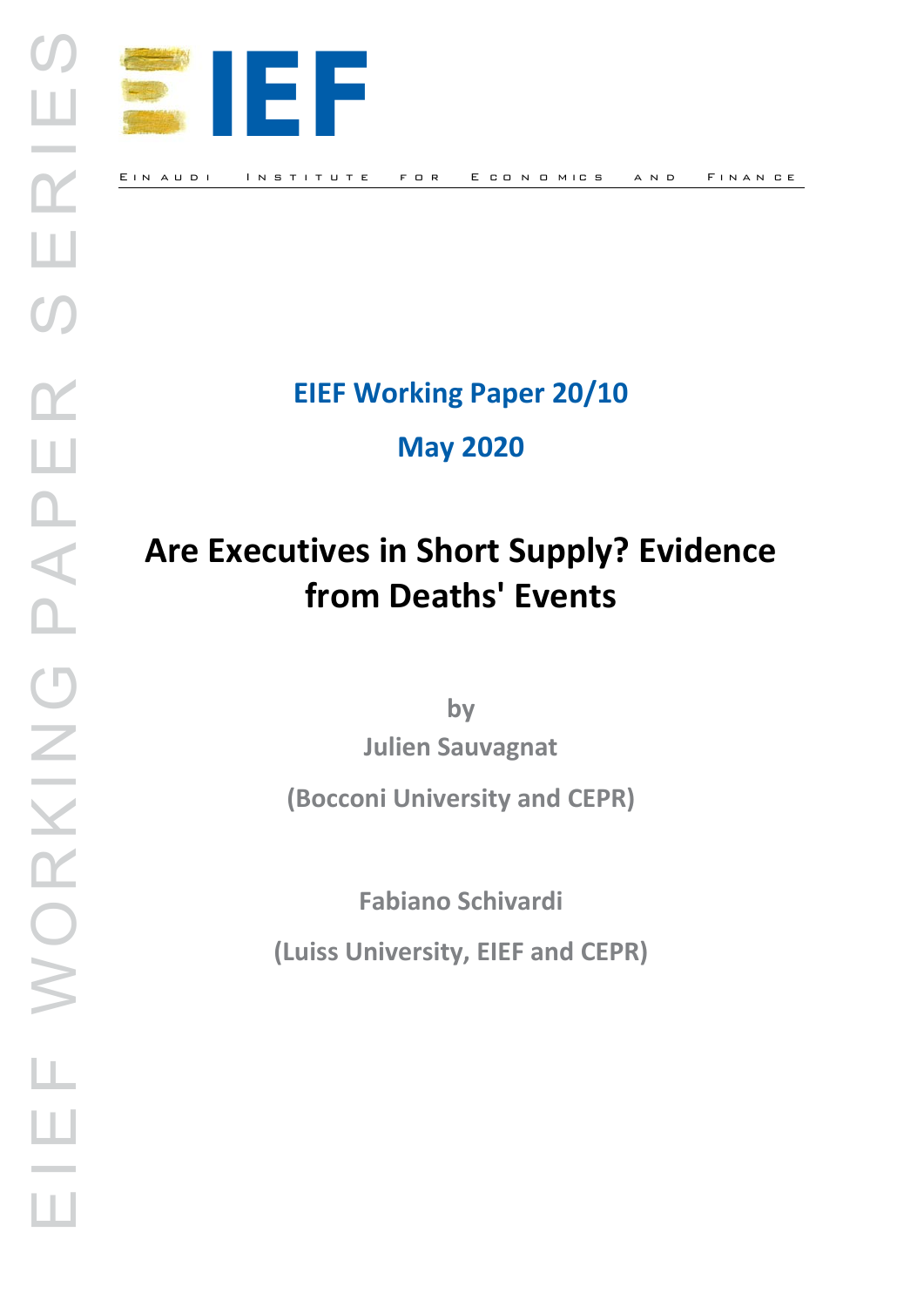

**EIEF Working Paper 20/10**

**May 2020** 

# **Are Executives in Short Supply? Evidence from Deaths' Events**

**by**

**Julien Sauvagnat**

**(Bocconi University and CEPR)**

**Fabiano Schivardi**

**(Luiss University, EIEF and CEPR)**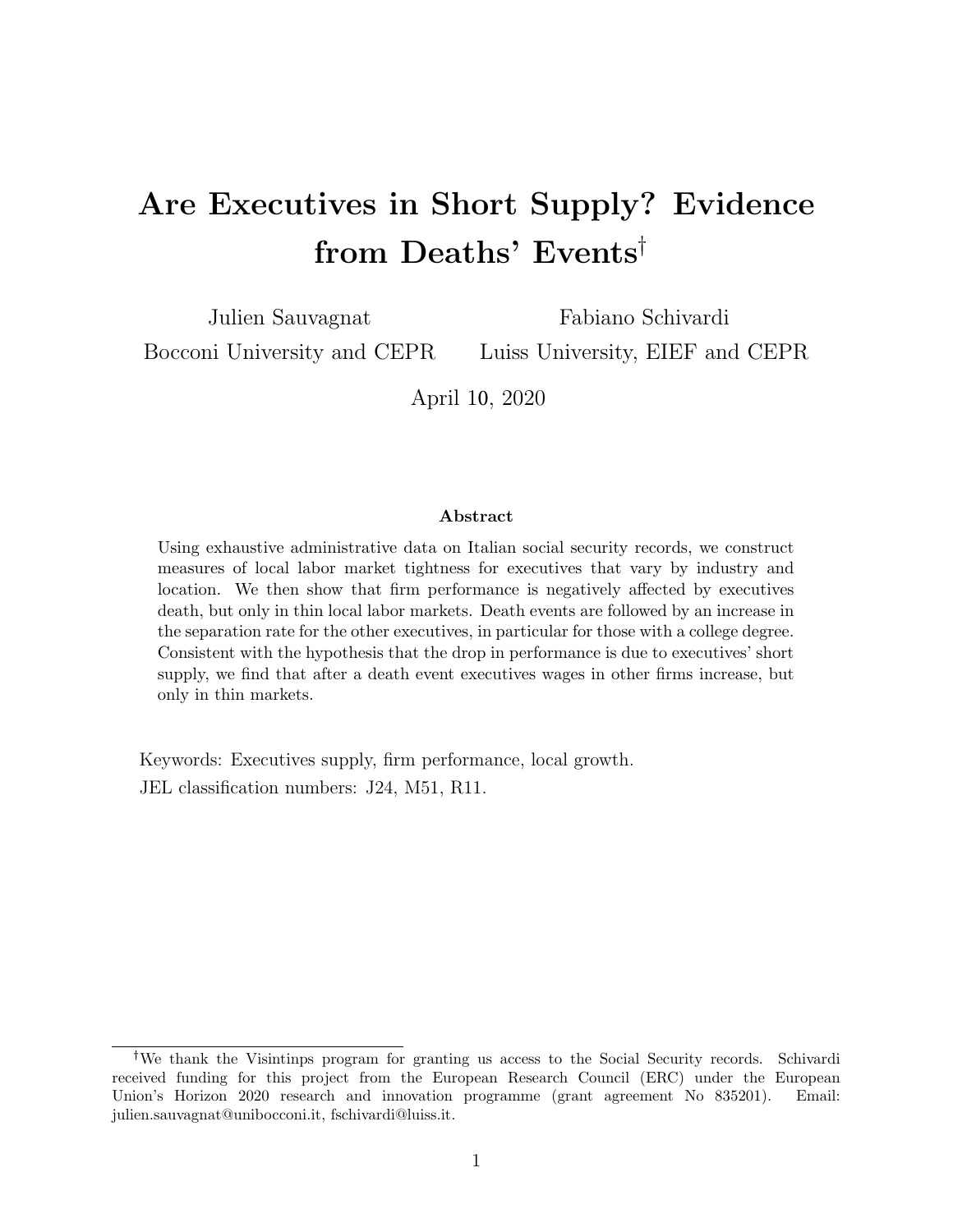## Are Executives in Short Supply? Evidence from Deaths' Events

Julien Sauvagnat Bocconi University and CEPR Fabiano Schivardi

Luiss University, EIEF and CEPR

April 10, 2020

#### Abstract

Using exhaustive administrative data on Italian social security records, we construct measures of local labor market tightness for executives that vary by industry and location. We then show that firm performance is negatively affected by executives death, but only in thin local labor markets. Death events are followed by an increase in the separation rate for the other executives, in particular for those with a college degree. Consistent with the hypothesis that the drop in performance is due to executives' short supply, we find that after a death event executives wages in other firms increase, but only in thin markets.

Keywords: Executives supply, firm performance, local growth. JEL classification numbers: J24, M51, R11.

We thank the Visintinps program for granting us access to the Social Security records. Schivardi received funding for this project from the European Research Council (ERC) under the European Union's Horizon 2020 research and innovation programme (grant agreement No 835201). Email: julien.sauvagnat@unibocconi.it, fschivardi@luiss.it.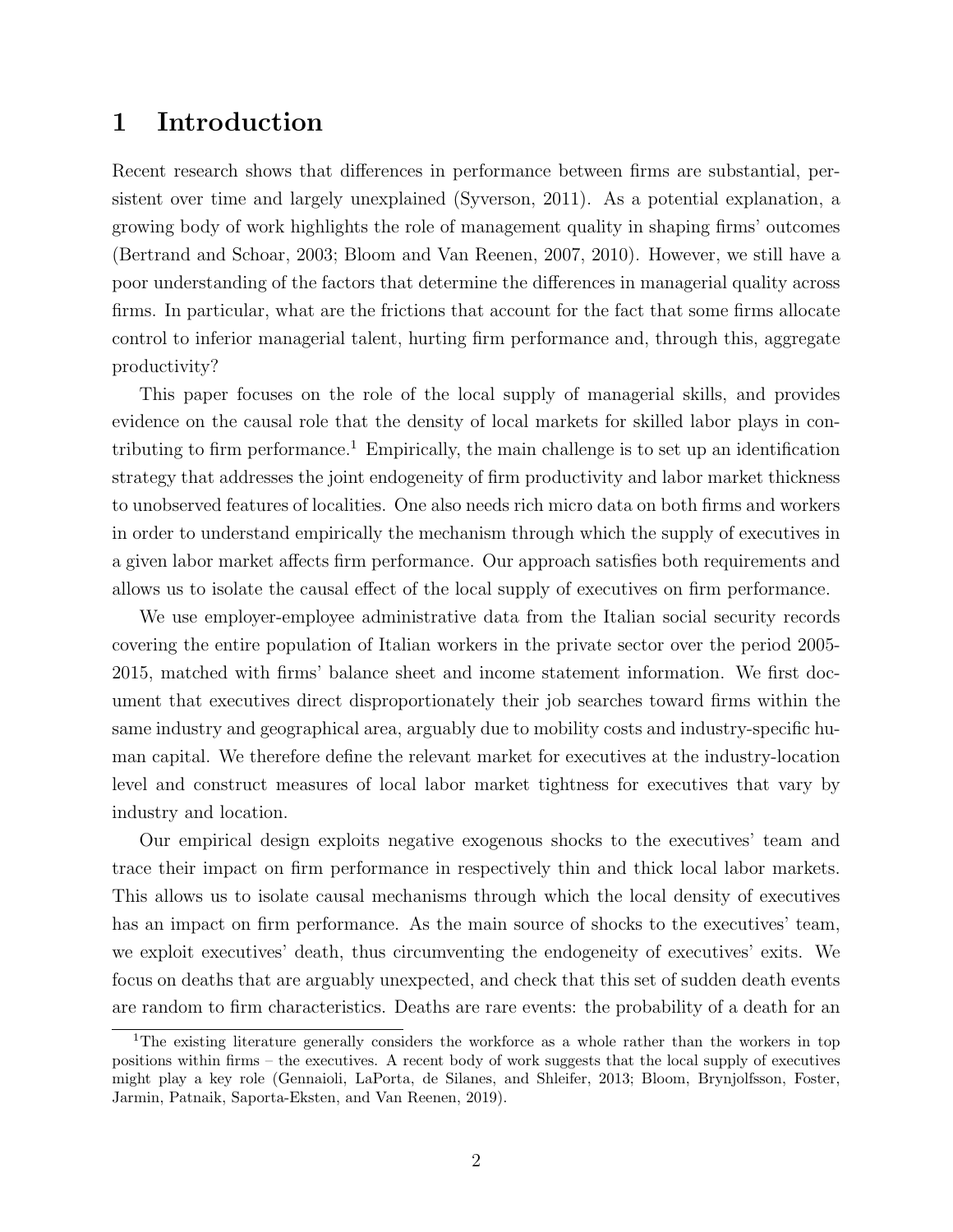## 1 Introduction

Recent research shows that differences in performance between firms are substantial, persistent over time and largely unexplained (Syverson, 2011). As a potential explanation, a growing body of work highlights the role of management quality in shaping firms' outcomes (Bertrand and Schoar, 2003; Bloom and Van Reenen, 2007, 2010). However, we still have a poor understanding of the factors that determine the differences in managerial quality across firms. In particular, what are the frictions that account for the fact that some firms allocate control to inferior managerial talent, hurting firm performance and, through this, aggregate productivity?

This paper focuses on the role of the local supply of managerial skills, and provides evidence on the causal role that the density of local markets for skilled labor plays in contributing to firm performance.<sup>1</sup> Empirically, the main challenge is to set up an identification strategy that addresses the joint endogeneity of firm productivity and labor market thickness to unobserved features of localities. One also needs rich micro data on both firms and workers in order to understand empirically the mechanism through which the supply of executives in a given labor market affects firm performance. Our approach satisfies both requirements and allows us to isolate the causal effect of the local supply of executives on firm performance.

We use employer-employee administrative data from the Italian social security records covering the entire population of Italian workers in the private sector over the period 2005- 2015, matched with firms' balance sheet and income statement information. We first document that executives direct disproportionately their job searches toward firms within the same industry and geographical area, arguably due to mobility costs and industry-specific human capital. We therefore define the relevant market for executives at the industry-location level and construct measures of local labor market tightness for executives that vary by industry and location.

Our empirical design exploits negative exogenous shocks to the executives' team and trace their impact on firm performance in respectively thin and thick local labor markets. This allows us to isolate causal mechanisms through which the local density of executives has an impact on firm performance. As the main source of shocks to the executives' team, we exploit executives' death, thus circumventing the endogeneity of executives' exits. We focus on deaths that are arguably unexpected, and check that this set of sudden death events are random to firm characteristics. Deaths are rare events: the probability of a death for an

<sup>&</sup>lt;sup>1</sup>The existing literature generally considers the workforce as a whole rather than the workers in top positions within firms – the executives. A recent body of work suggests that the local supply of executives might play a key role (Gennaioli, LaPorta, de Silanes, and Shleifer, 2013; Bloom, Brynjolfsson, Foster, Jarmin, Patnaik, Saporta-Eksten, and Van Reenen, 2019).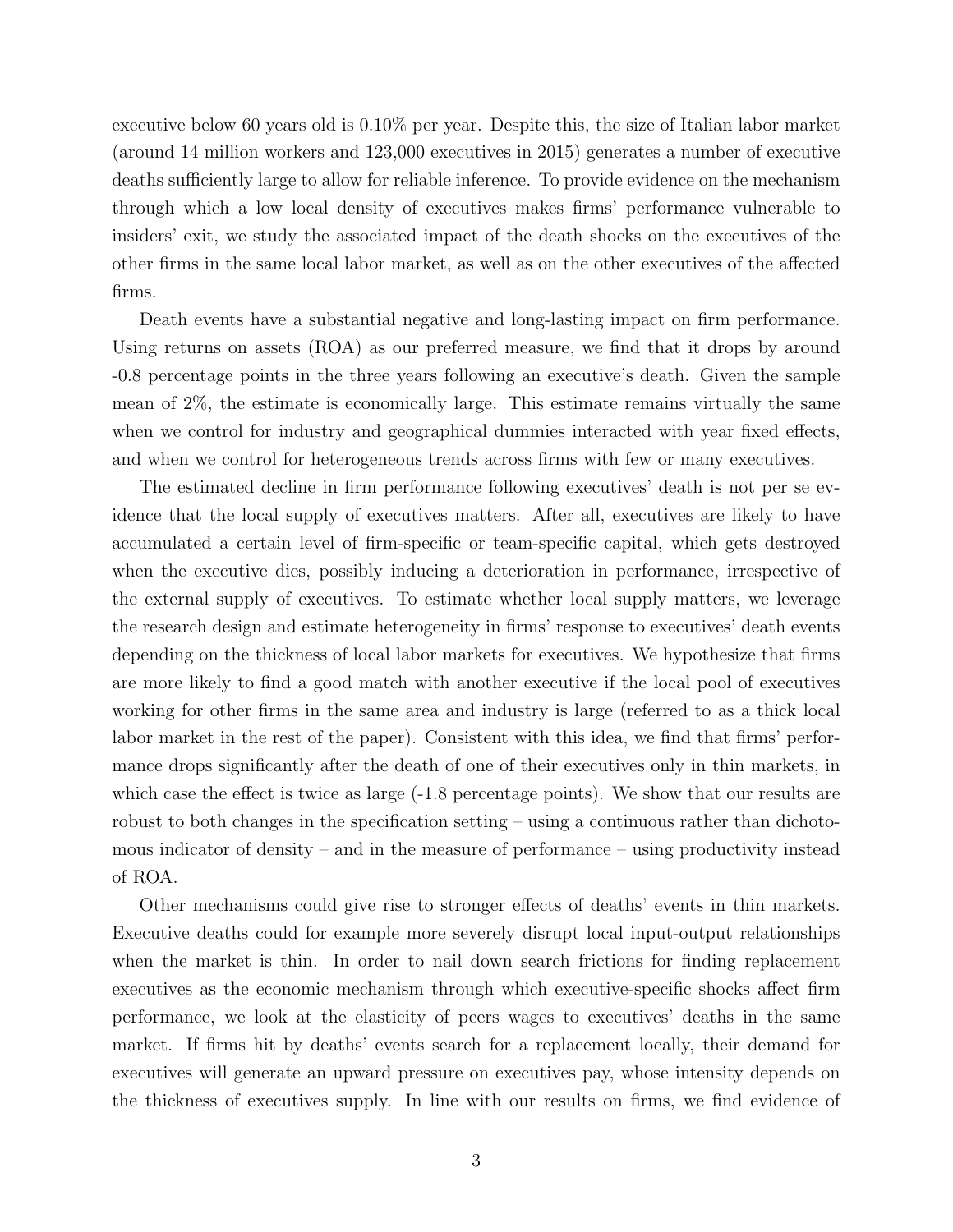executive below 60 years old is 0.10% per year. Despite this, the size of Italian labor market (around 14 million workers and 123,000 executives in 2015) generates a number of executive deaths sufficiently large to allow for reliable inference. To provide evidence on the mechanism through which a low local density of executives makes firms' performance vulnerable to insiders' exit, we study the associated impact of the death shocks on the executives of the other firms in the same local labor market, as well as on the other executives of the affected firms.

Death events have a substantial negative and long-lasting impact on firm performance. Using returns on assets (ROA) as our preferred measure, we find that it drops by around -0.8 percentage points in the three years following an executive's death. Given the sample mean of 2%, the estimate is economically large. This estimate remains virtually the same when we control for industry and geographical dummies interacted with year fixed effects, and when we control for heterogeneous trends across firms with few or many executives.

The estimated decline in firm performance following executives' death is not per se evidence that the local supply of executives matters. After all, executives are likely to have accumulated a certain level of firm-specific or team-specific capital, which gets destroyed when the executive dies, possibly inducing a deterioration in performance, irrespective of the external supply of executives. To estimate whether local supply matters, we leverage the research design and estimate heterogeneity in firms' response to executives' death events depending on the thickness of local labor markets for executives. We hypothesize that firms are more likely to find a good match with another executive if the local pool of executives working for other firms in the same area and industry is large (referred to as a thick local labor market in the rest of the paper). Consistent with this idea, we find that firms' performance drops significantly after the death of one of their executives only in thin markets, in which case the effect is twice as large  $(-1.8$  percentage points). We show that our results are robust to both changes in the specification setting – using a continuous rather than dichotomous indicator of density – and in the measure of performance – using productivity instead of ROA.

Other mechanisms could give rise to stronger effects of deaths' events in thin markets. Executive deaths could for example more severely disrupt local input-output relationships when the market is thin. In order to nail down search frictions for finding replacement executives as the economic mechanism through which executive-specific shocks affect firm performance, we look at the elasticity of peers wages to executives' deaths in the same market. If firms hit by deaths' events search for a replacement locally, their demand for executives will generate an upward pressure on executives pay, whose intensity depends on the thickness of executives supply. In line with our results on firms, we find evidence of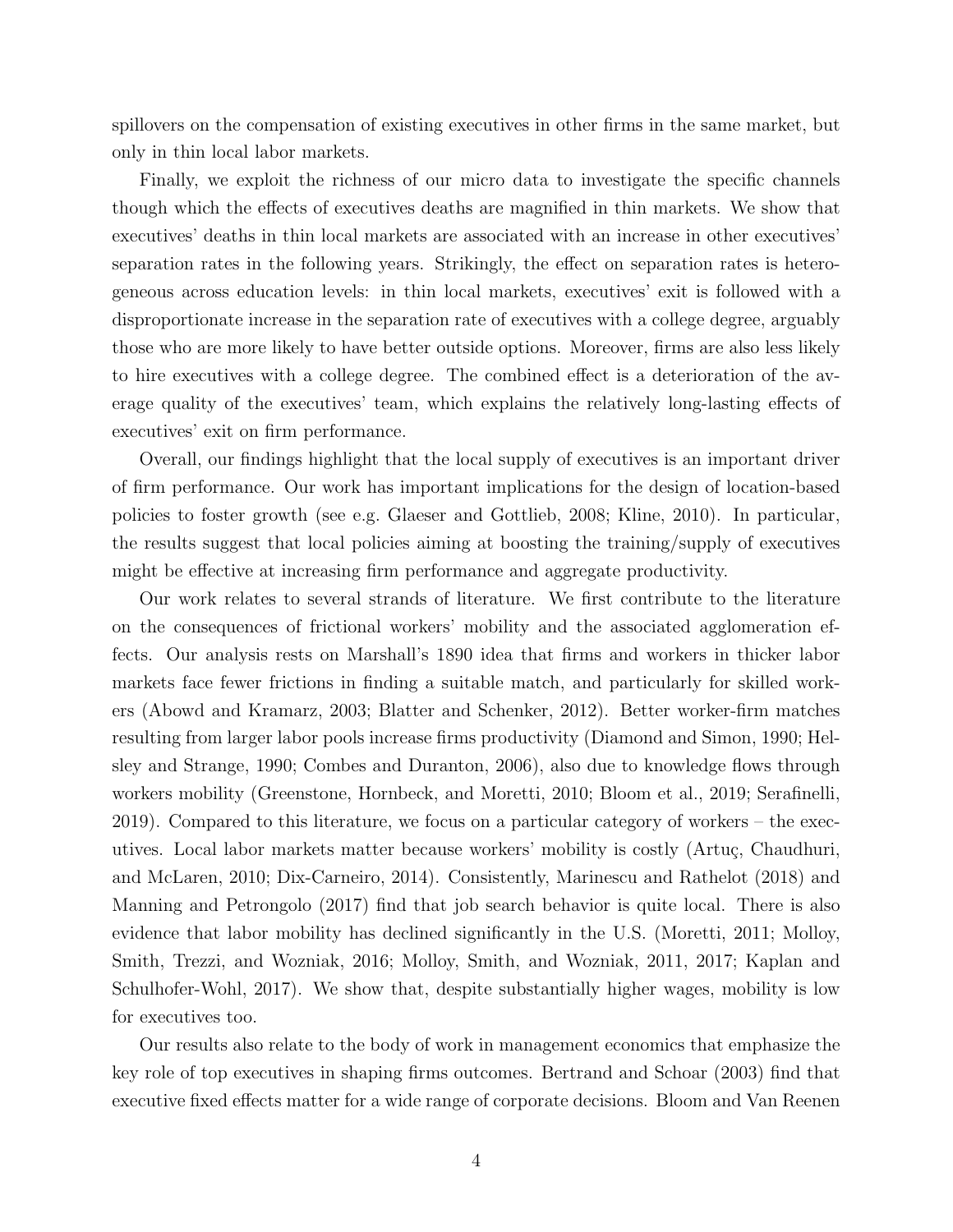spillovers on the compensation of existing executives in other firms in the same market, but only in thin local labor markets.

Finally, we exploit the richness of our micro data to investigate the specific channels though which the effects of executives deaths are magnified in thin markets. We show that executives' deaths in thin local markets are associated with an increase in other executives' separation rates in the following years. Strikingly, the effect on separation rates is heterogeneous across education levels: in thin local markets, executives' exit is followed with a disproportionate increase in the separation rate of executives with a college degree, arguably those who are more likely to have better outside options. Moreover, firms are also less likely to hire executives with a college degree. The combined effect is a deterioration of the average quality of the executives' team, which explains the relatively long-lasting effects of executives' exit on firm performance.

Overall, our findings highlight that the local supply of executives is an important driver of firm performance. Our work has important implications for the design of location-based policies to foster growth (see e.g. Glaeser and Gottlieb, 2008; Kline, 2010). In particular, the results suggest that local policies aiming at boosting the training/supply of executives might be effective at increasing firm performance and aggregate productivity.

Our work relates to several strands of literature. We first contribute to the literature on the consequences of frictional workers' mobility and the associated agglomeration effects. Our analysis rests on Marshall's 1890 idea that firms and workers in thicker labor markets face fewer frictions in finding a suitable match, and particularly for skilled workers (Abowd and Kramarz, 2003; Blatter and Schenker, 2012). Better worker-firm matches resulting from larger labor pools increase firms productivity (Diamond and Simon, 1990; Helsley and Strange, 1990; Combes and Duranton, 2006), also due to knowledge flows through workers mobility (Greenstone, Hornbeck, and Moretti, 2010; Bloom et al., 2019; Serafinelli, 2019). Compared to this literature, we focus on a particular category of workers – the executives. Local labor markets matter because workers' mobility is costly (Artuç, Chaudhuri, and McLaren, 2010; Dix-Carneiro, 2014). Consistently, Marinescu and Rathelot (2018) and Manning and Petrongolo (2017) find that job search behavior is quite local. There is also evidence that labor mobility has declined significantly in the U.S. (Moretti, 2011; Molloy, Smith, Trezzi, and Wozniak, 2016; Molloy, Smith, and Wozniak, 2011, 2017; Kaplan and Schulhofer-Wohl, 2017). We show that, despite substantially higher wages, mobility is low for executives too.

Our results also relate to the body of work in management economics that emphasize the key role of top executives in shaping firms outcomes. Bertrand and Schoar (2003) find that executive fixed effects matter for a wide range of corporate decisions. Bloom and Van Reenen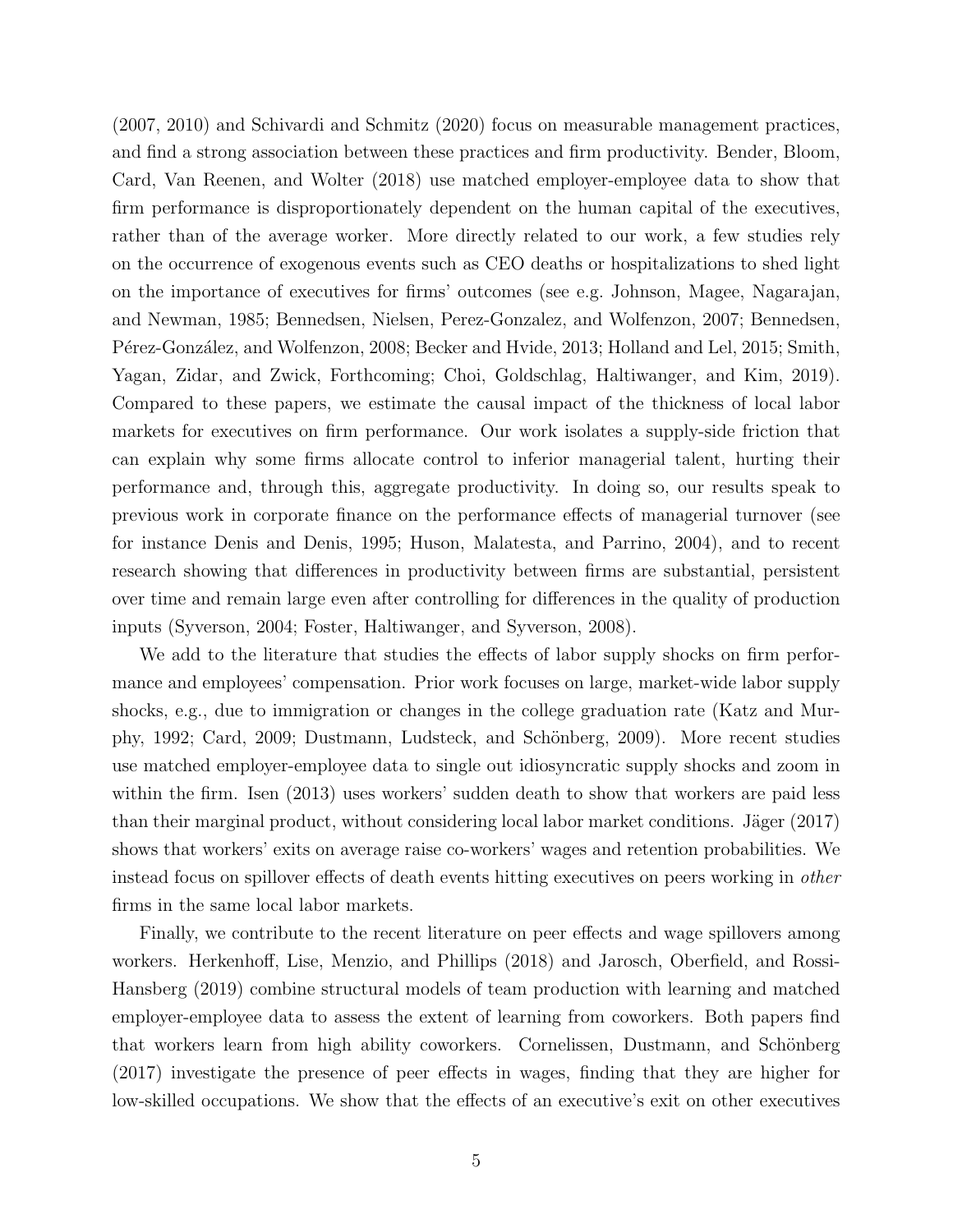(2007, 2010) and Schivardi and Schmitz (2020) focus on measurable management practices, and find a strong association between these practices and firm productivity. Bender, Bloom, Card, Van Reenen, and Wolter (2018) use matched employer-employee data to show that firm performance is disproportionately dependent on the human capital of the executives, rather than of the average worker. More directly related to our work, a few studies rely on the occurrence of exogenous events such as CEO deaths or hospitalizations to shed light on the importance of executives for firms' outcomes (see e.g. Johnson, Magee, Nagarajan, and Newman, 1985; Bennedsen, Nielsen, Perez-Gonzalez, and Wolfenzon, 2007; Bennedsen, Pérez-González, and Wolfenzon, 2008; Becker and Hvide, 2013; Holland and Lel, 2015; Smith, Yagan, Zidar, and Zwick, Forthcoming; Choi, Goldschlag, Haltiwanger, and Kim, 2019). Compared to these papers, we estimate the causal impact of the thickness of local labor markets for executives on firm performance. Our work isolates a supply-side friction that can explain why some firms allocate control to inferior managerial talent, hurting their performance and, through this, aggregate productivity. In doing so, our results speak to previous work in corporate finance on the performance effects of managerial turnover (see for instance Denis and Denis, 1995; Huson, Malatesta, and Parrino, 2004), and to recent research showing that differences in productivity between firms are substantial, persistent over time and remain large even after controlling for differences in the quality of production inputs (Syverson, 2004; Foster, Haltiwanger, and Syverson, 2008).

We add to the literature that studies the effects of labor supply shocks on firm performance and employees' compensation. Prior work focuses on large, market-wide labor supply shocks, e.g., due to immigration or changes in the college graduation rate (Katz and Murphy, 1992; Card, 2009; Dustmann, Ludsteck, and Schönberg, 2009). More recent studies use matched employer-employee data to single out idiosyncratic supply shocks and zoom in within the firm. Isen (2013) uses workers' sudden death to show that workers are paid less than their marginal product, without considering local labor market conditions. Jäger  $(2017)$ shows that workers' exits on average raise co-workers' wages and retention probabilities. We instead focus on spillover effects of death events hitting executives on peers working in other firms in the same local labor markets.

Finally, we contribute to the recent literature on peer effects and wage spillovers among workers. Herkenhoff, Lise, Menzio, and Phillips (2018) and Jarosch, Oberfield, and Rossi-Hansberg (2019) combine structural models of team production with learning and matched employer-employee data to assess the extent of learning from coworkers. Both papers find that workers learn from high ability coworkers. Cornelissen, Dustmann, and Schönberg (2017) investigate the presence of peer effects in wages, finding that they are higher for low-skilled occupations. We show that the effects of an executive's exit on other executives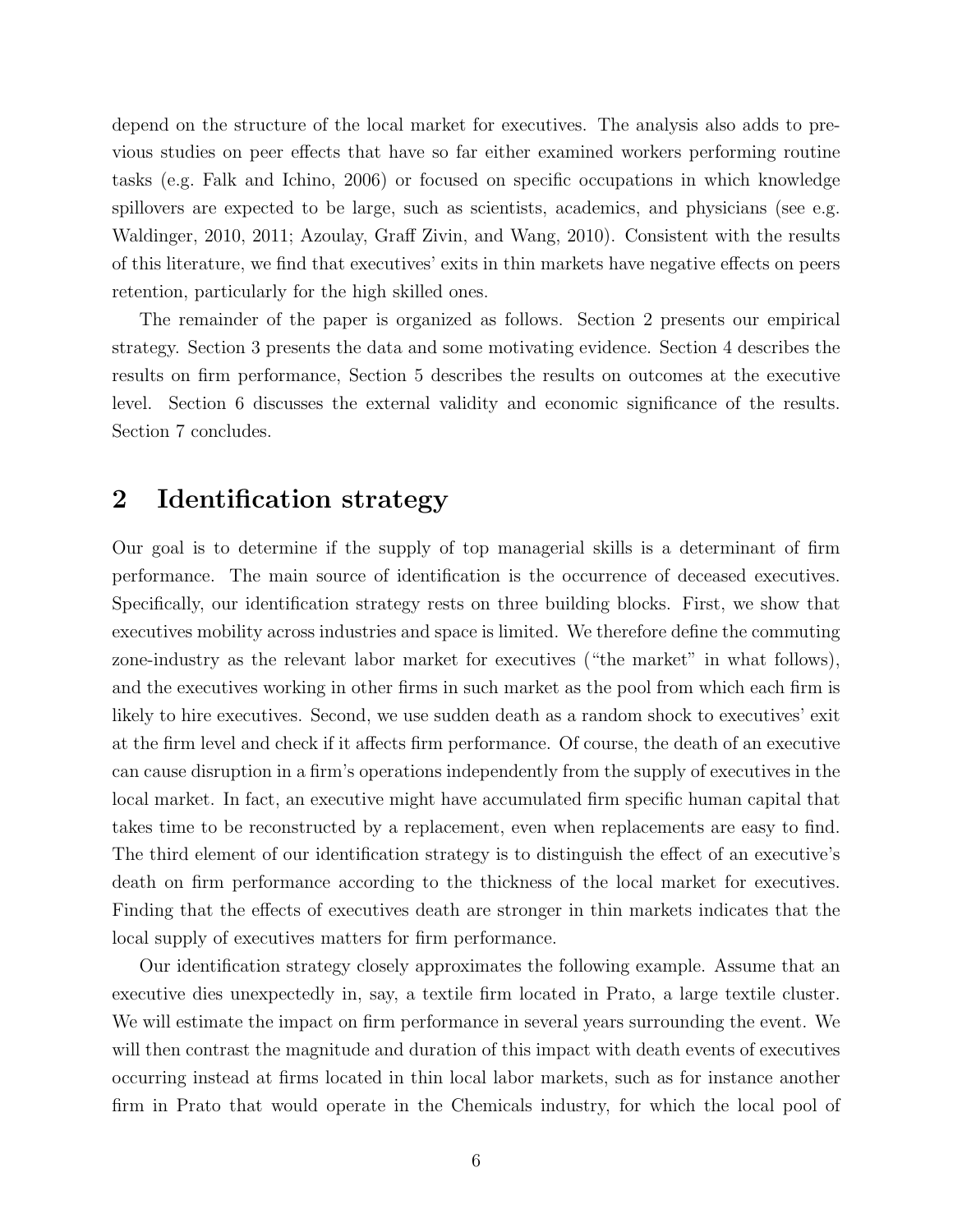depend on the structure of the local market for executives. The analysis also adds to previous studies on peer effects that have so far either examined workers performing routine tasks (e.g. Falk and Ichino, 2006) or focused on specific occupations in which knowledge spillovers are expected to be large, such as scientists, academics, and physicians (see e.g. Waldinger, 2010, 2011; Azoulay, Graff Zivin, and Wang, 2010). Consistent with the results of this literature, we find that executives' exits in thin markets have negative effects on peers retention, particularly for the high skilled ones.

The remainder of the paper is organized as follows. Section 2 presents our empirical strategy. Section 3 presents the data and some motivating evidence. Section 4 describes the results on firm performance, Section 5 describes the results on outcomes at the executive level. Section 6 discusses the external validity and economic significance of the results. Section 7 concludes.

## 2 Identification strategy

Our goal is to determine if the supply of top managerial skills is a determinant of firm performance. The main source of identification is the occurrence of deceased executives. Specifically, our identification strategy rests on three building blocks. First, we show that executives mobility across industries and space is limited. We therefore define the commuting zone-industry as the relevant labor market for executives ("the market" in what follows), and the executives working in other firms in such market as the pool from which each firm is likely to hire executives. Second, we use sudden death as a random shock to executives' exit at the firm level and check if it affects firm performance. Of course, the death of an executive can cause disruption in a firm's operations independently from the supply of executives in the local market. In fact, an executive might have accumulated firm specific human capital that takes time to be reconstructed by a replacement, even when replacements are easy to find. The third element of our identification strategy is to distinguish the effect of an executive's death on firm performance according to the thickness of the local market for executives. Finding that the effects of executives death are stronger in thin markets indicates that the local supply of executives matters for firm performance.

Our identification strategy closely approximates the following example. Assume that an executive dies unexpectedly in, say, a textile firm located in Prato, a large textile cluster. We will estimate the impact on firm performance in several years surrounding the event. We will then contrast the magnitude and duration of this impact with death events of executives occurring instead at firms located in thin local labor markets, such as for instance another firm in Prato that would operate in the Chemicals industry, for which the local pool of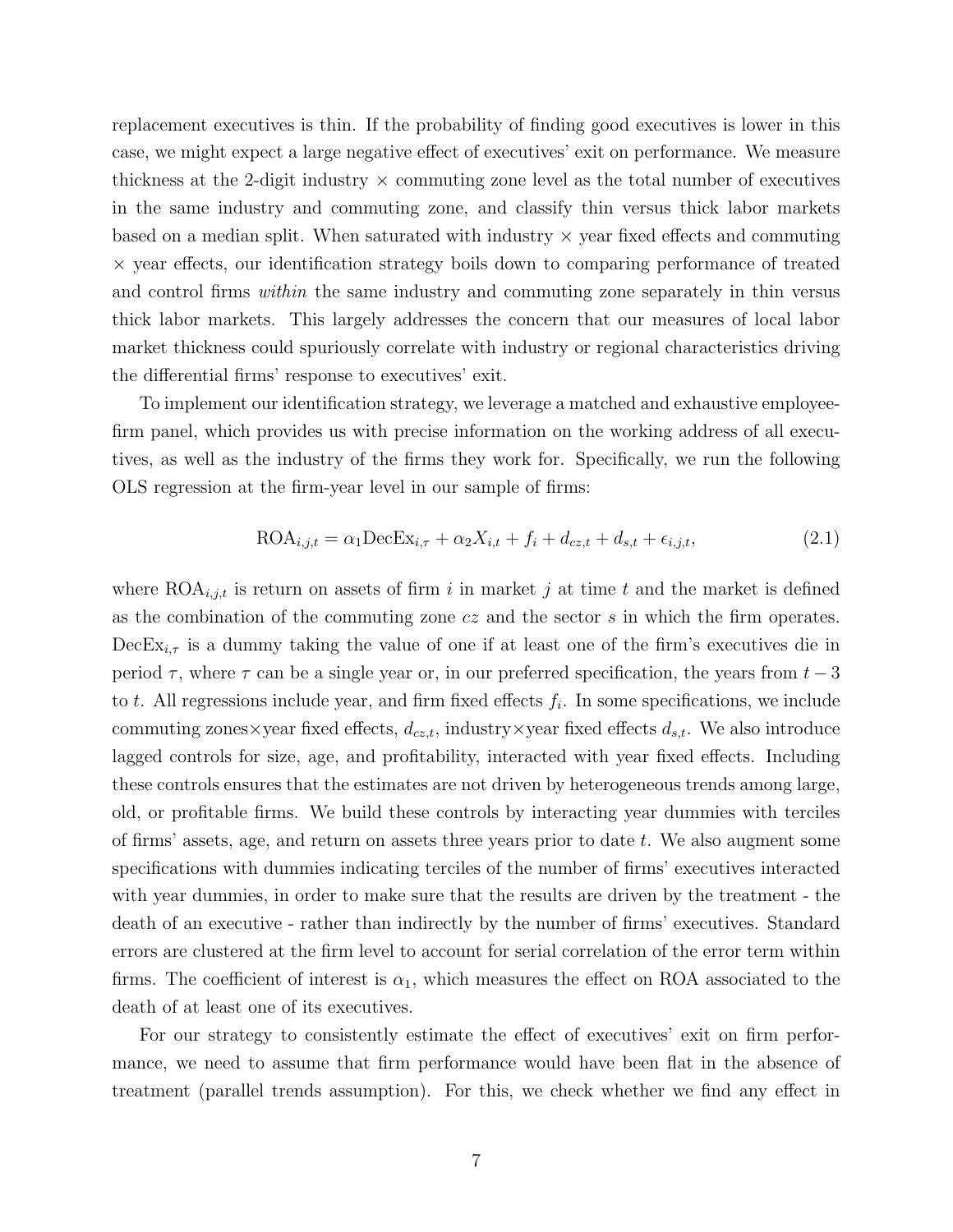replacement executives is thin. If the probability of finding good executives is lower in this case, we might expect a large negative effect of executives' exit on performance. We measure thickness at the 2-digit industry  $\times$  commuting zone level as the total number of executives in the same industry and commuting zone, and classify thin versus thick labor markets based on a median split. When saturated with industry  $\times$  year fixed effects and commuting × year effects, our identification strategy boils down to comparing performance of treated and control firms *within* the same industry and commuting zone separately in thin versus thick labor markets. This largely addresses the concern that our measures of local labor market thickness could spuriously correlate with industry or regional characteristics driving the differential firms' response to executives' exit.

To implement our identification strategy, we leverage a matched and exhaustive employeefirm panel, which provides us with precise information on the working address of all executives, as well as the industry of the firms they work for. Specifically, we run the following OLS regression at the firm-year level in our sample of firms:

$$
\text{ROA}_{i,j,t} = \alpha_1 \text{DecEx}_{i,\tau} + \alpha_2 X_{i,t} + f_i + d_{cz,t} + d_{s,t} + \epsilon_{i,j,t},\tag{2.1}
$$

where  $\text{ROA}_{i,j,t}$  is return on assets of firm i in market j at time t and the market is defined as the combination of the commuting zone  $cz$  and the sector  $s$  in which the firm operates.  $\text{DecEx}_{i,\tau}$  is a dummy taking the value of one if at least one of the firm's executives die in period  $\tau$ , where  $\tau$  can be a single year or, in our preferred specification, the years from  $t-3$ to t. All regressions include year, and firm fixed effects  $f_i$ . In some specifications, we include commuting zones×year fixed effects,  $d_{cz,t}$ , industry×year fixed effects  $d_{s,t}$ . We also introduce lagged controls for size, age, and profitability, interacted with year fixed effects. Including these controls ensures that the estimates are not driven by heterogeneous trends among large, old, or profitable firms. We build these controls by interacting year dummies with terciles of firms' assets, age, and return on assets three years prior to date t. We also augment some specifications with dummies indicating terciles of the number of firms' executives interacted with year dummies, in order to make sure that the results are driven by the treatment - the death of an executive - rather than indirectly by the number of firms' executives. Standard errors are clustered at the firm level to account for serial correlation of the error term within firms. The coefficient of interest is  $\alpha_1$ , which measures the effect on ROA associated to the death of at least one of its executives.

For our strategy to consistently estimate the effect of executives' exit on firm performance, we need to assume that firm performance would have been flat in the absence of treatment (parallel trends assumption). For this, we check whether we find any effect in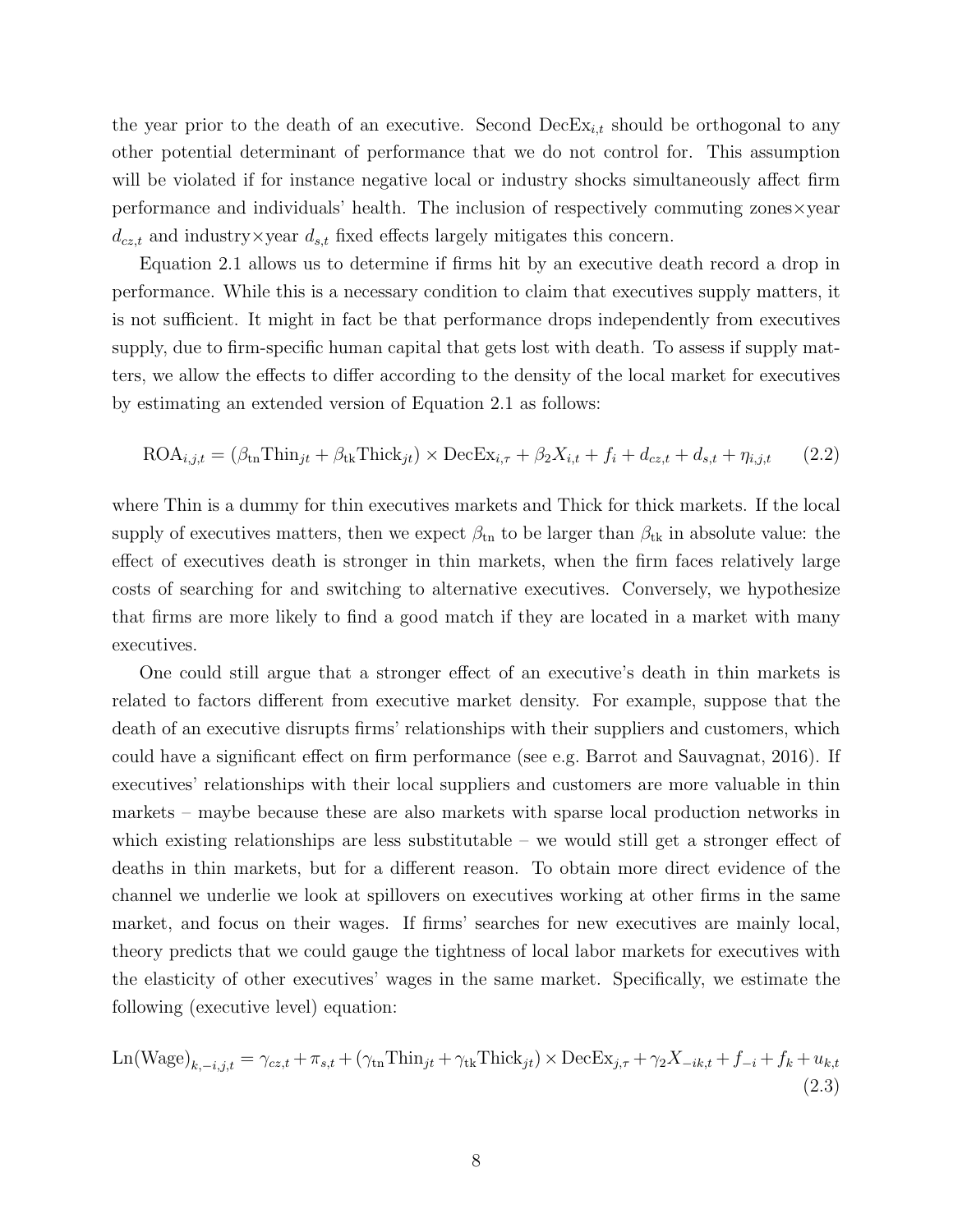the year prior to the death of an executive. Second  $\text{DecEx}_{i,t}$  should be orthogonal to any other potential determinant of performance that we do not control for. This assumption will be violated if for instance negative local or industry shocks simultaneously affect firm performance and individuals' health. The inclusion of respectively commuting zones×year  $d_{cz,t}$  and industry×year  $d_{s,t}$  fixed effects largely mitigates this concern.

Equation 2.1 allows us to determine if firms hit by an executive death record a drop in performance. While this is a necessary condition to claim that executives supply matters, it is not sufficient. It might in fact be that performance drops independently from executives supply, due to firm-specific human capital that gets lost with death. To assess if supply matters, we allow the effects to differ according to the density of the local market for executives by estimating an extended version of Equation 2.1 as follows:

$$
\text{ROA}_{i,j,t} = (\beta_{\text{tn}} \text{Think}_{jt} + \beta_{\text{tk}} \text{Thick}_{jt}) \times \text{DecEx}_{i,\tau} + \beta_2 X_{i,t} + f_i + d_{cz,t} + d_{s,t} + \eta_{i,j,t} \tag{2.2}
$$

where Thin is a dummy for thin executives markets and Thick for thick markets. If the local supply of executives matters, then we expect  $\beta_{\text{tn}}$  to be larger than  $\beta_{\text{tk}}$  in absolute value: the effect of executives death is stronger in thin markets, when the firm faces relatively large costs of searching for and switching to alternative executives. Conversely, we hypothesize that firms are more likely to find a good match if they are located in a market with many executives.

One could still argue that a stronger effect of an executive's death in thin markets is related to factors different from executive market density. For example, suppose that the death of an executive disrupts firms' relationships with their suppliers and customers, which could have a significant effect on firm performance (see e.g. Barrot and Sauvagnat, 2016). If executives' relationships with their local suppliers and customers are more valuable in thin markets – maybe because these are also markets with sparse local production networks in which existing relationships are less substitutable – we would still get a stronger effect of deaths in thin markets, but for a different reason. To obtain more direct evidence of the channel we underlie we look at spillovers on executives working at other firms in the same market, and focus on their wages. If firms' searches for new executives are mainly local, theory predicts that we could gauge the tightness of local labor markets for executives with the elasticity of other executives' wages in the same market. Specifically, we estimate the following (executive level) equation:

$$
\text{Ln(Wage)}_{k,-i,j,t} = \gamma_{cz,t} + \pi_{s,t} + (\gamma_{\text{tn}} \text{Thin}_{jt} + \gamma_{\text{tk}} \text{Thick}_{jt}) \times \text{DecEx}_{j,\tau} + \gamma_2 X_{-ik,t} + f_{-i} + f_k + u_{k,t}
$$
\n(2.3)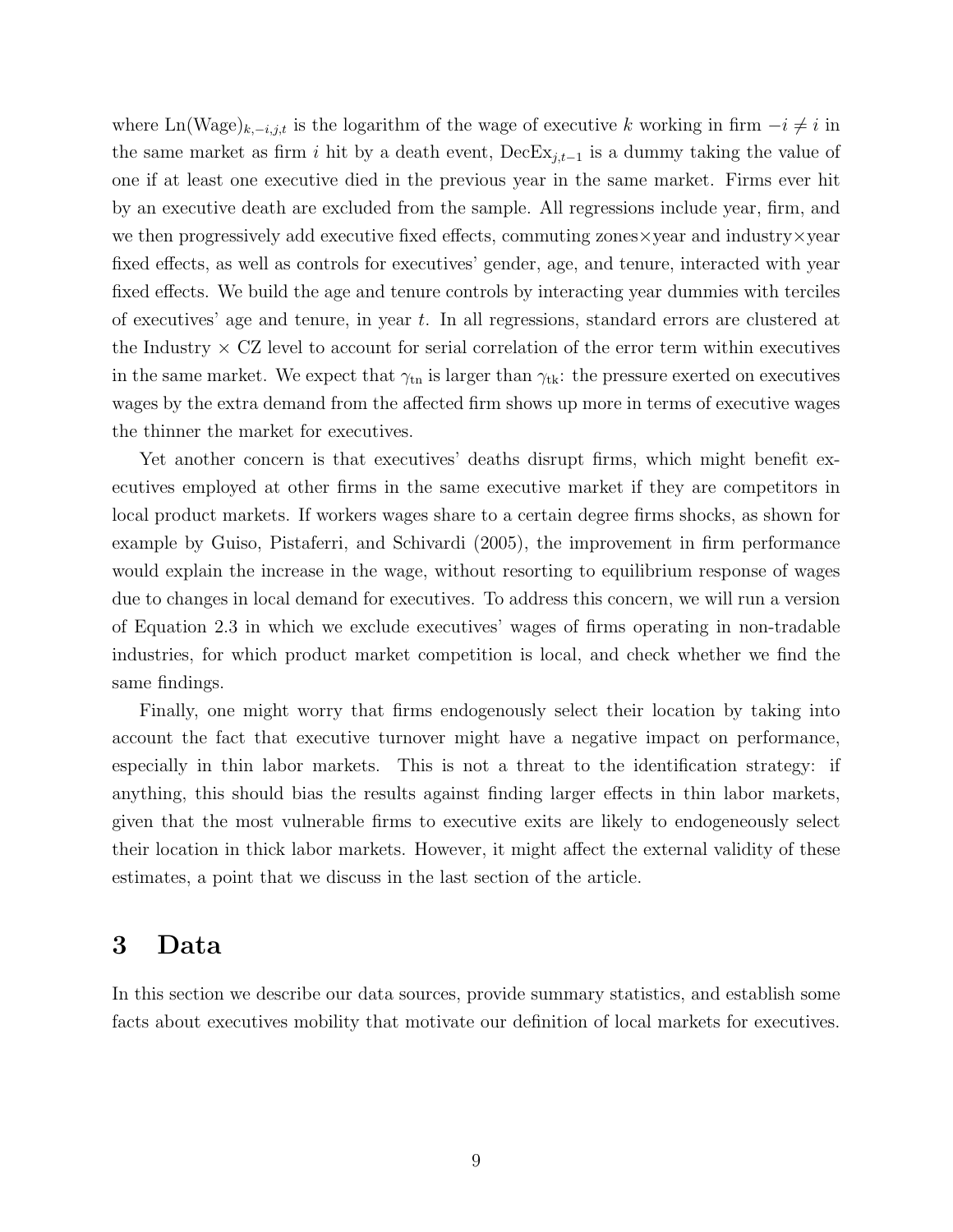where Ln(Wage)<sub>k, $-i,j,t$ </sub> is the logarithm of the wage of executive k working in firm  $-i \neq i$  in the same market as firm i hit by a death event,  $\text{DecEx}_{i,t-1}$  is a dummy taking the value of one if at least one executive died in the previous year in the same market. Firms ever hit by an executive death are excluded from the sample. All regressions include year, firm, and we then progressively add executive fixed effects, commuting zones×year and industry×year fixed effects, as well as controls for executives' gender, age, and tenure, interacted with year fixed effects. We build the age and tenure controls by interacting year dummies with terciles of executives' age and tenure, in year  $t$ . In all regressions, standard errors are clustered at the Industry  $\times$  CZ level to account for serial correlation of the error term within executives in the same market. We expect that  $\gamma_{\text{tn}}$  is larger than  $\gamma_{\text{tk}}$ : the pressure exerted on executives wages by the extra demand from the affected firm shows up more in terms of executive wages the thinner the market for executives.

Yet another concern is that executives' deaths disrupt firms, which might benefit executives employed at other firms in the same executive market if they are competitors in local product markets. If workers wages share to a certain degree firms shocks, as shown for example by Guiso, Pistaferri, and Schivardi (2005), the improvement in firm performance would explain the increase in the wage, without resorting to equilibrium response of wages due to changes in local demand for executives. To address this concern, we will run a version of Equation 2.3 in which we exclude executives' wages of firms operating in non-tradable industries, for which product market competition is local, and check whether we find the same findings.

Finally, one might worry that firms endogenously select their location by taking into account the fact that executive turnover might have a negative impact on performance, especially in thin labor markets. This is not a threat to the identification strategy: if anything, this should bias the results against finding larger effects in thin labor markets, given that the most vulnerable firms to executive exits are likely to endogeneously select their location in thick labor markets. However, it might affect the external validity of these estimates, a point that we discuss in the last section of the article.

### 3 Data

In this section we describe our data sources, provide summary statistics, and establish some facts about executives mobility that motivate our definition of local markets for executives.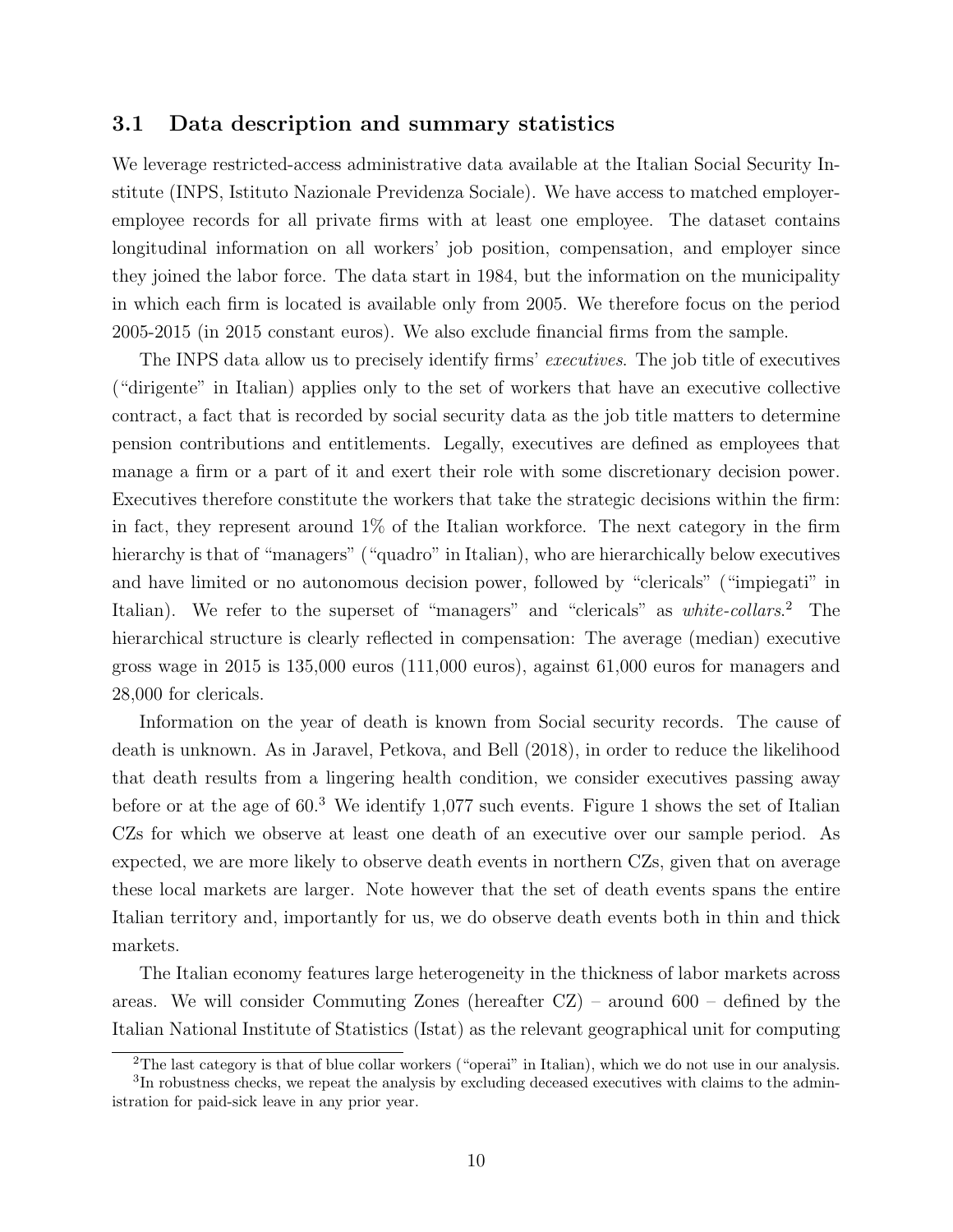#### 3.1 Data description and summary statistics

We leverage restricted-access administrative data available at the Italian Social Security Institute (INPS, Istituto Nazionale Previdenza Sociale). We have access to matched employeremployee records for all private firms with at least one employee. The dataset contains longitudinal information on all workers' job position, compensation, and employer since they joined the labor force. The data start in 1984, but the information on the municipality in which each firm is located is available only from 2005. We therefore focus on the period 2005-2015 (in 2015 constant euros). We also exclude financial firms from the sample.

The INPS data allow us to precisely identify firms' executives. The job title of executives ("dirigente" in Italian) applies only to the set of workers that have an executive collective contract, a fact that is recorded by social security data as the job title matters to determine pension contributions and entitlements. Legally, executives are defined as employees that manage a firm or a part of it and exert their role with some discretionary decision power. Executives therefore constitute the workers that take the strategic decisions within the firm: in fact, they represent around 1% of the Italian workforce. The next category in the firm hierarchy is that of "managers" ("quadro" in Italian), who are hierarchically below executives and have limited or no autonomous decision power, followed by "clericals" ("impiegati" in Italian). We refer to the superset of "managers" and "clericals" as white-collars.<sup>2</sup> The hierarchical structure is clearly reflected in compensation: The average (median) executive gross wage in 2015 is 135,000 euros (111,000 euros), against 61,000 euros for managers and 28,000 for clericals.

Information on the year of death is known from Social security records. The cause of death is unknown. As in Jaravel, Petkova, and Bell (2018), in order to reduce the likelihood that death results from a lingering health condition, we consider executives passing away before or at the age of  $60<sup>3</sup>$  We identify 1,077 such events. Figure 1 shows the set of Italian CZs for which we observe at least one death of an executive over our sample period. As expected, we are more likely to observe death events in northern CZs, given that on average these local markets are larger. Note however that the set of death events spans the entire Italian territory and, importantly for us, we do observe death events both in thin and thick markets.

The Italian economy features large heterogeneity in the thickness of labor markets across areas. We will consider Commuting Zones (hereafter CZ) – around 600 – defined by the Italian National Institute of Statistics (Istat) as the relevant geographical unit for computing

<sup>2</sup>The last category is that of blue collar workers ("operai" in Italian), which we do not use in our analysis.

<sup>&</sup>lt;sup>3</sup>In robustness checks, we repeat the analysis by excluding deceased executives with claims to the administration for paid-sick leave in any prior year.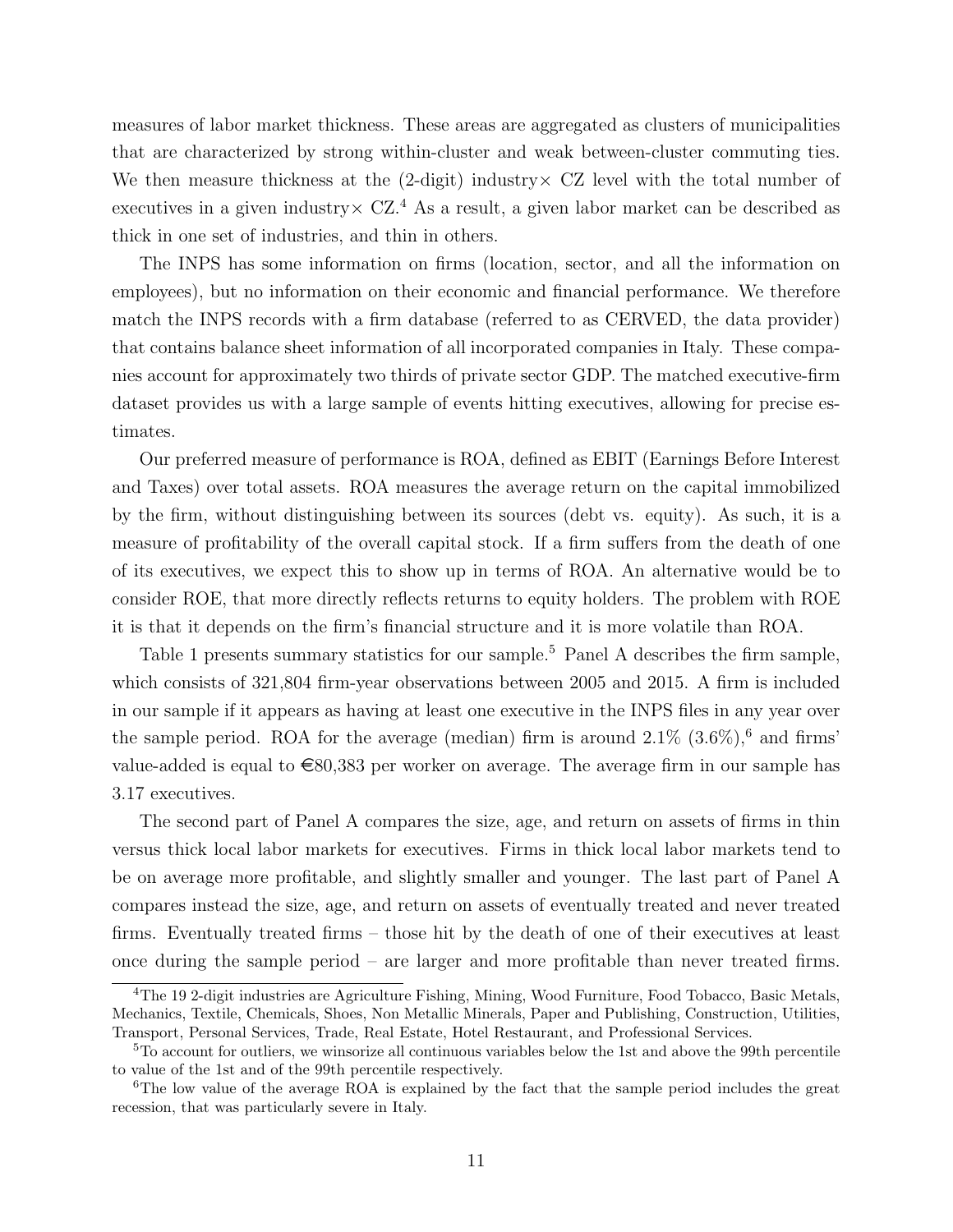measures of labor market thickness. These areas are aggregated as clusters of municipalities that are characterized by strong within-cluster and weak between-cluster commuting ties. We then measure thickness at the  $(2\text{-digit})$  industry  $\times$  CZ level with the total number of executives in a given industry  $CZ<sup>4</sup>$  As a result, a given labor market can be described as thick in one set of industries, and thin in others.

The INPS has some information on firms (location, sector, and all the information on employees), but no information on their economic and financial performance. We therefore match the INPS records with a firm database (referred to as CERVED, the data provider) that contains balance sheet information of all incorporated companies in Italy. These companies account for approximately two thirds of private sector GDP. The matched executive-firm dataset provides us with a large sample of events hitting executives, allowing for precise estimates.

Our preferred measure of performance is ROA, defined as EBIT (Earnings Before Interest and Taxes) over total assets. ROA measures the average return on the capital immobilized by the firm, without distinguishing between its sources (debt vs. equity). As such, it is a measure of profitability of the overall capital stock. If a firm suffers from the death of one of its executives, we expect this to show up in terms of ROA. An alternative would be to consider ROE, that more directly reflects returns to equity holders. The problem with ROE it is that it depends on the firm's financial structure and it is more volatile than ROA.

Table 1 presents summary statistics for our sample.<sup>5</sup> Panel A describes the firm sample, which consists of 321,804 firm-year observations between 2005 and 2015. A firm is included in our sample if it appears as having at least one executive in the INPS files in any year over the sample period. ROA for the average (median) firm is around  $2.1\%$  (3.6%),<sup>6</sup> and firms' value-added is equal to  $\epsilon$ 80,383 per worker on average. The average firm in our sample has 3.17 executives.

The second part of Panel A compares the size, age, and return on assets of firms in thin versus thick local labor markets for executives. Firms in thick local labor markets tend to be on average more profitable, and slightly smaller and younger. The last part of Panel A compares instead the size, age, and return on assets of eventually treated and never treated firms. Eventually treated firms – those hit by the death of one of their executives at least once during the sample period – are larger and more profitable than never treated firms.

<sup>4</sup>The 19 2-digit industries are Agriculture Fishing, Mining, Wood Furniture, Food Tobacco, Basic Metals, Mechanics, Textile, Chemicals, Shoes, Non Metallic Minerals, Paper and Publishing, Construction, Utilities, Transport, Personal Services, Trade, Real Estate, Hotel Restaurant, and Professional Services.

<sup>&</sup>lt;sup>5</sup>To account for outliers, we winsorize all continuous variables below the 1st and above the 99th percentile to value of the 1st and of the 99th percentile respectively.

<sup>&</sup>lt;sup>6</sup>The low value of the average ROA is explained by the fact that the sample period includes the great recession, that was particularly severe in Italy.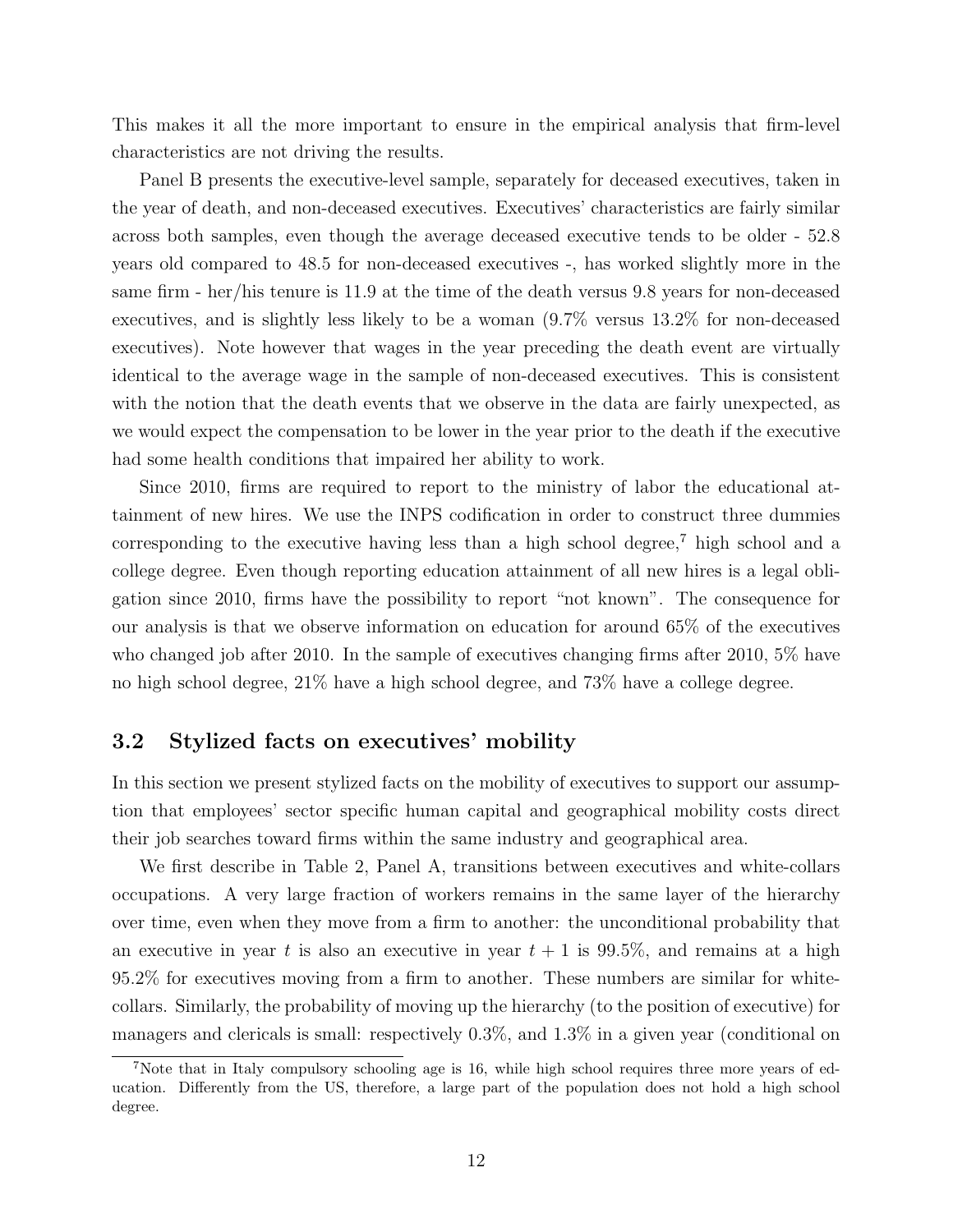This makes it all the more important to ensure in the empirical analysis that firm-level characteristics are not driving the results.

Panel B presents the executive-level sample, separately for deceased executives, taken in the year of death, and non-deceased executives. Executives' characteristics are fairly similar across both samples, even though the average deceased executive tends to be older - 52.8 years old compared to 48.5 for non-deceased executives -, has worked slightly more in the same firm - her/his tenure is 11.9 at the time of the death versus 9.8 years for non-deceased executives, and is slightly less likely to be a woman (9.7% versus 13.2% for non-deceased executives). Note however that wages in the year preceding the death event are virtually identical to the average wage in the sample of non-deceased executives. This is consistent with the notion that the death events that we observe in the data are fairly unexpected, as we would expect the compensation to be lower in the year prior to the death if the executive had some health conditions that impaired her ability to work.

Since 2010, firms are required to report to the ministry of labor the educational attainment of new hires. We use the INPS codification in order to construct three dummies corresponding to the executive having less than a high school degree,<sup>7</sup> high school and a college degree. Even though reporting education attainment of all new hires is a legal obligation since 2010, firms have the possibility to report "not known". The consequence for our analysis is that we observe information on education for around 65% of the executives who changed job after 2010. In the sample of executives changing firms after 2010, 5% have no high school degree, 21% have a high school degree, and 73% have a college degree.

### 3.2 Stylized facts on executives' mobility

In this section we present stylized facts on the mobility of executives to support our assumption that employees' sector specific human capital and geographical mobility costs direct their job searches toward firms within the same industry and geographical area.

We first describe in Table 2, Panel A, transitions between executives and white-collars occupations. A very large fraction of workers remains in the same layer of the hierarchy over time, even when they move from a firm to another: the unconditional probability that an executive in year t is also an executive in year  $t + 1$  is 99.5%, and remains at a high 95.2% for executives moving from a firm to another. These numbers are similar for whitecollars. Similarly, the probability of moving up the hierarchy (to the position of executive) for managers and clericals is small: respectively 0.3%, and 1.3% in a given year (conditional on

<sup>7</sup>Note that in Italy compulsory schooling age is 16, while high school requires three more years of education. Differently from the US, therefore, a large part of the population does not hold a high school degree.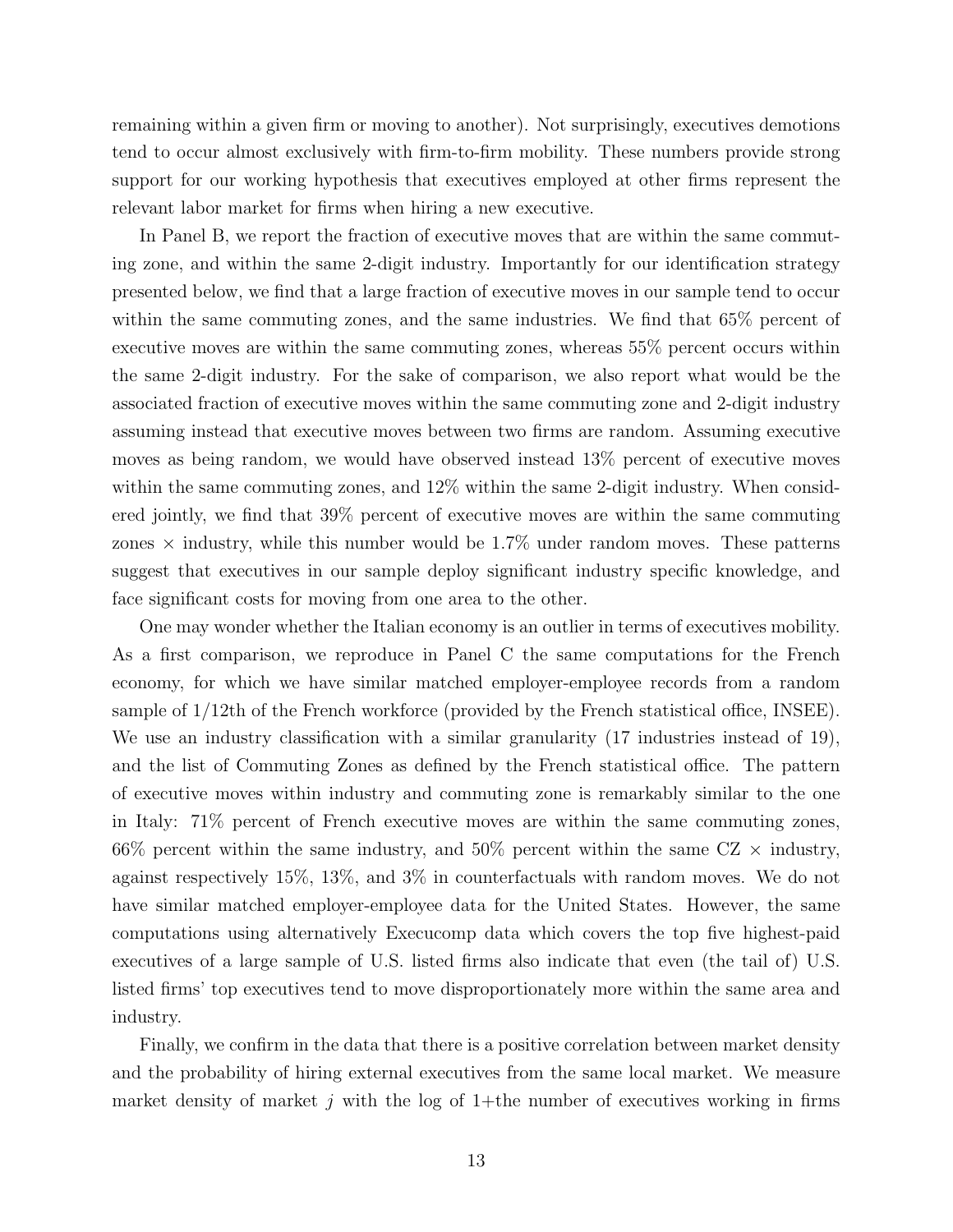remaining within a given firm or moving to another). Not surprisingly, executives demotions tend to occur almost exclusively with firm-to-firm mobility. These numbers provide strong support for our working hypothesis that executives employed at other firms represent the relevant labor market for firms when hiring a new executive.

In Panel B, we report the fraction of executive moves that are within the same commuting zone, and within the same 2-digit industry. Importantly for our identification strategy presented below, we find that a large fraction of executive moves in our sample tend to occur within the same commuting zones, and the same industries. We find that  $65\%$  percent of executive moves are within the same commuting zones, whereas 55% percent occurs within the same 2-digit industry. For the sake of comparison, we also report what would be the associated fraction of executive moves within the same commuting zone and 2-digit industry assuming instead that executive moves between two firms are random. Assuming executive moves as being random, we would have observed instead 13% percent of executive moves within the same commuting zones, and  $12\%$  within the same 2-digit industry. When considered jointly, we find that 39% percent of executive moves are within the same commuting zones  $\times$  industry, while this number would be 1.7% under random moves. These patterns suggest that executives in our sample deploy significant industry specific knowledge, and face significant costs for moving from one area to the other.

One may wonder whether the Italian economy is an outlier in terms of executives mobility. As a first comparison, we reproduce in Panel C the same computations for the French economy, for which we have similar matched employer-employee records from a random sample of 1/12th of the French workforce (provided by the French statistical office, INSEE). We use an industry classification with a similar granularity  $(17 \text{ inductries instead of } 19)$ , and the list of Commuting Zones as defined by the French statistical office. The pattern of executive moves within industry and commuting zone is remarkably similar to the one in Italy: 71% percent of French executive moves are within the same commuting zones, 66% percent within the same industry, and 50% percent within the same  $CZ \times$  industry, against respectively 15%, 13%, and 3% in counterfactuals with random moves. We do not have similar matched employer-employee data for the United States. However, the same computations using alternatively Execucomp data which covers the top five highest-paid executives of a large sample of U.S. listed firms also indicate that even (the tail of) U.S. listed firms' top executives tend to move disproportionately more within the same area and industry.

Finally, we confirm in the data that there is a positive correlation between market density and the probability of hiring external executives from the same local market. We measure market density of market  $j$  with the log of 1+the number of executives working in firms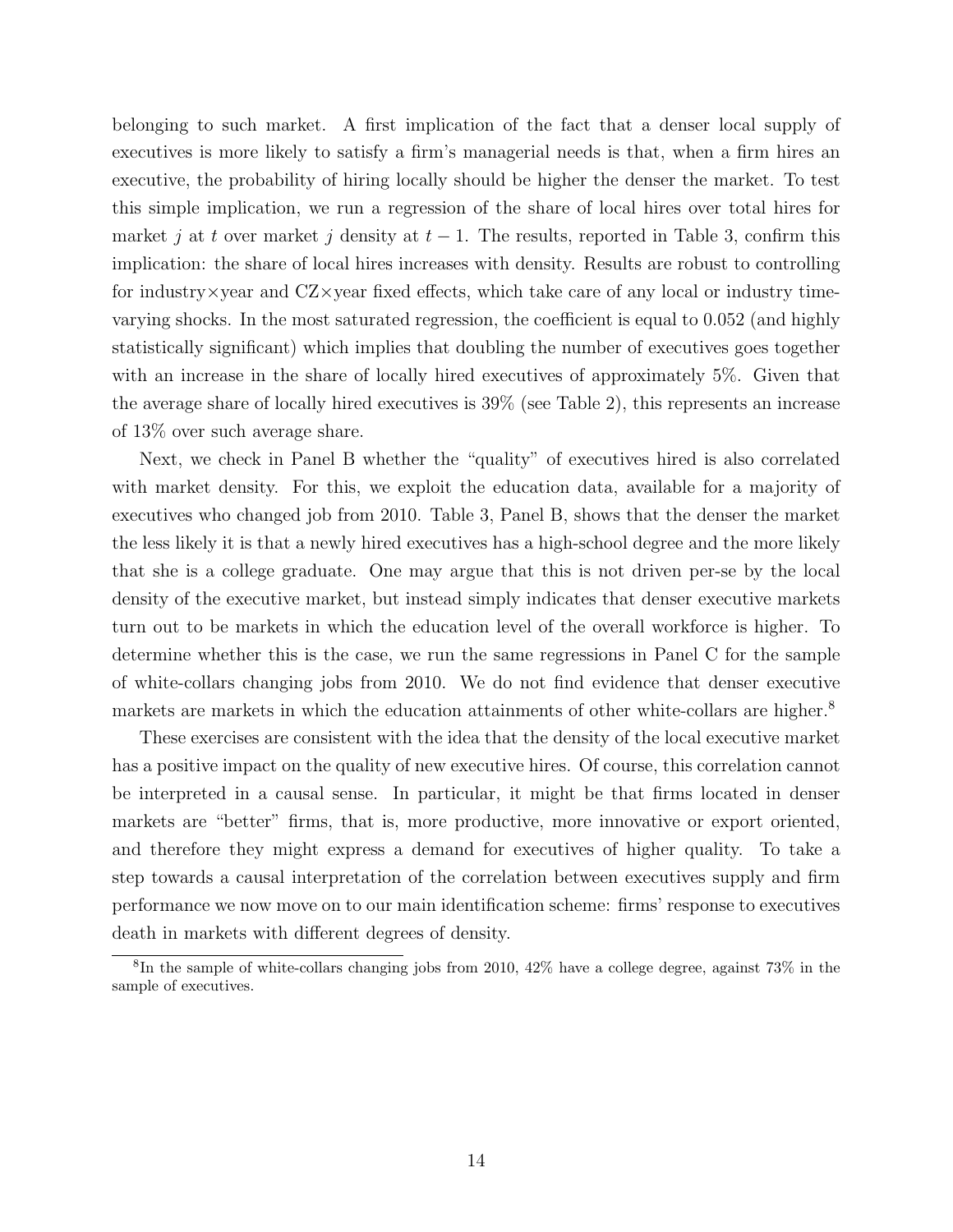belonging to such market. A first implication of the fact that a denser local supply of executives is more likely to satisfy a firm's managerial needs is that, when a firm hires an executive, the probability of hiring locally should be higher the denser the market. To test this simple implication, we run a regression of the share of local hires over total hires for market j at t over market j density at  $t-1$ . The results, reported in Table 3, confirm this implication: the share of local hires increases with density. Results are robust to controlling for industry  $\times$  year and  $CZ\times$  year fixed effects, which take care of any local or industry timevarying shocks. In the most saturated regression, the coefficient is equal to 0.052 (and highly statistically significant) which implies that doubling the number of executives goes together with an increase in the share of locally hired executives of approximately 5%. Given that the average share of locally hired executives is 39% (see Table 2), this represents an increase of 13% over such average share.

Next, we check in Panel B whether the "quality" of executives hired is also correlated with market density. For this, we exploit the education data, available for a majority of executives who changed job from 2010. Table 3, Panel B, shows that the denser the market the less likely it is that a newly hired executives has a high-school degree and the more likely that she is a college graduate. One may argue that this is not driven per-se by the local density of the executive market, but instead simply indicates that denser executive markets turn out to be markets in which the education level of the overall workforce is higher. To determine whether this is the case, we run the same regressions in Panel C for the sample of white-collars changing jobs from 2010. We do not find evidence that denser executive markets are markets in which the education attainments of other white-collars are higher.<sup>8</sup>

These exercises are consistent with the idea that the density of the local executive market has a positive impact on the quality of new executive hires. Of course, this correlation cannot be interpreted in a causal sense. In particular, it might be that firms located in denser markets are "better" firms, that is, more productive, more innovative or export oriented, and therefore they might express a demand for executives of higher quality. To take a step towards a causal interpretation of the correlation between executives supply and firm performance we now move on to our main identification scheme: firms' response to executives death in markets with different degrees of density.

<sup>8</sup> In the sample of white-collars changing jobs from 2010, 42% have a college degree, against 73% in the sample of executives.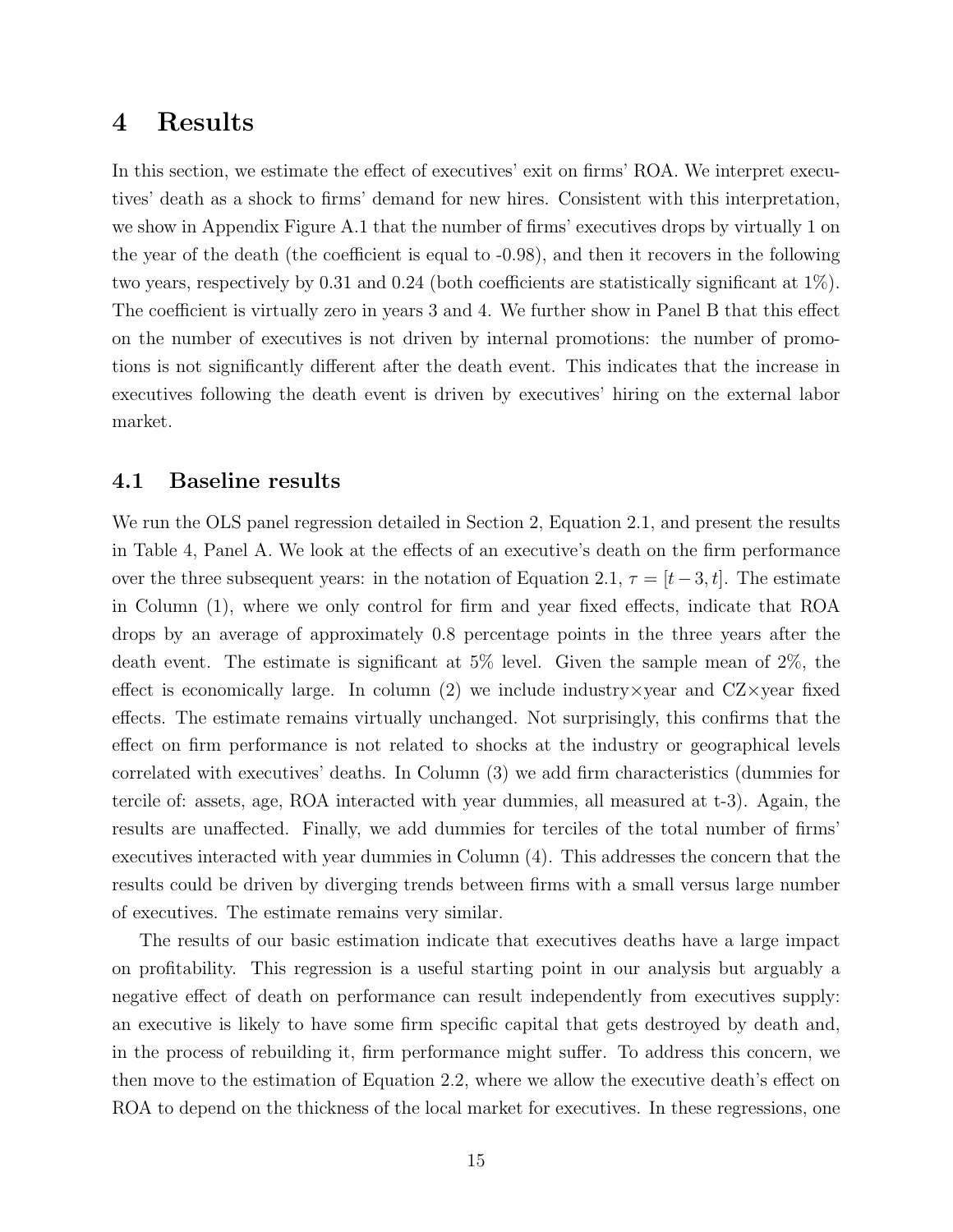## 4 Results

In this section, we estimate the effect of executives' exit on firms' ROA. We interpret executives' death as a shock to firms' demand for new hires. Consistent with this interpretation, we show in Appendix Figure A.1 that the number of firms' executives drops by virtually 1 on the year of the death (the coefficient is equal to -0.98), and then it recovers in the following two years, respectively by 0.31 and 0.24 (both coefficients are statistically significant at 1%). The coefficient is virtually zero in years 3 and 4. We further show in Panel B that this effect on the number of executives is not driven by internal promotions: the number of promotions is not significantly different after the death event. This indicates that the increase in executives following the death event is driven by executives' hiring on the external labor market.

#### 4.1 Baseline results

We run the OLS panel regression detailed in Section 2, Equation 2.1, and present the results in Table 4, Panel A. We look at the effects of an executive's death on the firm performance over the three subsequent years: in the notation of Equation 2.1,  $\tau = [t-3, t]$ . The estimate in Column (1), where we only control for firm and year fixed effects, indicate that ROA drops by an average of approximately 0.8 percentage points in the three years after the death event. The estimate is significant at 5% level. Given the sample mean of 2%, the effect is economically large. In column  $(2)$  we include industry x year and CZ x year fixed effects. The estimate remains virtually unchanged. Not surprisingly, this confirms that the effect on firm performance is not related to shocks at the industry or geographical levels correlated with executives' deaths. In Column (3) we add firm characteristics (dummies for tercile of: assets, age, ROA interacted with year dummies, all measured at t-3). Again, the results are unaffected. Finally, we add dummies for terciles of the total number of firms' executives interacted with year dummies in Column (4). This addresses the concern that the results could be driven by diverging trends between firms with a small versus large number of executives. The estimate remains very similar.

The results of our basic estimation indicate that executives deaths have a large impact on profitability. This regression is a useful starting point in our analysis but arguably a negative effect of death on performance can result independently from executives supply: an executive is likely to have some firm specific capital that gets destroyed by death and, in the process of rebuilding it, firm performance might suffer. To address this concern, we then move to the estimation of Equation 2.2, where we allow the executive death's effect on ROA to depend on the thickness of the local market for executives. In these regressions, one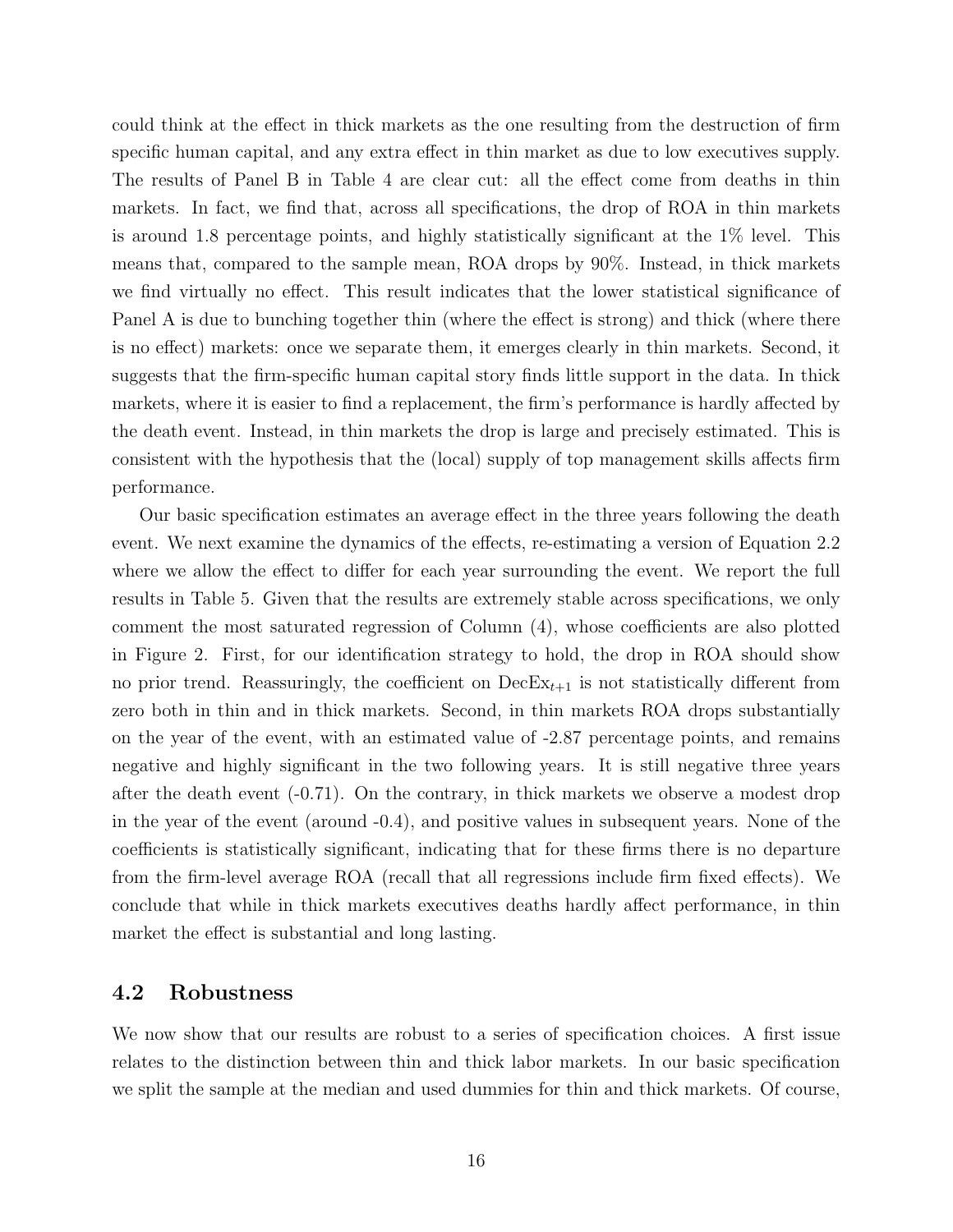could think at the effect in thick markets as the one resulting from the destruction of firm specific human capital, and any extra effect in thin market as due to low executives supply. The results of Panel B in Table 4 are clear cut: all the effect come from deaths in thin markets. In fact, we find that, across all specifications, the drop of ROA in thin markets is around 1.8 percentage points, and highly statistically significant at the 1% level. This means that, compared to the sample mean, ROA drops by 90%. Instead, in thick markets we find virtually no effect. This result indicates that the lower statistical significance of Panel A is due to bunching together thin (where the effect is strong) and thick (where there is no effect) markets: once we separate them, it emerges clearly in thin markets. Second, it suggests that the firm-specific human capital story finds little support in the data. In thick markets, where it is easier to find a replacement, the firm's performance is hardly affected by the death event. Instead, in thin markets the drop is large and precisely estimated. This is consistent with the hypothesis that the (local) supply of top management skills affects firm performance.

Our basic specification estimates an average effect in the three years following the death event. We next examine the dynamics of the effects, re-estimating a version of Equation 2.2 where we allow the effect to differ for each year surrounding the event. We report the full results in Table 5. Given that the results are extremely stable across specifications, we only comment the most saturated regression of Column (4), whose coefficients are also plotted in Figure 2. First, for our identification strategy to hold, the drop in ROA should show no prior trend. Reassuringly, the coefficient on  $\text{DecEx}_{t+1}$  is not statistically different from zero both in thin and in thick markets. Second, in thin markets ROA drops substantially on the year of the event, with an estimated value of -2.87 percentage points, and remains negative and highly significant in the two following years. It is still negative three years after the death event (-0.71). On the contrary, in thick markets we observe a modest drop in the year of the event (around -0.4), and positive values in subsequent years. None of the coefficients is statistically significant, indicating that for these firms there is no departure from the firm-level average ROA (recall that all regressions include firm fixed effects). We conclude that while in thick markets executives deaths hardly affect performance, in thin market the effect is substantial and long lasting.

#### 4.2 Robustness

We now show that our results are robust to a series of specification choices. A first issue relates to the distinction between thin and thick labor markets. In our basic specification we split the sample at the median and used dummies for thin and thick markets. Of course,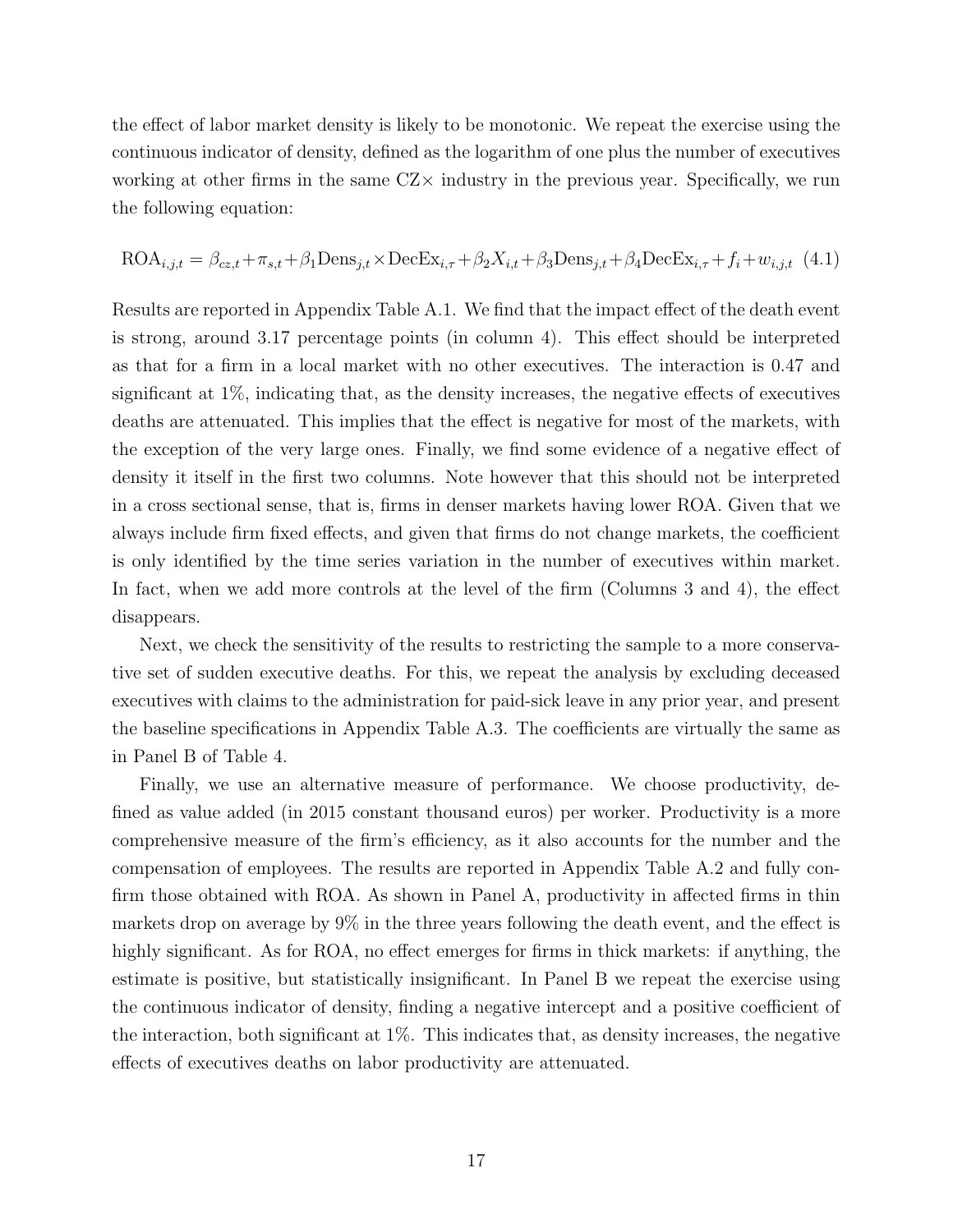the effect of labor market density is likely to be monotonic. We repeat the exercise using the continuous indicator of density, defined as the logarithm of one plus the number of executives working at other firms in the same  $CZ\times$  industry in the previous year. Specifically, we run the following equation:

$$
\text{ROA}_{i,j,t} = \beta_{cz,t} + \pi_{s,t} + \beta_1 \text{Dens}_{j,t} \times \text{DecEx}_{i,\tau} + \beta_2 X_{i,t} + \beta_3 \text{Dens}_{j,t} + \beta_4 \text{DecEx}_{i,\tau} + f_i + w_{i,j,t} \tag{4.1}
$$

Results are reported in Appendix Table A.1. We find that the impact effect of the death event is strong, around 3.17 percentage points (in column 4). This effect should be interpreted as that for a firm in a local market with no other executives. The interaction is 0.47 and significant at 1%, indicating that, as the density increases, the negative effects of executives deaths are attenuated. This implies that the effect is negative for most of the markets, with the exception of the very large ones. Finally, we find some evidence of a negative effect of density it itself in the first two columns. Note however that this should not be interpreted in a cross sectional sense, that is, firms in denser markets having lower ROA. Given that we always include firm fixed effects, and given that firms do not change markets, the coefficient is only identified by the time series variation in the number of executives within market. In fact, when we add more controls at the level of the firm (Columns 3 and 4), the effect disappears.

Next, we check the sensitivity of the results to restricting the sample to a more conservative set of sudden executive deaths. For this, we repeat the analysis by excluding deceased executives with claims to the administration for paid-sick leave in any prior year, and present the baseline specifications in Appendix Table A.3. The coefficients are virtually the same as in Panel B of Table 4.

Finally, we use an alternative measure of performance. We choose productivity, defined as value added (in 2015 constant thousand euros) per worker. Productivity is a more comprehensive measure of the firm's efficiency, as it also accounts for the number and the compensation of employees. The results are reported in Appendix Table A.2 and fully confirm those obtained with ROA. As shown in Panel A, productivity in affected firms in thin markets drop on average by 9% in the three years following the death event, and the effect is highly significant. As for ROA, no effect emerges for firms in thick markets: if anything, the estimate is positive, but statistically insignificant. In Panel B we repeat the exercise using the continuous indicator of density, finding a negative intercept and a positive coefficient of the interaction, both significant at 1%. This indicates that, as density increases, the negative effects of executives deaths on labor productivity are attenuated.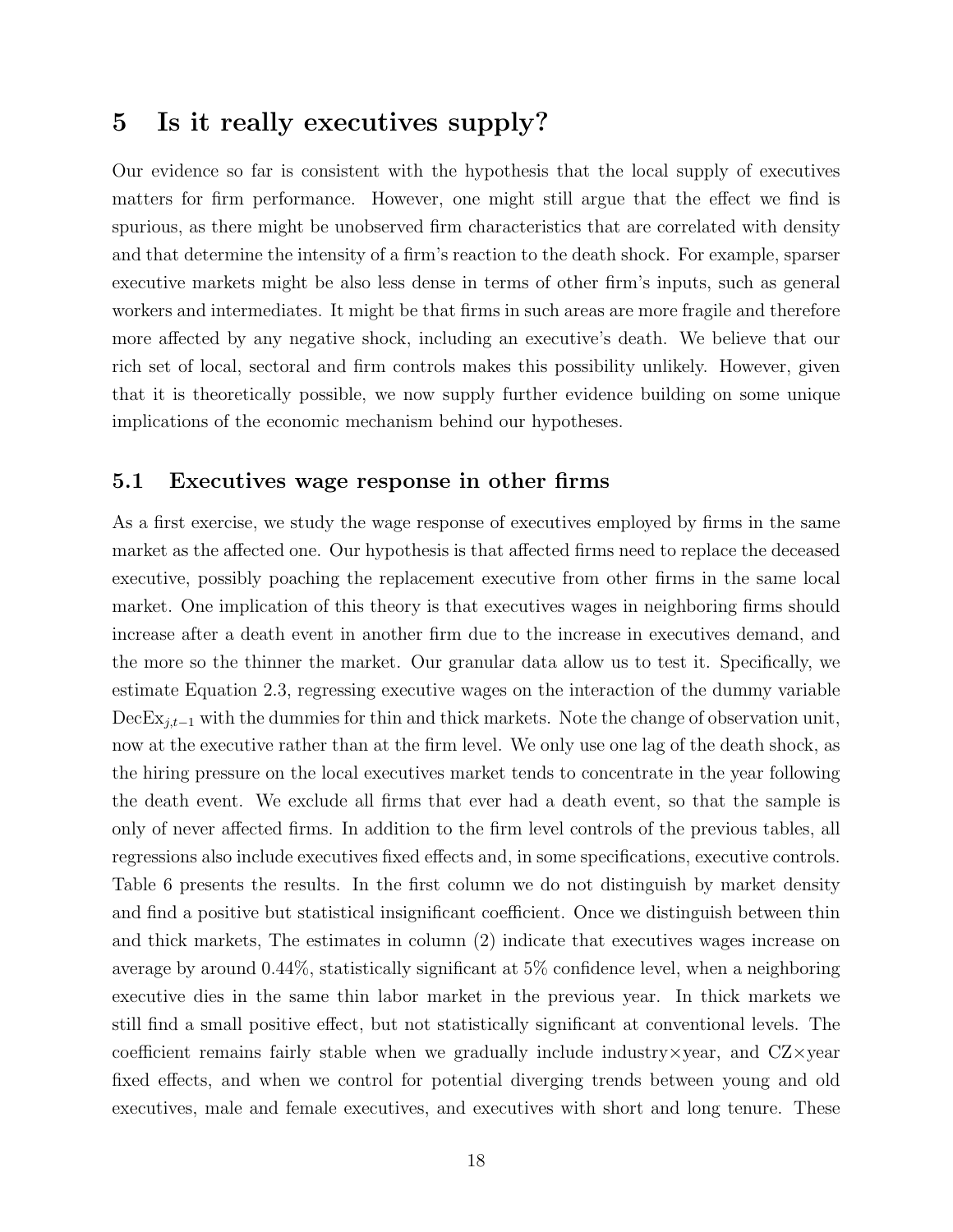## 5 Is it really executives supply?

Our evidence so far is consistent with the hypothesis that the local supply of executives matters for firm performance. However, one might still argue that the effect we find is spurious, as there might be unobserved firm characteristics that are correlated with density and that determine the intensity of a firm's reaction to the death shock. For example, sparser executive markets might be also less dense in terms of other firm's inputs, such as general workers and intermediates. It might be that firms in such areas are more fragile and therefore more affected by any negative shock, including an executive's death. We believe that our rich set of local, sectoral and firm controls makes this possibility unlikely. However, given that it is theoretically possible, we now supply further evidence building on some unique implications of the economic mechanism behind our hypotheses.

#### 5.1 Executives wage response in other firms

As a first exercise, we study the wage response of executives employed by firms in the same market as the affected one. Our hypothesis is that affected firms need to replace the deceased executive, possibly poaching the replacement executive from other firms in the same local market. One implication of this theory is that executives wages in neighboring firms should increase after a death event in another firm due to the increase in executives demand, and the more so the thinner the market. Our granular data allow us to test it. Specifically, we estimate Equation 2.3, regressing executive wages on the interaction of the dummy variable  $\text{DecEx}_{j,t-1}$  with the dummies for thin and thick markets. Note the change of observation unit, now at the executive rather than at the firm level. We only use one lag of the death shock, as the hiring pressure on the local executives market tends to concentrate in the year following the death event. We exclude all firms that ever had a death event, so that the sample is only of never affected firms. In addition to the firm level controls of the previous tables, all regressions also include executives fixed effects and, in some specifications, executive controls. Table 6 presents the results. In the first column we do not distinguish by market density and find a positive but statistical insignificant coefficient. Once we distinguish between thin and thick markets, The estimates in column (2) indicate that executives wages increase on average by around 0.44%, statistically significant at 5% confidence level, when a neighboring executive dies in the same thin labor market in the previous year. In thick markets we still find a small positive effect, but not statistically significant at conventional levels. The coefficient remains fairly stable when we gradually include industry $\times$ year, and  $CZ\times$ year fixed effects, and when we control for potential diverging trends between young and old executives, male and female executives, and executives with short and long tenure. These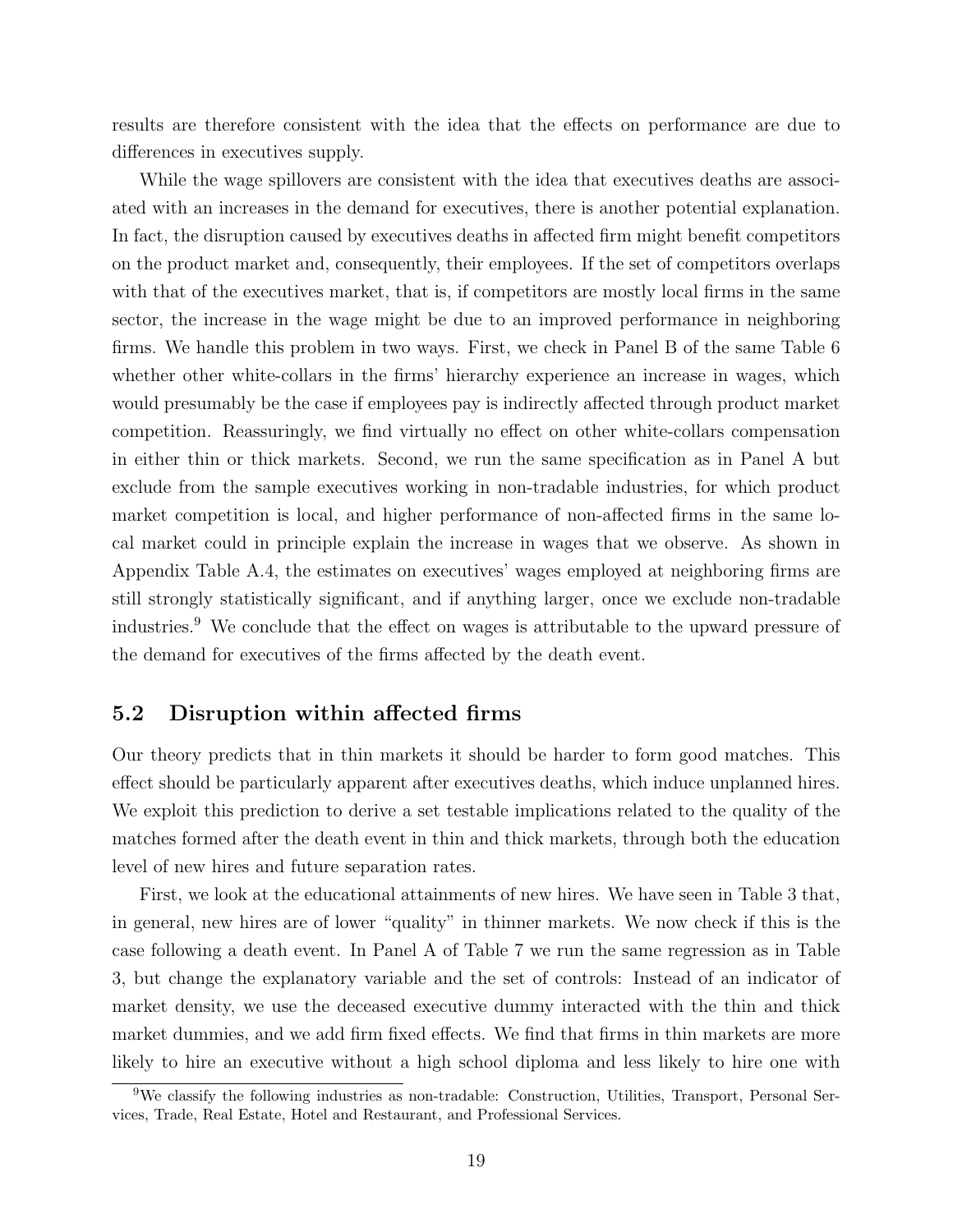results are therefore consistent with the idea that the effects on performance are due to differences in executives supply.

While the wage spillovers are consistent with the idea that executives deaths are associated with an increases in the demand for executives, there is another potential explanation. In fact, the disruption caused by executives deaths in affected firm might benefit competitors on the product market and, consequently, their employees. If the set of competitors overlaps with that of the executives market, that is, if competitors are mostly local firms in the same sector, the increase in the wage might be due to an improved performance in neighboring firms. We handle this problem in two ways. First, we check in Panel B of the same Table 6 whether other white-collars in the firms' hierarchy experience an increase in wages, which would presumably be the case if employees pay is indirectly affected through product market competition. Reassuringly, we find virtually no effect on other white-collars compensation in either thin or thick markets. Second, we run the same specification as in Panel A but exclude from the sample executives working in non-tradable industries, for which product market competition is local, and higher performance of non-affected firms in the same local market could in principle explain the increase in wages that we observe. As shown in Appendix Table A.4, the estimates on executives' wages employed at neighboring firms are still strongly statistically significant, and if anything larger, once we exclude non-tradable industries.<sup>9</sup> We conclude that the effect on wages is attributable to the upward pressure of the demand for executives of the firms affected by the death event.

#### 5.2 Disruption within affected firms

Our theory predicts that in thin markets it should be harder to form good matches. This effect should be particularly apparent after executives deaths, which induce unplanned hires. We exploit this prediction to derive a set testable implications related to the quality of the matches formed after the death event in thin and thick markets, through both the education level of new hires and future separation rates.

First, we look at the educational attainments of new hires. We have seen in Table 3 that, in general, new hires are of lower "quality" in thinner markets. We now check if this is the case following a death event. In Panel A of Table 7 we run the same regression as in Table 3, but change the explanatory variable and the set of controls: Instead of an indicator of market density, we use the deceased executive dummy interacted with the thin and thick market dummies, and we add firm fixed effects. We find that firms in thin markets are more likely to hire an executive without a high school diploma and less likely to hire one with

<sup>&</sup>lt;sup>9</sup>We classify the following industries as non-tradable: Construction, Utilities, Transport, Personal Services, Trade, Real Estate, Hotel and Restaurant, and Professional Services.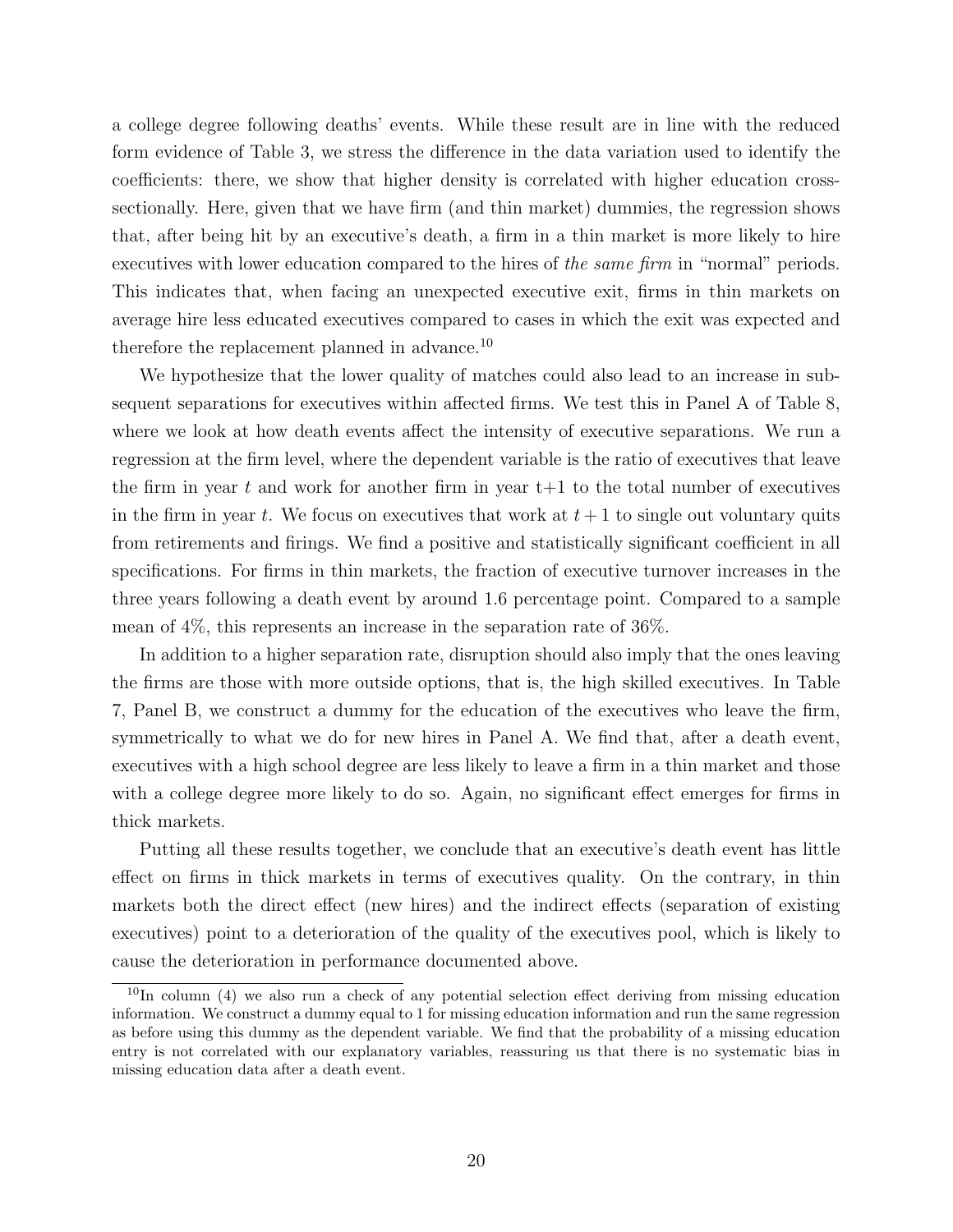a college degree following deaths' events. While these result are in line with the reduced form evidence of Table 3, we stress the difference in the data variation used to identify the coefficients: there, we show that higher density is correlated with higher education crosssectionally. Here, given that we have firm (and thin market) dummies, the regression shows that, after being hit by an executive's death, a firm in a thin market is more likely to hire executives with lower education compared to the hires of the same firm in "normal" periods. This indicates that, when facing an unexpected executive exit, firms in thin markets on average hire less educated executives compared to cases in which the exit was expected and therefore the replacement planned in advance.<sup>10</sup>

We hypothesize that the lower quality of matches could also lead to an increase in subsequent separations for executives within affected firms. We test this in Panel A of Table 8, where we look at how death events affect the intensity of executive separations. We run a regression at the firm level, where the dependent variable is the ratio of executives that leave the firm in year t and work for another firm in year  $t+1$  to the total number of executives in the firm in year t. We focus on executives that work at  $t+1$  to single out voluntary quits from retirements and firings. We find a positive and statistically significant coefficient in all specifications. For firms in thin markets, the fraction of executive turnover increases in the three years following a death event by around 1.6 percentage point. Compared to a sample mean of 4%, this represents an increase in the separation rate of 36%.

In addition to a higher separation rate, disruption should also imply that the ones leaving the firms are those with more outside options, that is, the high skilled executives. In Table 7, Panel B, we construct a dummy for the education of the executives who leave the firm, symmetrically to what we do for new hires in Panel A. We find that, after a death event, executives with a high school degree are less likely to leave a firm in a thin market and those with a college degree more likely to do so. Again, no significant effect emerges for firms in thick markets.

Putting all these results together, we conclude that an executive's death event has little effect on firms in thick markets in terms of executives quality. On the contrary, in thin markets both the direct effect (new hires) and the indirect effects (separation of existing executives) point to a deterioration of the quality of the executives pool, which is likely to cause the deterioration in performance documented above.

 $10$ In column (4) we also run a check of any potential selection effect deriving from missing education information. We construct a dummy equal to 1 for missing education information and run the same regression as before using this dummy as the dependent variable. We find that the probability of a missing education entry is not correlated with our explanatory variables, reassuring us that there is no systematic bias in missing education data after a death event.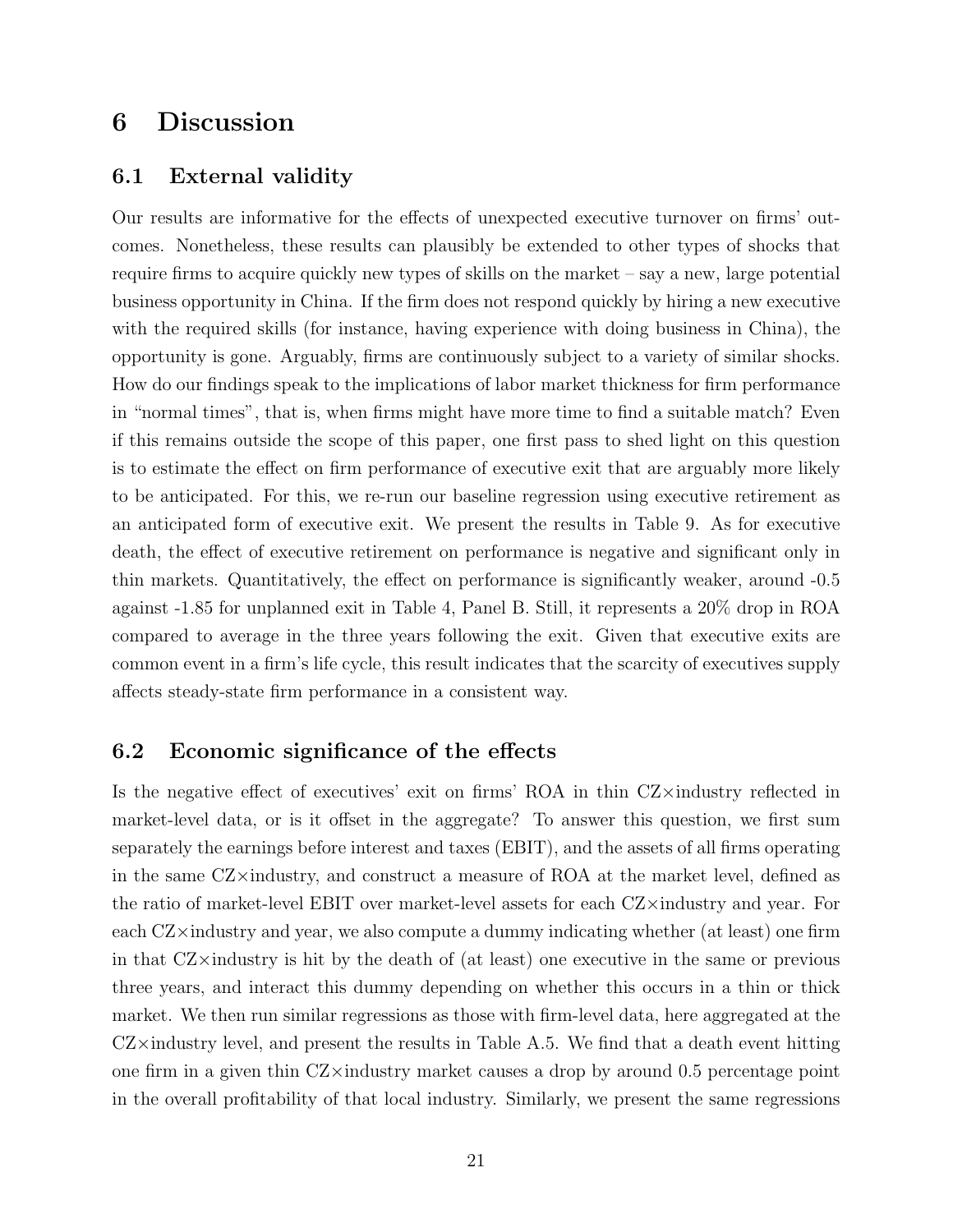## 6 Discussion

#### 6.1 External validity

Our results are informative for the effects of unexpected executive turnover on firms' outcomes. Nonetheless, these results can plausibly be extended to other types of shocks that require firms to acquire quickly new types of skills on the market – say a new, large potential business opportunity in China. If the firm does not respond quickly by hiring a new executive with the required skills (for instance, having experience with doing business in China), the opportunity is gone. Arguably, firms are continuously subject to a variety of similar shocks. How do our findings speak to the implications of labor market thickness for firm performance in "normal times", that is, when firms might have more time to find a suitable match? Even if this remains outside the scope of this paper, one first pass to shed light on this question is to estimate the effect on firm performance of executive exit that are arguably more likely to be anticipated. For this, we re-run our baseline regression using executive retirement as an anticipated form of executive exit. We present the results in Table 9. As for executive death, the effect of executive retirement on performance is negative and significant only in thin markets. Quantitatively, the effect on performance is significantly weaker, around -0.5 against -1.85 for unplanned exit in Table 4, Panel B. Still, it represents a 20% drop in ROA compared to average in the three years following the exit. Given that executive exits are common event in a firm's life cycle, this result indicates that the scarcity of executives supply affects steady-state firm performance in a consistent way.

#### 6.2 Economic significance of the effects

Is the negative effect of executives' exit on firms' ROA in thin CZ×industry reflected in market-level data, or is it offset in the aggregate? To answer this question, we first sum separately the earnings before interest and taxes (EBIT), and the assets of all firms operating in the same CZ×industry, and construct a measure of ROA at the market level, defined as the ratio of market-level EBIT over market-level assets for each CZ×industry and year. For each CZ×industry and year, we also compute a dummy indicating whether (at least) one firm in that  $CZ\times$ industry is hit by the death of (at least) one executive in the same or previous three years, and interact this dummy depending on whether this occurs in a thin or thick market. We then run similar regressions as those with firm-level data, here aggregated at the  $CZ\times$ industry level, and present the results in Table A.5. We find that a death event hitting one firm in a given thin  $CZ\times$ industry market causes a drop by around 0.5 percentage point in the overall profitability of that local industry. Similarly, we present the same regressions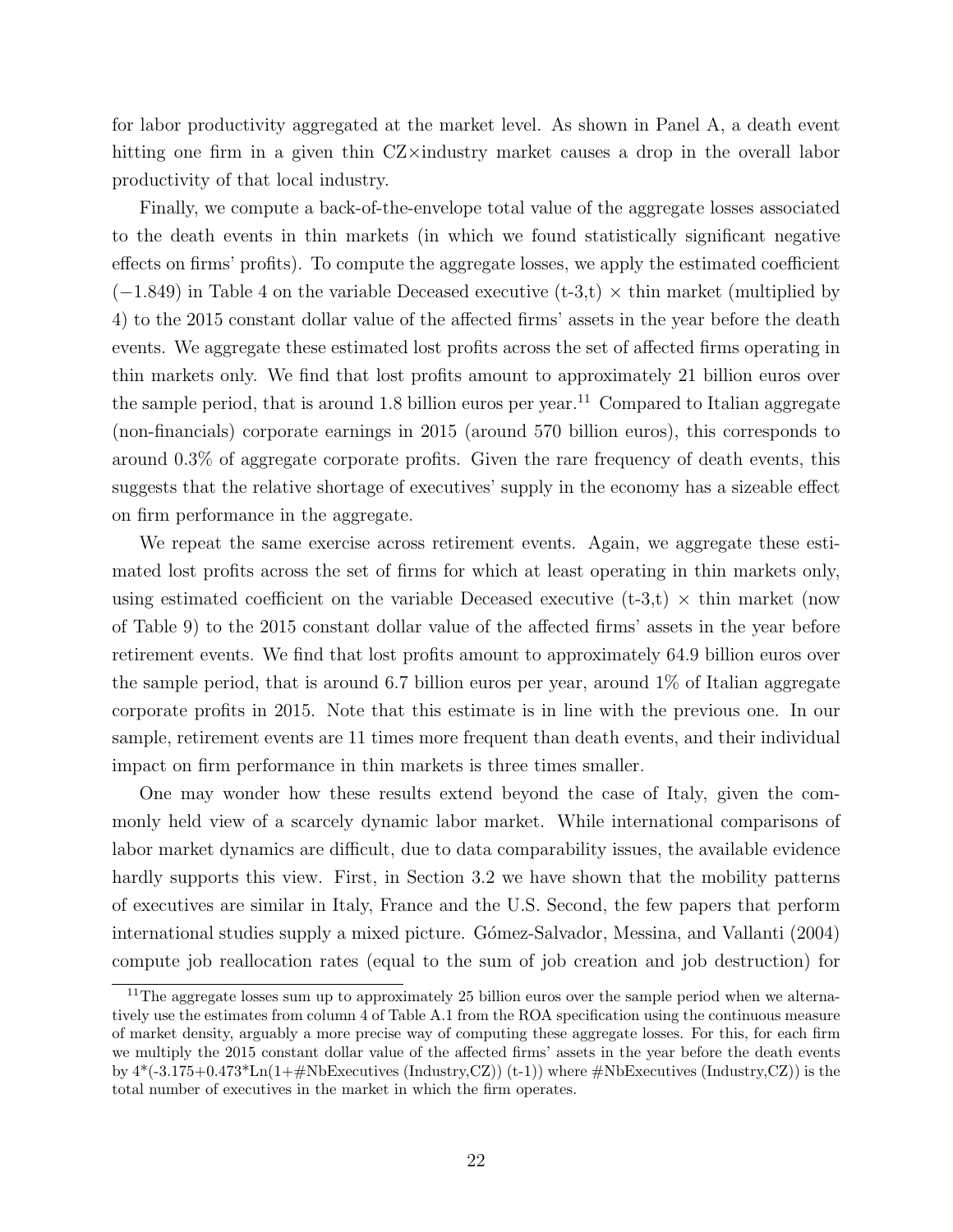for labor productivity aggregated at the market level. As shown in Panel A, a death event hitting one firm in a given thin CZ×industry market causes a drop in the overall labor productivity of that local industry.

Finally, we compute a back-of-the-envelope total value of the aggregate losses associated to the death events in thin markets (in which we found statistically significant negative effects on firms' profits). To compute the aggregate losses, we apply the estimated coefficient  $(-1.849)$  in Table 4 on the variable Deceased executive (t-3,t)  $\times$  thin market (multiplied by 4) to the 2015 constant dollar value of the affected firms' assets in the year before the death events. We aggregate these estimated lost profits across the set of affected firms operating in thin markets only. We find that lost profits amount to approximately 21 billion euros over the sample period, that is around 1.8 billion euros per year.<sup>11</sup> Compared to Italian aggregate (non-financials) corporate earnings in 2015 (around 570 billion euros), this corresponds to around 0.3% of aggregate corporate profits. Given the rare frequency of death events, this suggests that the relative shortage of executives' supply in the economy has a sizeable effect on firm performance in the aggregate.

We repeat the same exercise across retirement events. Again, we aggregate these estimated lost profits across the set of firms for which at least operating in thin markets only, using estimated coefficient on the variable Deceased executive  $(t-3,t) \times th$  market (now of Table 9) to the 2015 constant dollar value of the affected firms' assets in the year before retirement events. We find that lost profits amount to approximately 64.9 billion euros over the sample period, that is around 6.7 billion euros per year, around 1% of Italian aggregate corporate profits in 2015. Note that this estimate is in line with the previous one. In our sample, retirement events are 11 times more frequent than death events, and their individual impact on firm performance in thin markets is three times smaller.

One may wonder how these results extend beyond the case of Italy, given the commonly held view of a scarcely dynamic labor market. While international comparisons of labor market dynamics are difficult, due to data comparability issues, the available evidence hardly supports this view. First, in Section 3.2 we have shown that the mobility patterns of executives are similar in Italy, France and the U.S. Second, the few papers that perform international studies supply a mixed picture. Gómez-Salvador, Messina, and Vallanti (2004) compute job reallocation rates (equal to the sum of job creation and job destruction) for

<sup>&</sup>lt;sup>11</sup>The aggregate losses sum up to approximately 25 billion euros over the sample period when we alternatively use the estimates from column 4 of Table A.1 from the ROA specification using the continuous measure of market density, arguably a more precise way of computing these aggregate losses. For this, for each firm we multiply the 2015 constant dollar value of the affected firms' assets in the year before the death events by  $4*(-3.175+0.473*Ln(1+\text{\textup{H}}NbExecutives (Industry,CZ))(t-1))$  where  $\text{\textup{H}}NbExecutives (Industry,CZ))$  is the total number of executives in the market in which the firm operates.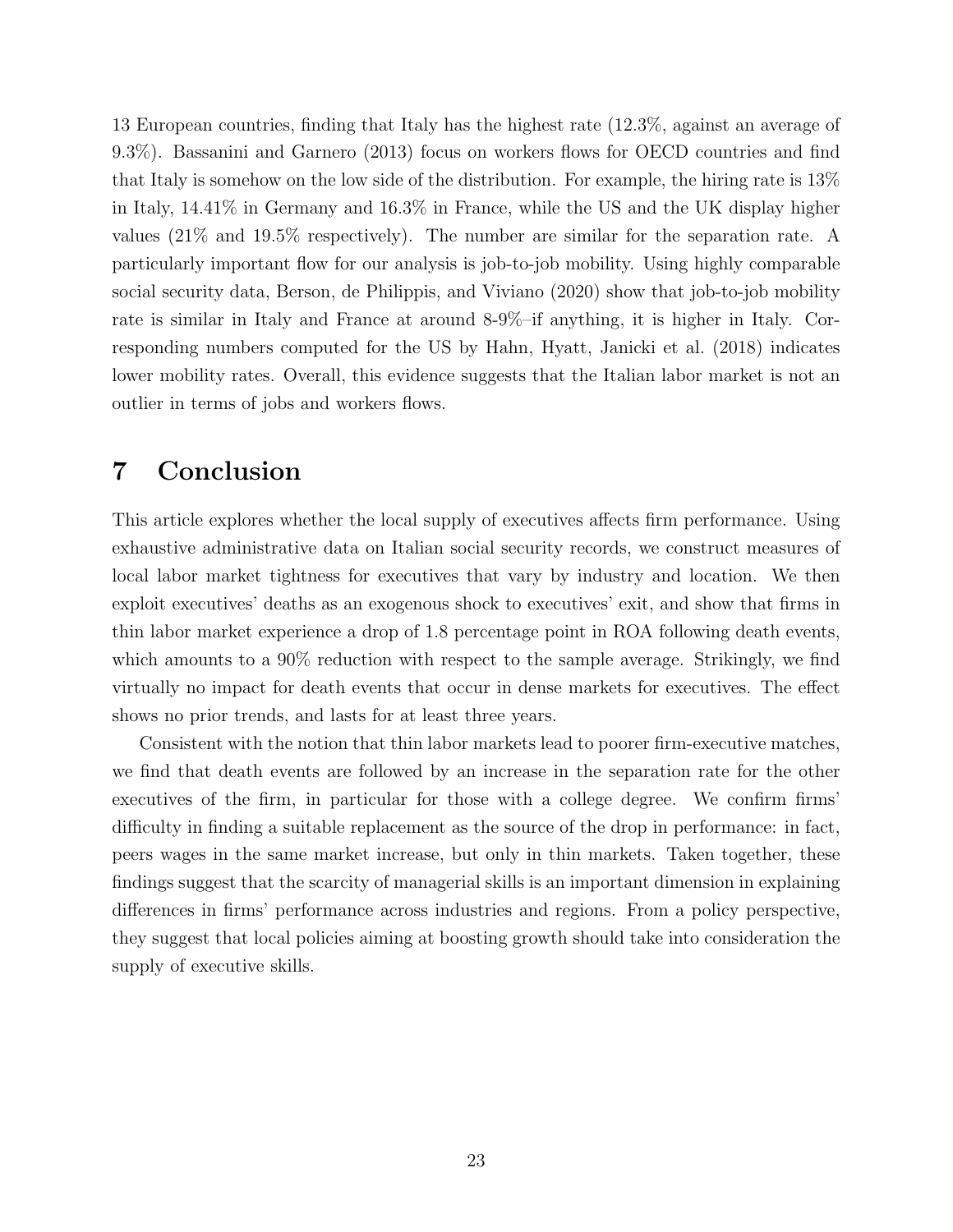13 European countries, finding that Italy has the highest rate (12.3%, against an average of 9.3%). Bassanini and Garnero (2013) focus on workers flows for OECD countries and find that Italy is somehow on the low side of the distribution. For example, the hiring rate is 13% in Italy, 14.41% in Germany and 16.3% in France, while the US and the UK display higher values (21% and 19.5% respectively). The number are similar for the separation rate. A particularly important flow for our analysis is job-to-job mobility. Using highly comparable social security data, Berson, de Philippis, and Viviano (2020) show that job-to-job mobility rate is similar in Italy and France at around 8-9%–if anything, it is higher in Italy. Corresponding numbers computed for the US by Hahn, Hyatt, Janicki et al. (2018) indicates lower mobility rates. Overall, this evidence suggests that the Italian labor market is not an outlier in terms of jobs and workers flows.

## 7 Conclusion

This article explores whether the local supply of executives affects firm performance. Using exhaustive administrative data on Italian social security records, we construct measures of local labor market tightness for executives that vary by industry and location. We then exploit executives' deaths as an exogenous shock to executives' exit, and show that firms in thin labor market experience a drop of 1.8 percentage point in ROA following death events, which amounts to a 90% reduction with respect to the sample average. Strikingly, we find virtually no impact for death events that occur in dense markets for executives. The effect shows no prior trends, and lasts for at least three years.

Consistent with the notion that thin labor markets lead to poorer firm-executive matches, we find that death events are followed by an increase in the separation rate for the other executives of the firm, in particular for those with a college degree. We confirm firms' difficulty in finding a suitable replacement as the source of the drop in performance: in fact, peers wages in the same market increase, but only in thin markets. Taken together, these findings suggest that the scarcity of managerial skills is an important dimension in explaining differences in firms' performance across industries and regions. From a policy perspective, they suggest that local policies aiming at boosting growth should take into consideration the supply of executive skills.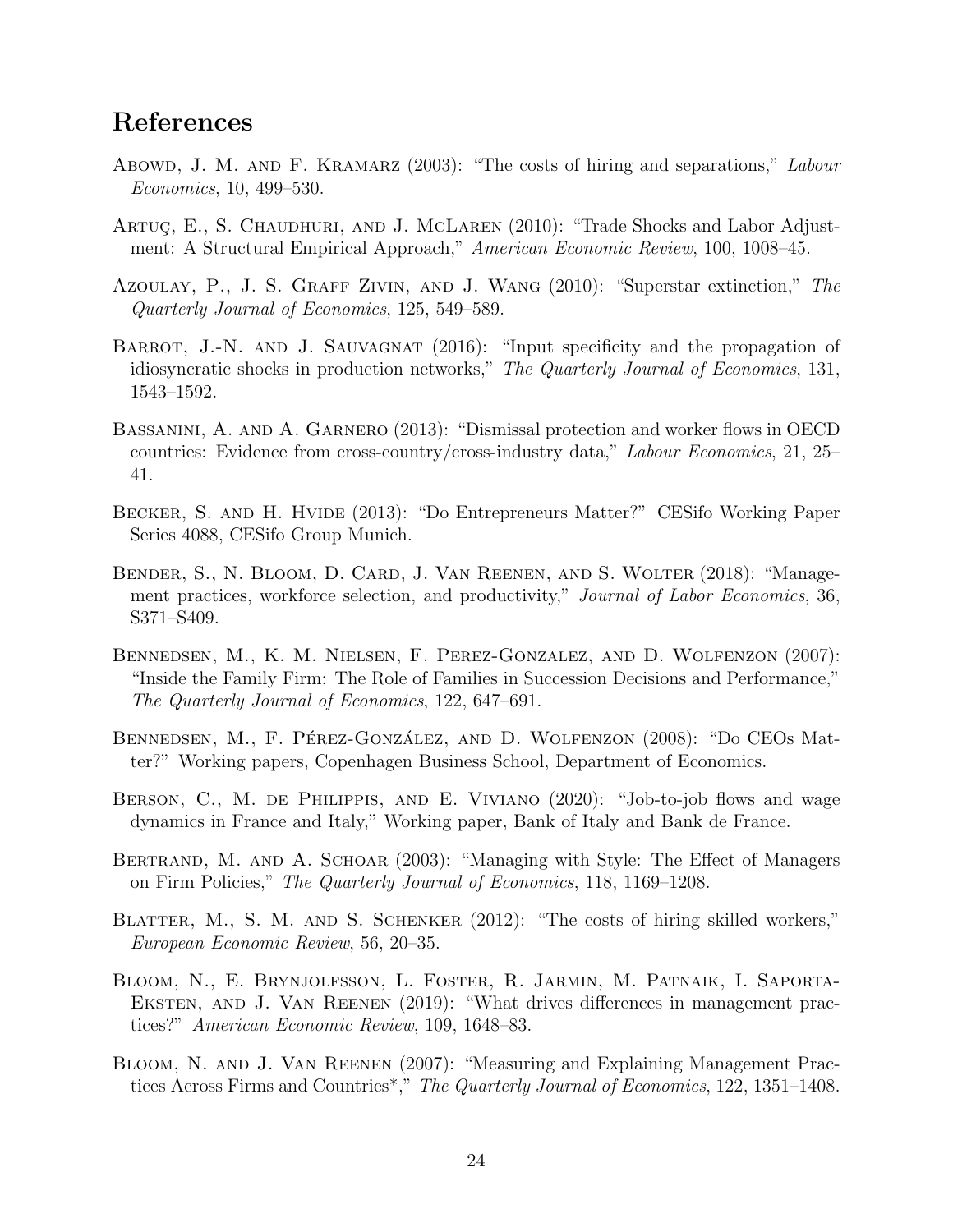## References

- Abowd, J. M. AND F. KRAMARZ (2003): "The costs of hiring and separations," Labour Economics, 10, 499–530.
- ARTUC, E., S. CHAUDHURI, AND J. MCLAREN (2010): "Trade Shocks and Labor Adjustment: A Structural Empirical Approach," American Economic Review, 100, 1008–45.
- Azoulay, P., J. S. Graff Zivin, and J. Wang (2010): "Superstar extinction," The Quarterly Journal of Economics, 125, 549–589.
- BARROT, J.-N. AND J. SAUVAGNAT (2016): "Input specificity and the propagation of idiosyncratic shocks in production networks," The Quarterly Journal of Economics, 131, 1543–1592.
- Bassanini, A. and A. Garnero (2013): "Dismissal protection and worker flows in OECD countries: Evidence from cross-country/cross-industry data," Labour Economics, 21, 25– 41.
- Becker, S. and H. Hvide (2013): "Do Entrepreneurs Matter?" CESifo Working Paper Series 4088, CESifo Group Munich.
- Bender, S., N. Bloom, D. Card, J. Van Reenen, and S. Wolter (2018): "Management practices, workforce selection, and productivity," *Journal of Labor Economics*, 36, S371–S409.
- Bennedsen, M., K. M. Nielsen, F. Perez-Gonzalez, and D. Wolfenzon (2007): "Inside the Family Firm: The Role of Families in Succession Decisions and Performance," The Quarterly Journal of Economics, 122, 647–691.
- BENNEDSEN, M., F. PÉREZ-GONZÁLEZ, AND D. WOLFENZON (2008): "Do CEOs Matter?" Working papers, Copenhagen Business School, Department of Economics.
- BERSON, C., M. DE PHILIPPIS, AND E. VIVIANO (2020): "Job-to-job flows and wage dynamics in France and Italy," Working paper, Bank of Italy and Bank de France.
- BERTRAND, M. AND A. SCHOAR (2003): "Managing with Style: The Effect of Managers on Firm Policies," The Quarterly Journal of Economics, 118, 1169–1208.
- BLATTER, M., S. M. AND S. SCHENKER (2012): "The costs of hiring skilled workers," European Economic Review, 56, 20–35.
- Bloom, N., E. Brynjolfsson, L. Foster, R. Jarmin, M. Patnaik, I. Saporta-EKSTEN, AND J. VAN REENEN (2019): "What drives differences in management practices?" American Economic Review, 109, 1648–83.
- Bloom, N. and J. Van Reenen (2007): "Measuring and Explaining Management Practices Across Firms and Countries<sup>\*</sup>," The Quarterly Journal of Economics, 122, 1351–1408.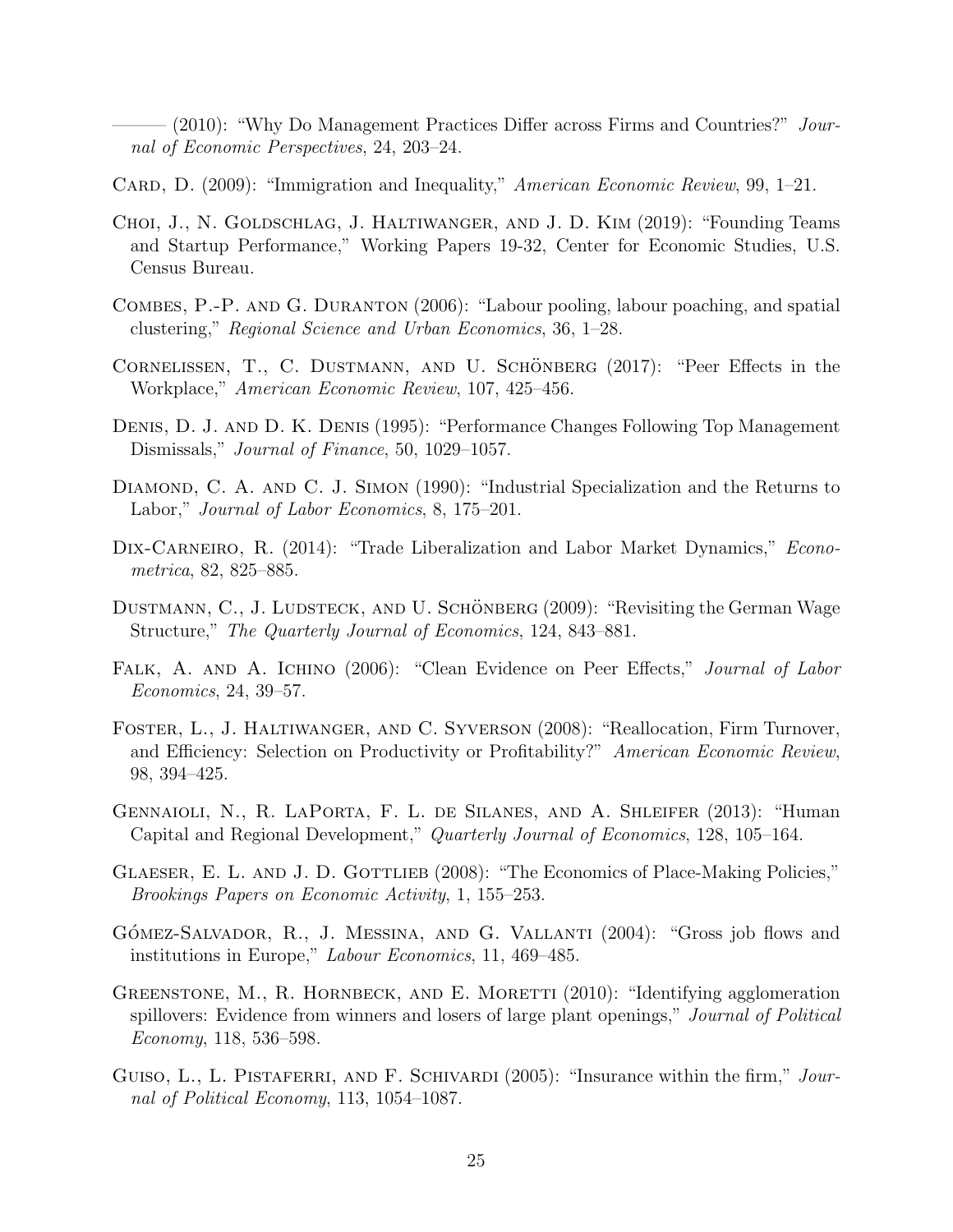- (2010): "Why Do Management Practices Differ across Firms and Countries?" Journal of Economic Perspectives, 24, 203–24.

- CARD, D. (2009): "Immigration and Inequality," American Economic Review, 99, 1–21.
- Choi, J., N. Goldschlag, J. Haltiwanger, and J. D. Kim (2019): "Founding Teams and Startup Performance," Working Papers 19-32, Center for Economic Studies, U.S. Census Bureau.
- Combes, P.-P. and G. Duranton (2006): "Labour pooling, labour poaching, and spatial clustering," Regional Science and Urban Economics, 36, 1–28.
- CORNELISSEN, T., C. DUSTMANN, AND U. SCHÖNBERG (2017): "Peer Effects in the Workplace," American Economic Review, 107, 425–456.
- Denis, D. J. and D. K. Denis (1995): "Performance Changes Following Top Management Dismissals," Journal of Finance, 50, 1029–1057.
- DIAMOND, C. A. AND C. J. SIMON (1990): "Industrial Specialization and the Returns to Labor," Journal of Labor Economics, 8, 175–201.
- DIX-CARNEIRO, R. (2014): "Trade Liberalization and Labor Market Dynamics," *Econo*metrica, 82, 825–885.
- DUSTMANN, C., J. LUDSTECK, AND U. SCHÖNBERG (2009): "Revisiting the German Wage Structure," The Quarterly Journal of Economics, 124, 843–881.
- FALK, A. AND A. ICHINO (2006): "Clean Evidence on Peer Effects," Journal of Labor Economics, 24, 39–57.
- Foster, L., J. Haltiwanger, and C. Syverson (2008): "Reallocation, Firm Turnover, and Efficiency: Selection on Productivity or Profitability?" American Economic Review, 98, 394–425.
- Gennaioli, N., R. LaPorta, F. L. de Silanes, and A. Shleifer (2013): "Human Capital and Regional Development," Quarterly Journal of Economics, 128, 105–164.
- GLAESER, E. L. AND J. D. GOTTLIEB (2008): "The Economics of Place-Making Policies," Brookings Papers on Economic Activity, 1, 155–253.
- GÓMEZ-SALVADOR, R., J. MESSINA, AND G. VALLANTI (2004): "Gross job flows and institutions in Europe," Labour Economics, 11, 469–485.
- GREENSTONE, M., R. HORNBECK, AND E. MORETTI (2010): "Identifying agglomeration spillovers: Evidence from winners and losers of large plant openings," Journal of Political Economy, 118, 536–598.
- GUISO, L., L. PISTAFERRI, AND F. SCHIVARDI (2005): "Insurance within the firm," Journal of Political Economy, 113, 1054–1087.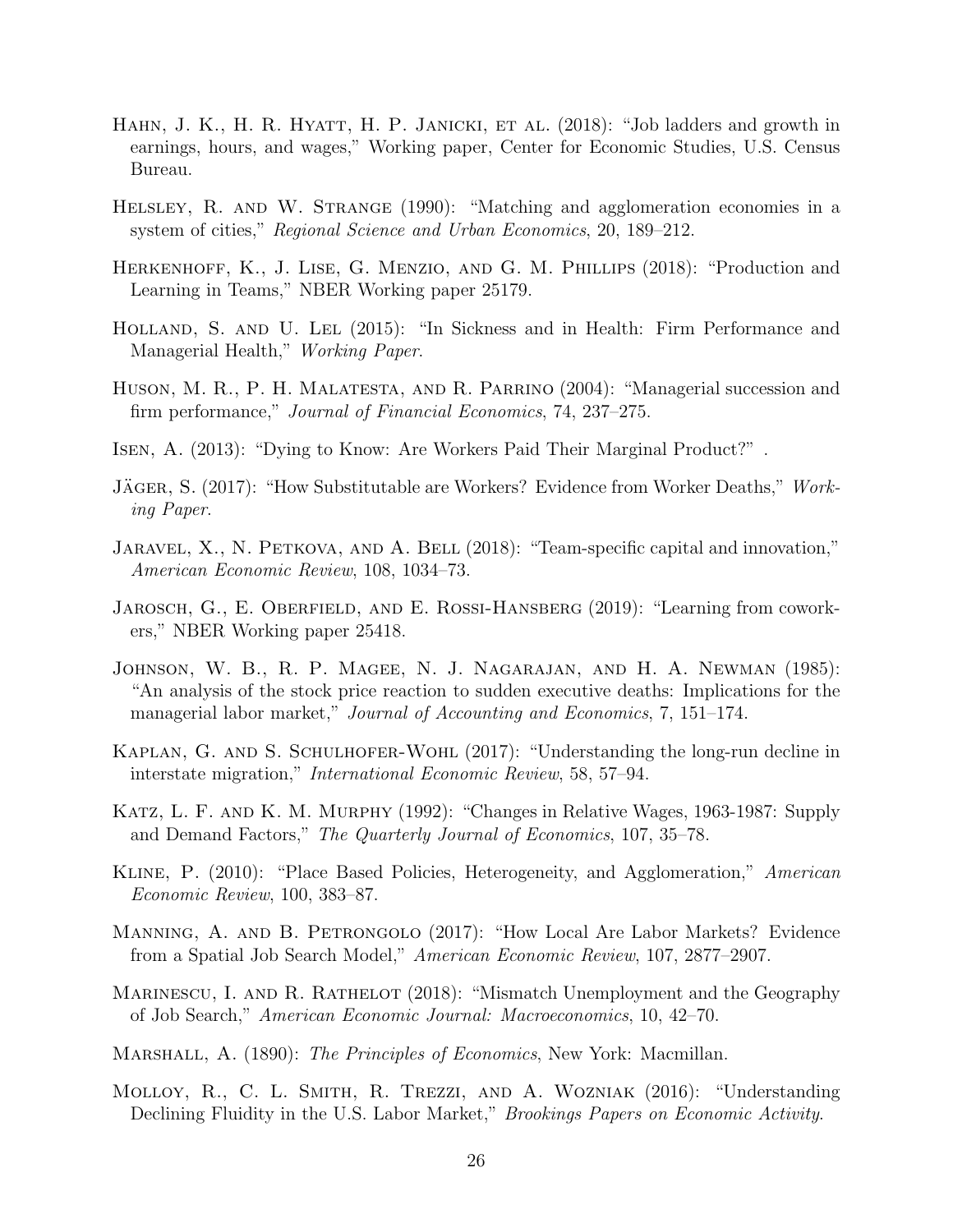- HAHN, J. K., H. R. HYATT, H. P. JANICKI, ET AL. (2018): "Job ladders and growth in earnings, hours, and wages," Working paper, Center for Economic Studies, U.S. Census Bureau.
- HELSLEY, R. AND W. STRANGE (1990): "Matching and agglomeration economies in a system of cities," Regional Science and Urban Economics, 20, 189–212.
- Herkenhoff, K., J. Lise, G. Menzio, and G. M. Phillips (2018): "Production and Learning in Teams," NBER Working paper 25179.
- Holland, S. and U. Lel (2015): "In Sickness and in Health: Firm Performance and Managerial Health," Working Paper.
- Huson, M. R., P. H. Malatesta, and R. Parrino (2004): "Managerial succession and firm performance," Journal of Financial Economics, 74, 237–275.
- Isen, A. (2013): "Dying to Know: Are Workers Paid Their Marginal Product?" .
- JÄGER, S. (2017): "How Substitutable are Workers? Evidence from Worker Deaths," Working Paper.
- JARAVEL, X., N. PETKOVA, AND A. BELL (2018): "Team-specific capital and innovation," American Economic Review, 108, 1034–73.
- JAROSCH, G., E. OBERFIELD, AND E. ROSSI-HANSBERG (2019): "Learning from coworkers," NBER Working paper 25418.
- Johnson, W. B., R. P. Magee, N. J. Nagarajan, and H. A. Newman (1985): "An analysis of the stock price reaction to sudden executive deaths: Implications for the managerial labor market," Journal of Accounting and Economics, 7, 151–174.
- KAPLAN, G. AND S. SCHULHOFER-WOHL (2017): "Understanding the long-run decline in interstate migration," International Economic Review, 58, 57–94.
- Katz, L. F. and K. M. Murphy (1992): "Changes in Relative Wages, 1963-1987: Supply and Demand Factors," The Quarterly Journal of Economics, 107, 35–78.
- Kline, P. (2010): "Place Based Policies, Heterogeneity, and Agglomeration," American Economic Review, 100, 383–87.
- Manning, A. and B. Petrongolo (2017): "How Local Are Labor Markets? Evidence from a Spatial Job Search Model," American Economic Review, 107, 2877–2907.
- MARINESCU, I. AND R. RATHELOT (2018): "Mismatch Unemployment and the Geography of Job Search," American Economic Journal: Macroeconomics, 10, 42–70.
- MARSHALL, A. (1890): The Principles of Economics, New York: Macmillan.
- Molloy, R., C. L. Smith, R. Trezzi, and A. Wozniak (2016): "Understanding Declining Fluidity in the U.S. Labor Market," *Brookings Papers on Economic Activity*.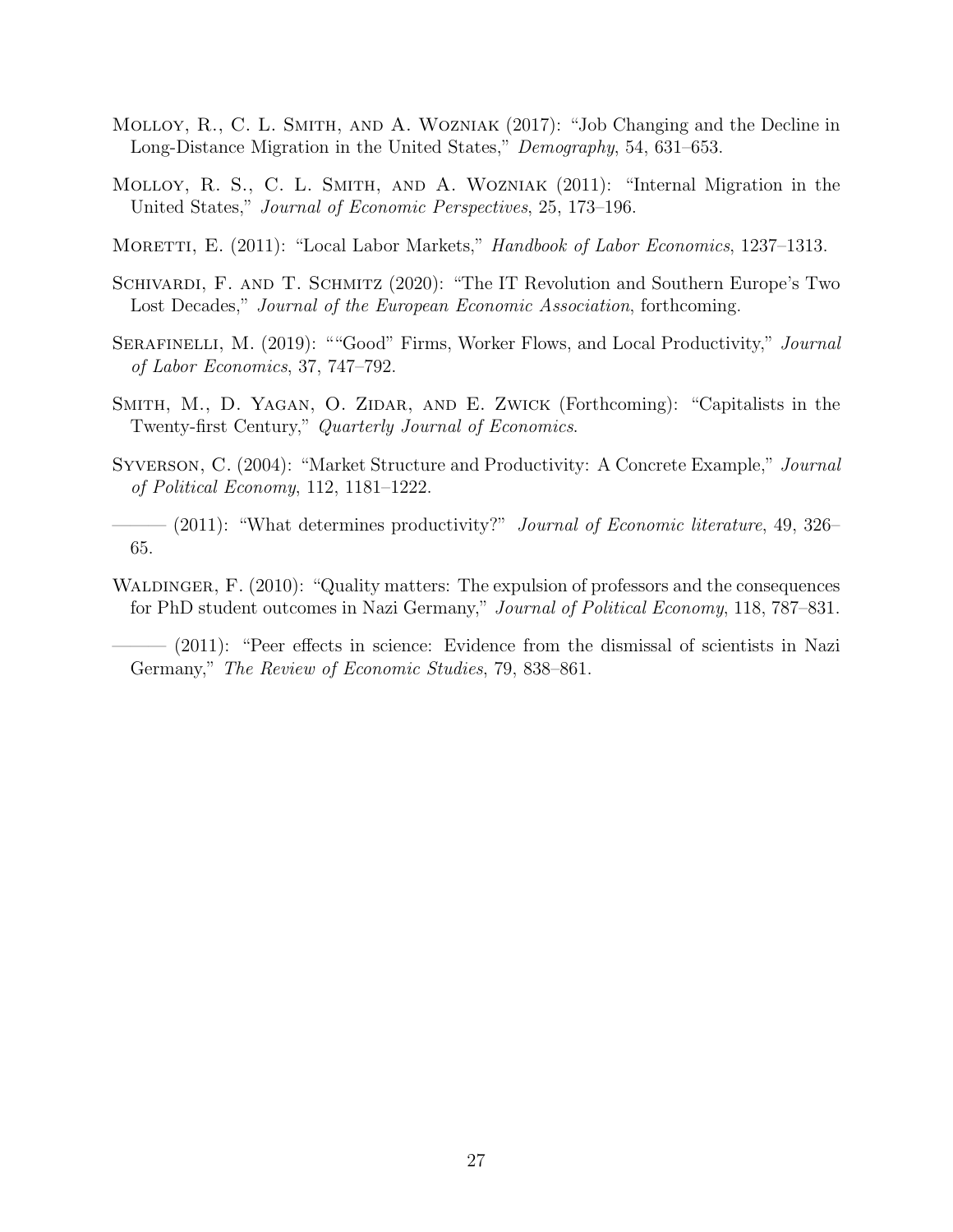- MOLLOY, R., C. L. SMITH, AND A. WOZNIAK (2017): "Job Changing and the Decline in Long-Distance Migration in the United States," Demography, 54, 631–653.
- Molloy, R. S., C. L. Smith, and A. Wozniak (2011): "Internal Migration in the United States," Journal of Economic Perspectives, 25, 173–196.
- MORETTI, E. (2011): "Local Labor Markets," *Handbook of Labor Economics*, 1237–1313.
- SCHIVARDI, F. AND T. SCHMITZ (2020): "The IT Revolution and Southern Europe's Two Lost Decades," Journal of the European Economic Association, forthcoming.
- SERAFINELLI, M. (2019): ""Good" Firms, Worker Flows, and Local Productivity," Journal of Labor Economics, 37, 747–792.
- Smith, M., D. Yagan, O. Zidar, and E. Zwick (Forthcoming): "Capitalists in the Twenty-first Century," Quarterly Journal of Economics.
- Syverson, C. (2004): "Market Structure and Productivity: A Concrete Example," Journal of Political Economy, 112, 1181–1222.
- —— (2011): "What determines productivity?" *Journal of Economic literature*, 49, 326– 65.
- WALDINGER, F. (2010): "Quality matters: The expulsion of professors and the consequences for PhD student outcomes in Nazi Germany," Journal of Political Economy, 118, 787–831.

——— (2011): "Peer effects in science: Evidence from the dismissal of scientists in Nazi Germany," The Review of Economic Studies, 79, 838–861.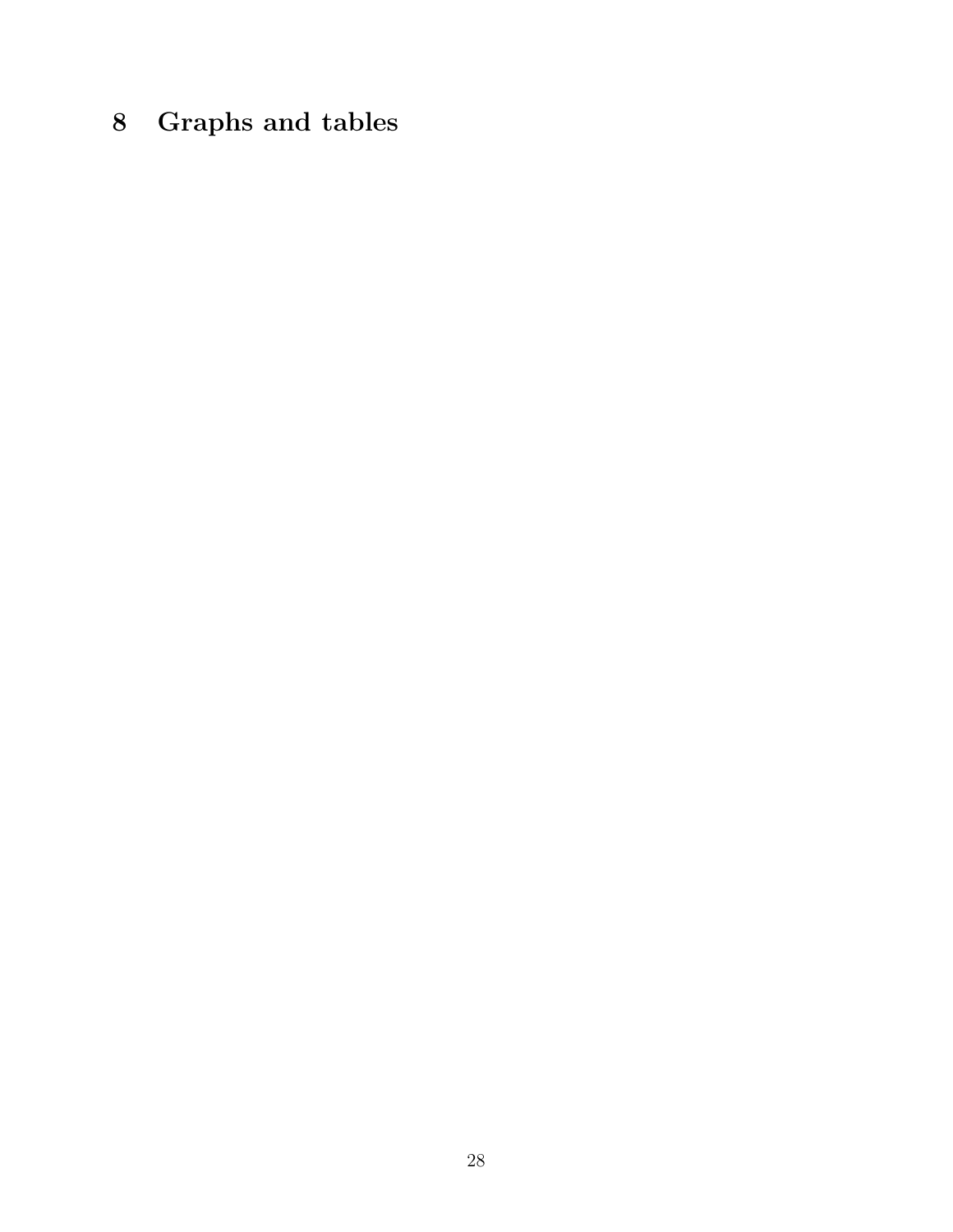## 8 Graphs and tables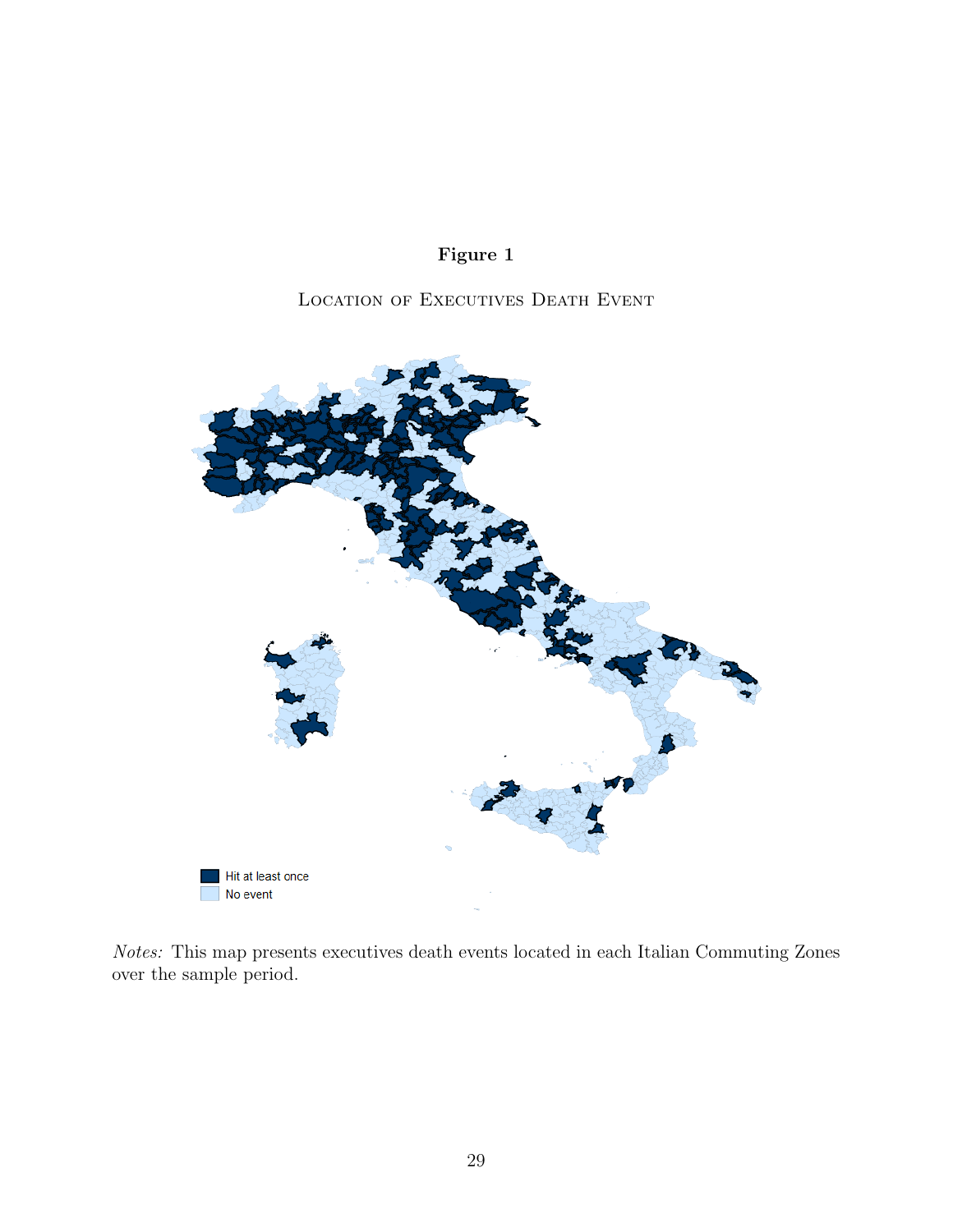

LOCATION OF EXECUTIVES DEATH EVENT



Notes: This map presents executives death events located in each Italian Commuting Zones over the sample period.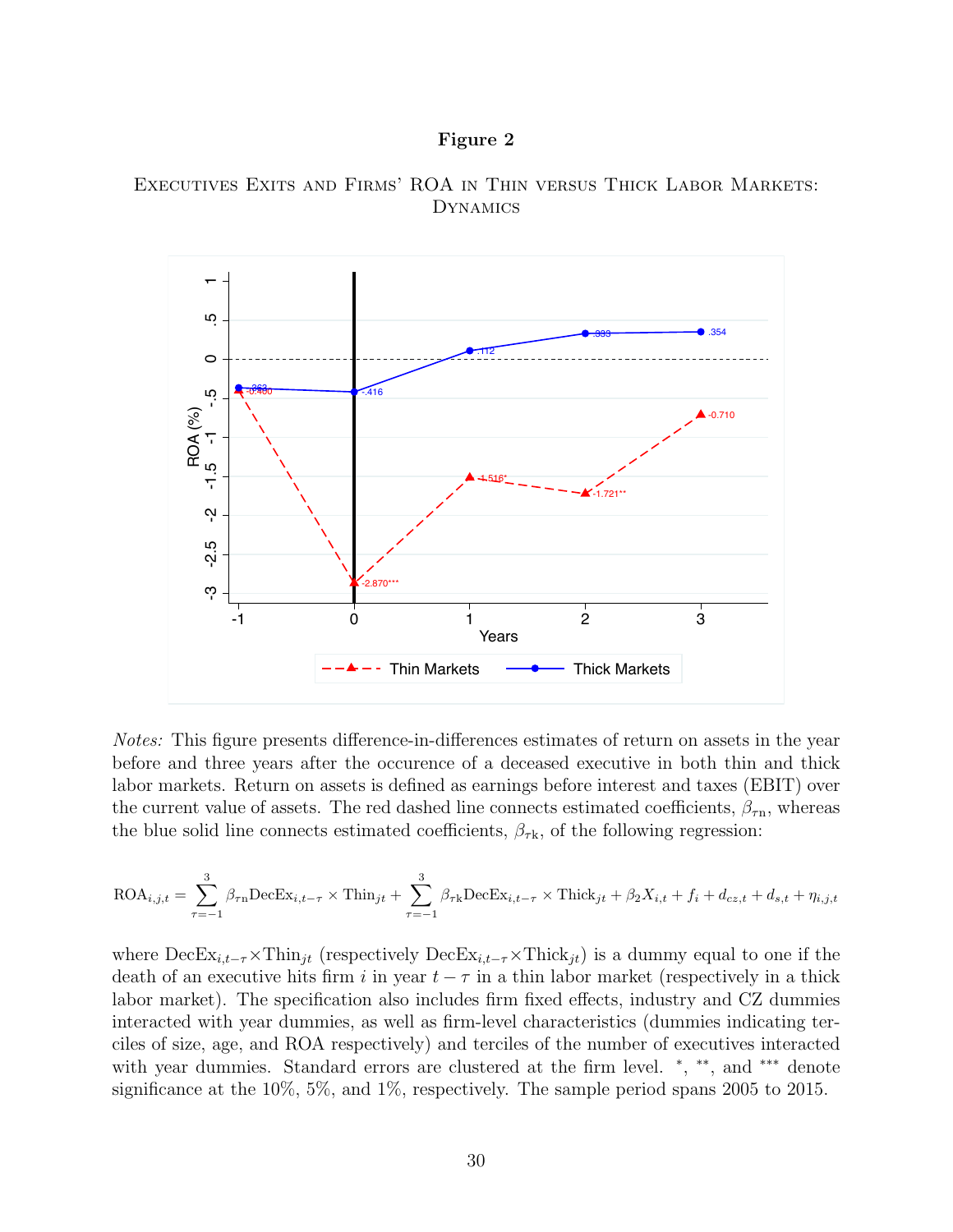#### Figure 2





Notes: This figure presents difference-in-differences estimates of return on assets in the year before and three years after the occurence of a deceased executive in both thin and thick labor markets. Return on assets is defined as earnings before interest and taxes (EBIT) over the current value of assets. The red dashed line connects estimated coefficients,  $\beta_{\tau n}$ , whereas the blue solid line connects estimated coefficients,  $\beta_{\tau k}$ , of the following regression:

$$
\text{ROA}_{i,j,t} = \sum_{\tau=-1}^{3} \beta_{\tau n} \text{DecEx}_{i,t-\tau} \times \text{Thin}_{jt} + \sum_{\tau=-1}^{3} \beta_{\tau k} \text{DecEx}_{i,t-\tau} \times \text{Thick}_{jt} + \beta_2 X_{i,t} + f_i + d_{cz,t} + d_{s,t} + \eta_{i,j,t}
$$

where  $\text{DecEx}_{i,t-\tau} \times \text{Think}_{jt}$  (respectively  $\text{DecEx}_{i,t-\tau} \times \text{Thick}_{jt}$ ) is a dummy equal to one if the death of an executive hits firm i in year  $t - \tau$  in a thin labor market (respectively in a thick labor market). The specification also includes firm fixed effects, industry and CZ dummies interacted with year dummies, as well as firm-level characteristics (dummies indicating terciles of size, age, and ROA respectively) and terciles of the number of executives interacted with year dummies. Standard errors are clustered at the firm level. \*, \*\*, and \*\*\* denote significance at the 10%, 5%, and 1%, respectively. The sample period spans 2005 to 2015.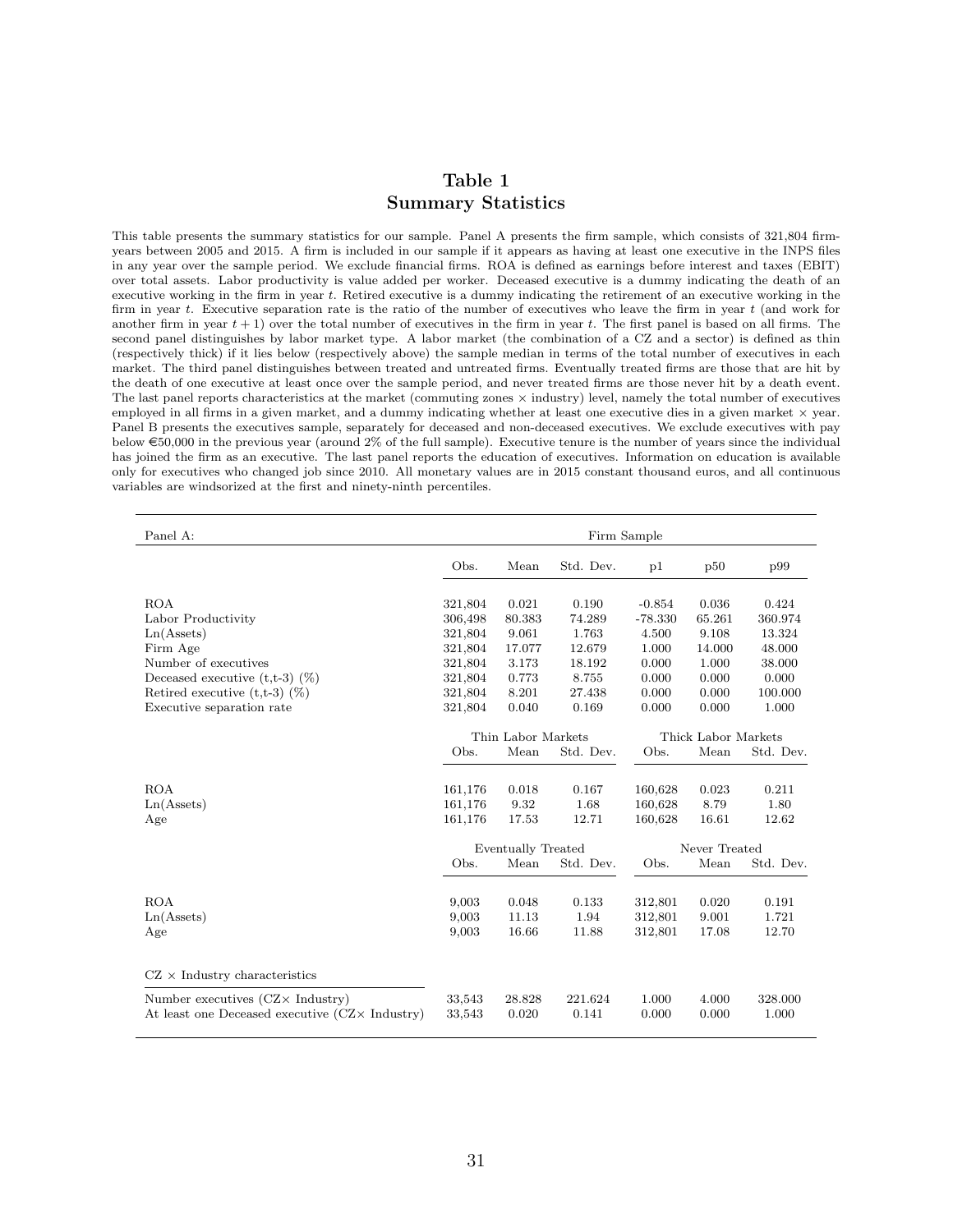#### Table 1 Summary Statistics

This table presents the summary statistics for our sample. Panel A presents the firm sample, which consists of 321,804 firmyears between 2005 and 2015. A firm is included in our sample if it appears as having at least one executive in the INPS files in any year over the sample period. We exclude financial firms. ROA is defined as earnings before interest and taxes (EBIT) over total assets. Labor productivity is value added per worker. Deceased executive is a dummy indicating the death of an executive working in the firm in year t. Retired executive is a dummy indicating the retirement of an executive working in the firm in year  $t$ . Executive separation rate is the ratio of the number of executives who leave the firm in year  $t$  (and work for another firm in year  $t + 1$ ) over the total number of executives in the firm in year t. The first panel is based on all firms. The second panel distinguishes by labor market type. A labor market (the combination of a CZ and a sector) is defined as thin (respectively thick) if it lies below (respectively above) the sample median in terms of the total number of executives in each market. The third panel distinguishes between treated and untreated firms. Eventually treated firms are those that are hit by the death of one executive at least once over the sample period, and never treated firms are those never hit by a death event. The last panel reports characteristics at the market (commuting zones  $\times$  industry) level, namely the total number of executives employed in all firms in a given market, and a dummy indicating whether at least one executive dies in a given market  $\times$  year. Panel B presents the executives sample, separately for deceased and non-deceased executives. We exclude executives with pay below  $\epsilon$ 50,000 in the previous year (around 2% of the full sample). Executive tenure is the number of years since the individual has joined the firm as an executive. The last panel reports the education of executives. Information on education is available only for executives who changed job since 2010. All monetary values are in 2015 constant thousand euros, and all continuous variables are windsorized at the first and ninety-ninth percentiles.

| Panel A:                                               | Firm Sample                               |                    |           |           |               |           |  |
|--------------------------------------------------------|-------------------------------------------|--------------------|-----------|-----------|---------------|-----------|--|
|                                                        | Obs.                                      | Mean               | Std. Dev. | p1        | p50           | p99       |  |
| <b>ROA</b>                                             | 321,804                                   | 0.021              | 0.190     | $-0.854$  | 0.036         | 0.424     |  |
| Labor Productivity                                     | 306,498                                   | 80.383             | 74.289    | $-78.330$ | 65.261        | 360.974   |  |
| Ln(A <sub>s</sub> )                                    | 321,804                                   | 9.061              | 1.763     | 4.500     | 9.108         | 13.324    |  |
| Firm Age                                               | 321,804                                   | 17.077             | 12.679    | 1.000     | 14.000        | 48.000    |  |
| Number of executives                                   | 321,804                                   | 3.173              | 18.192    | 0.000     | 1.000         | 38.000    |  |
| Deceased executive $(t,t-3)$ $(\%)$                    | 321,804                                   | 0.773              | 8.755     | 0.000     | 0.000         | 0.000     |  |
| Retired executive $(t,t-3)$ $(\%)$                     | 321,804                                   | 8.201              | 27.438    | 0.000     | 0.000         | 100.000   |  |
| Executive separation rate                              | 321,804                                   | 0.040              | 0.169     | 0.000     | 0.000         | 1.000     |  |
|                                                        | Thin Labor Markets<br>Thick Labor Markets |                    |           |           |               |           |  |
|                                                        | Obs.                                      | Mean               | Std. Dev. | Obs.      | Mean          | Std. Dev. |  |
|                                                        |                                           |                    |           |           |               |           |  |
| <b>ROA</b>                                             | 161,176                                   | 0.018              | 0.167     | 160,628   | 0.023         | 0.211     |  |
| Ln(A <sub>s</sub> )                                    | 161,176                                   | 9.32               | 1.68      | 160,628   | 8.79          | 1.80      |  |
| Age                                                    | 161,176                                   | 17.53              | 12.71     | 160,628   | 16.61         | 12.62     |  |
|                                                        |                                           |                    |           |           |               |           |  |
|                                                        |                                           | Eventually Treated |           |           | Never Treated |           |  |
|                                                        | Obs.                                      | Mean               | Std. Dev. | Obs.      | Mean          | Std. Dev. |  |
|                                                        |                                           |                    |           |           |               |           |  |
| <b>ROA</b>                                             | 9,003                                     | 0.048              | 0.133     | 312,801   | 0.020         | 0.191     |  |
| Ln(A <sub>s</sub> )                                    | 9,003                                     | 11.13              | 1.94      | 312,801   | 9.001         | 1.721     |  |
| Age                                                    | 9,003                                     | 16.66              | 11.88     | 312,801   | 17.08         | 12.70     |  |
|                                                        |                                           |                    |           |           |               |           |  |
|                                                        |                                           |                    |           |           |               |           |  |
| $CZ \times$ Industry characteristics                   |                                           |                    |           |           |               |           |  |
| Number executives $(CZ \times \text{Industry})$        | 33,543                                    | 28.828             | 221.624   | 1.000     | 4.000         | 328.000   |  |
| At least one Deceased executive (CZ $\times$ Industry) | 33,543                                    | 0.020              | 0.141     | 0.000     | 0.000         | 1.000     |  |
|                                                        |                                           |                    |           |           |               |           |  |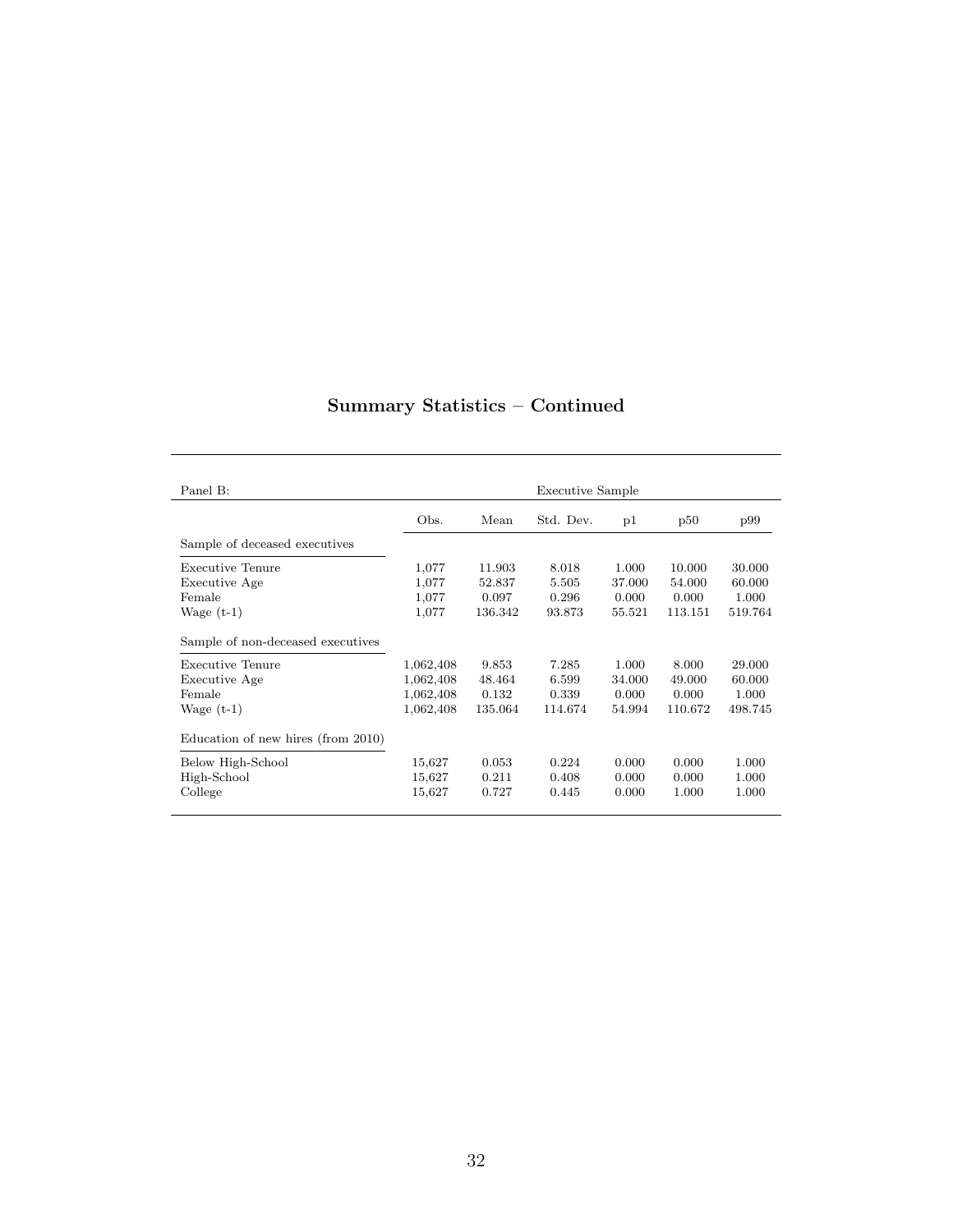| Panel B:                           |           |         | Executive Sample |        |         |         |
|------------------------------------|-----------|---------|------------------|--------|---------|---------|
|                                    | Obs.      | Mean    | Std. Dev.        | p1     | p50     | p99     |
| Sample of deceased executives      |           |         |                  |        |         |         |
| Executive Tenure                   | 1,077     | 11.903  | 8.018            | 1.000  | 10.000  | 30.000  |
| Executive Age                      | 1,077     | 52.837  | 5.505            | 37.000 | 54.000  | 60.000  |
| Female                             | 1,077     | 0.097   | 0.296            | 0.000  | 0.000   | 1.000   |
| Wage $(t-1)$                       | 1,077     | 136.342 | 93.873           | 55.521 | 113.151 | 519.764 |
| Sample of non-deceased executives  |           |         |                  |        |         |         |
| Executive Tenure                   | 1,062,408 | 9.853   | 7.285            | 1.000  | 8.000   | 29.000  |
| Executive Age                      | 1,062,408 | 48.464  | 6.599            | 34.000 | 49.000  | 60.000  |
| Female                             | 1,062,408 | 0.132   | 0.339            | 0.000  | 0.000   | 1.000   |
| Wage $(t-1)$                       | 1,062,408 | 135.064 | 114.674          | 54.994 | 110.672 | 498.745 |
| Education of new hires (from 2010) |           |         |                  |        |         |         |
| Below High-School                  | 15,627    | 0.053   | 0.224            | 0.000  | 0.000   | 1.000   |
| High-School                        | 15,627    | 0.211   | 0.408            | 0.000  | 0.000   | 1.000   |
| College                            | 15,627    | 0.727   | 0.445            | 0.000  | 1.000   | 1.000   |
|                                    |           |         |                  |        |         |         |

## Summary Statistics – Continued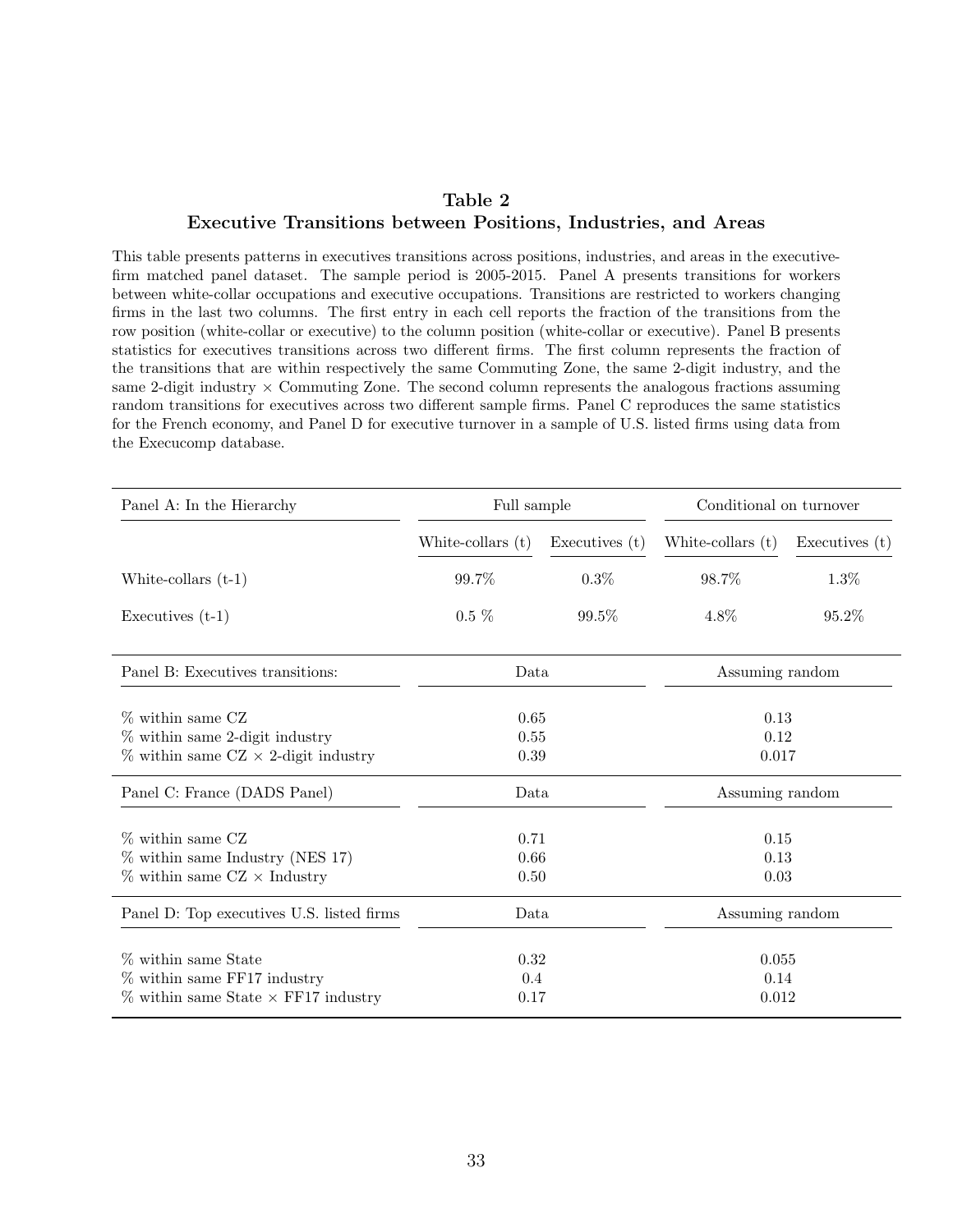#### Table 2 Executive Transitions between Positions, Industries, and Areas

This table presents patterns in executives transitions across positions, industries, and areas in the executivefirm matched panel dataset. The sample period is 2005-2015. Panel A presents transitions for workers between white-collar occupations and executive occupations. Transitions are restricted to workers changing firms in the last two columns. The first entry in each cell reports the fraction of the transitions from the row position (white-collar or executive) to the column position (white-collar or executive). Panel B presents statistics for executives transitions across two different firms. The first column represents the fraction of the transitions that are within respectively the same Commuting Zone, the same 2-digit industry, and the same 2-digit industry  $\times$  Commuting Zone. The second column represents the analogous fractions assuming random transitions for executives across two different sample firms. Panel C reproduces the same statistics for the French economy, and Panel D for executive turnover in a sample of U.S. listed firms using data from the Execucomp database.

| Panel A: In the Hierarchy                                                                              | Full sample          |                      | Conditional on turnover |                      |  |
|--------------------------------------------------------------------------------------------------------|----------------------|----------------------|-------------------------|----------------------|--|
|                                                                                                        | White-collars $(t)$  | Executives $(t)$     | White-collars $(t)$     | Executives $(t)$     |  |
| White-collars $(t-1)$                                                                                  | 99.7%                | $0.3\%$              | 98.7%                   | 1.3%                 |  |
| Executives $(t-1)$                                                                                     | $0.5\%$              | $99.5\%$             | $4.8\%$                 | 95.2%                |  |
| Panel B: Executives transitions:                                                                       | Data                 |                      | Assuming random         |                      |  |
| $\%$ within same CZ<br>% within same 2-digit industry<br>$\%$ within same CZ $\times$ 2-digit industry | 0.65<br>0.55<br>0.39 |                      | 0.13<br>0.12<br>0.017   |                      |  |
| Panel C: France (DADS Panel)                                                                           |                      | Data                 |                         | Assuming random      |  |
| $\%$ within same CZ<br>$\%$ within same Industry (NES 17)<br>$\%$ within same CZ $\times$ Industry     |                      | 0.71<br>0.66<br>0.50 |                         | 0.15<br>0.13<br>0.03 |  |
| Panel D: Top executives U.S. listed firms                                                              |                      | Data                 |                         | Assuming random      |  |
| % within same State<br>$%$ within same FF17 industry<br>$\%$ within same State $\times$ FF17 industry  | 0.32<br>0.4<br>0.17  |                      | 0.055<br>0.14<br>0.012  |                      |  |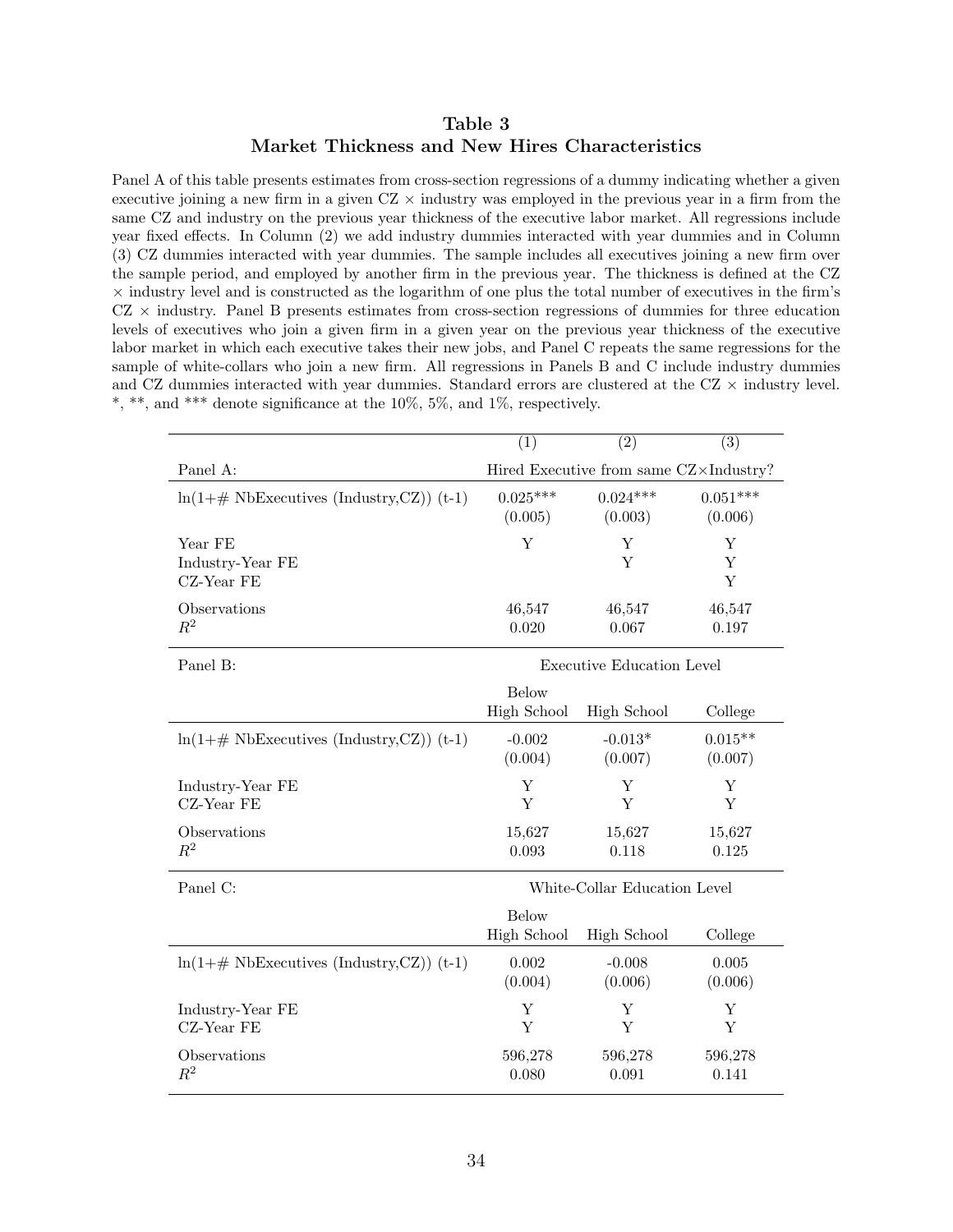#### Table 3 Market Thickness and New Hires Characteristics

Panel A of this table presents estimates from cross-section regressions of a dummy indicating whether a given executive joining a new firm in a given  $CZ \times$  industry was employed in the previous year in a firm from the same CZ and industry on the previous year thickness of the executive labor market. All regressions include year fixed effects. In Column (2) we add industry dummies interacted with year dummies and in Column (3) CZ dummies interacted with year dummies. The sample includes all executives joining a new firm over the sample period, and employed by another firm in the previous year. The thickness is defined at the CZ × industry level and is constructed as the logarithm of one plus the total number of executives in the firm's  $CZ \times$  industry. Panel B presents estimates from cross-section regressions of dummies for three education levels of executives who join a given firm in a given year on the previous year thickness of the executive labor market in which each executive takes their new jobs, and Panel C repeats the same regressions for the sample of white-collars who join a new firm. All regressions in Panels B and C include industry dummies and CZ dummies interacted with year dummies. Standard errors are clustered at the CZ  $\times$  industry level. \*, \*\*, and \*\*\* denote significance at the  $10\%$ ,  $5\%$ , and  $1\%$ , respectively.

|                                                      | (1)                                | $\overline{(2)}$                       | (3)         |
|------------------------------------------------------|------------------------------------|----------------------------------------|-------------|
| Panel A:                                             |                                    | Hired Executive from same CZ×Industry? |             |
| $\ln(1+\# \text{ NbExecutives (Industry, CZ))$ (t-1) | $0.025***$                         | $0.024***$                             | $0.051***$  |
|                                                      | (0.005)                            | (0.003)                                | (0.006)     |
| Year FE<br>Industry-Year FE<br>CZ-Year FE            | Y                                  | Υ<br>Y                                 | Υ<br>Y<br>Y |
| Observations                                         | 46,547                             | 46,547                                 | 46,547      |
| $R^2$                                                | 0.020                              | 0.067                                  | 0.197       |
| Panel B:                                             |                                    | <b>Executive Education Level</b>       |             |
|                                                      | <b>Below</b><br><b>High School</b> | High School                            | College     |
| $\ln(1+\# \text{ NbExecutives (Industry, CZ))$ (t-1) | $-0.002$                           | $-0.013*$                              | $0.015**$   |
|                                                      | (0.004)                            | (0.007)                                | (0.007)     |
| Industry-Year FE                                     | Υ                                  | Υ                                      | Υ           |
| CZ-Year FE                                           | Y                                  | Υ                                      | Υ           |
| Observations                                         | 15,627                             | 15,627                                 | 15,627      |
| $R^2$                                                | 0.093                              | 0.118                                  | 0.125       |
| Panel C:                                             |                                    | White-Collar Education Level           |             |
|                                                      | Below<br><b>High School</b>        | <b>High School</b>                     | College     |
| $ln(1+\# \text{ NbExecutives (Industry, CZ))}$ (t-1) | 0.002                              | $-0.008$                               | 0.005       |
|                                                      | (0.004)                            | (0.006)                                | (0.006)     |
| Industry-Year FE                                     | Y                                  | Υ                                      | Υ           |
| CZ-Year FE                                           | Y                                  | Y                                      | Y           |
| Observations                                         | 596,278                            | 596,278                                | 596,278     |
| $R^2$                                                | 0.080                              | 0.091                                  | 0.141       |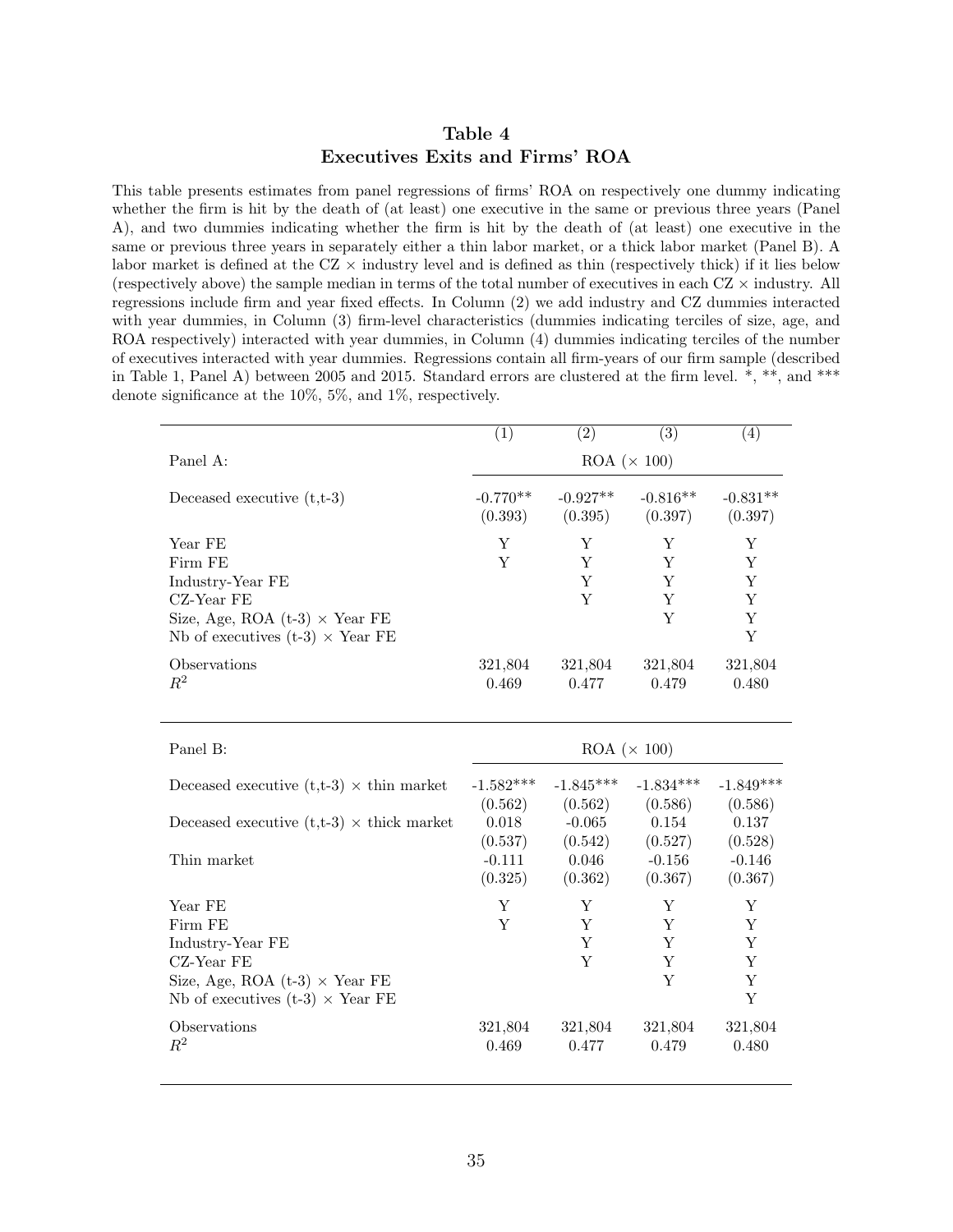#### Table 4 Executives Exits and Firms' ROA

This table presents estimates from panel regressions of firms' ROA on respectively one dummy indicating whether the firm is hit by the death of (at least) one executive in the same or previous three years (Panel A), and two dummies indicating whether the firm is hit by the death of (at least) one executive in the same or previous three years in separately either a thin labor market, or a thick labor market (Panel B). A labor market is defined at the  $CZ \times$  industry level and is defined as thin (respectively thick) if it lies below (respectively above) the sample median in terms of the total number of executives in each  $CZ \times$  industry. All regressions include firm and year fixed effects. In Column (2) we add industry and CZ dummies interacted with year dummies, in Column (3) firm-level characteristics (dummies indicating terciles of size, age, and ROA respectively) interacted with year dummies, in Column (4) dummies indicating terciles of the number of executives interacted with year dummies. Regressions contain all firm-years of our firm sample (described in Table 1, Panel A) between 2005 and 2015. Standard errors are clustered at the firm level. \*, \*\*, and \*\*\* denote significance at the 10%, 5%, and 1%, respectively.

|                                                                                                                                          | $\overline{(1)}$     | (2)                        | $\overline{(3)}$      | (4)                        |  |  |
|------------------------------------------------------------------------------------------------------------------------------------------|----------------------|----------------------------|-----------------------|----------------------------|--|--|
| Panel A:                                                                                                                                 | $ROA (\times 100)$   |                            |                       |                            |  |  |
| Deceased executive $(t,t-3)$                                                                                                             | $-0.770**$           | $-0.927**$                 | $-0.816**$            | $-0.831**$                 |  |  |
|                                                                                                                                          | (0.393)              | (0.395)                    | (0.397)               | (0.397)                    |  |  |
| Year FE<br>Firm FE<br>Industry-Year FE<br>CZ-Year FE<br>Size, Age, ROA $(t-3) \times$ Year FE<br>Nb of executives $(t-3) \times$ Year FE | Υ<br>Y               | Y<br>Y<br>Y<br>Y           | Y<br>Y<br>Υ<br>Υ<br>Y | Y<br>Y<br>Υ<br>Y<br>Y<br>Y |  |  |
| Observations                                                                                                                             | 321,804              | 321,804                    | 321,804               | 321,804                    |  |  |
| $R^2$                                                                                                                                    | 0.469                | 0.477                      | 0.479                 | 0.480                      |  |  |
| Panel B:                                                                                                                                 | $ROA \ (\times 100)$ |                            |                       |                            |  |  |
| Deceased executive $(t,t-3) \times th$ in market                                                                                         | $-1.582***$          | $-1.845***$                | $-1.834***$           | $-1.849***$                |  |  |
|                                                                                                                                          | (0.562)              | (0.562)                    | (0.586)               | (0.586)                    |  |  |
| Deceased executive $(t,t-3) \times$ thick market                                                                                         | 0.018                | $-0.065$                   | 0.154                 | 0.137                      |  |  |
|                                                                                                                                          | (0.537)              | (0.542)                    | (0.527)               | (0.528)                    |  |  |
| Thin market                                                                                                                              | $-0.111$             | 0.046                      | $-0.156$              | $-0.146$                   |  |  |
|                                                                                                                                          | (0.325)              | (0.362)                    | (0.367)               | (0.367)                    |  |  |
| Year FE<br>Firm FE<br>Industry-Year FE<br>CZ-Year FE<br>Size, Age, ROA $(t-3) \times$ Year FE<br>Nb of executives $(t-3) \times$ Year FE | Y<br>Y               | Y<br>Y<br>$\mathbf Y$<br>Y | Υ<br>Y<br>Y<br>Y<br>Y | Υ<br>Υ<br>Y<br>Y<br>Y<br>Y |  |  |
| Observations                                                                                                                             | 321,804              | 321,804                    | 321,804               | 321,804                    |  |  |
| $R^2$                                                                                                                                    | 0.469                | 0.477                      | 0.479                 | 0.480                      |  |  |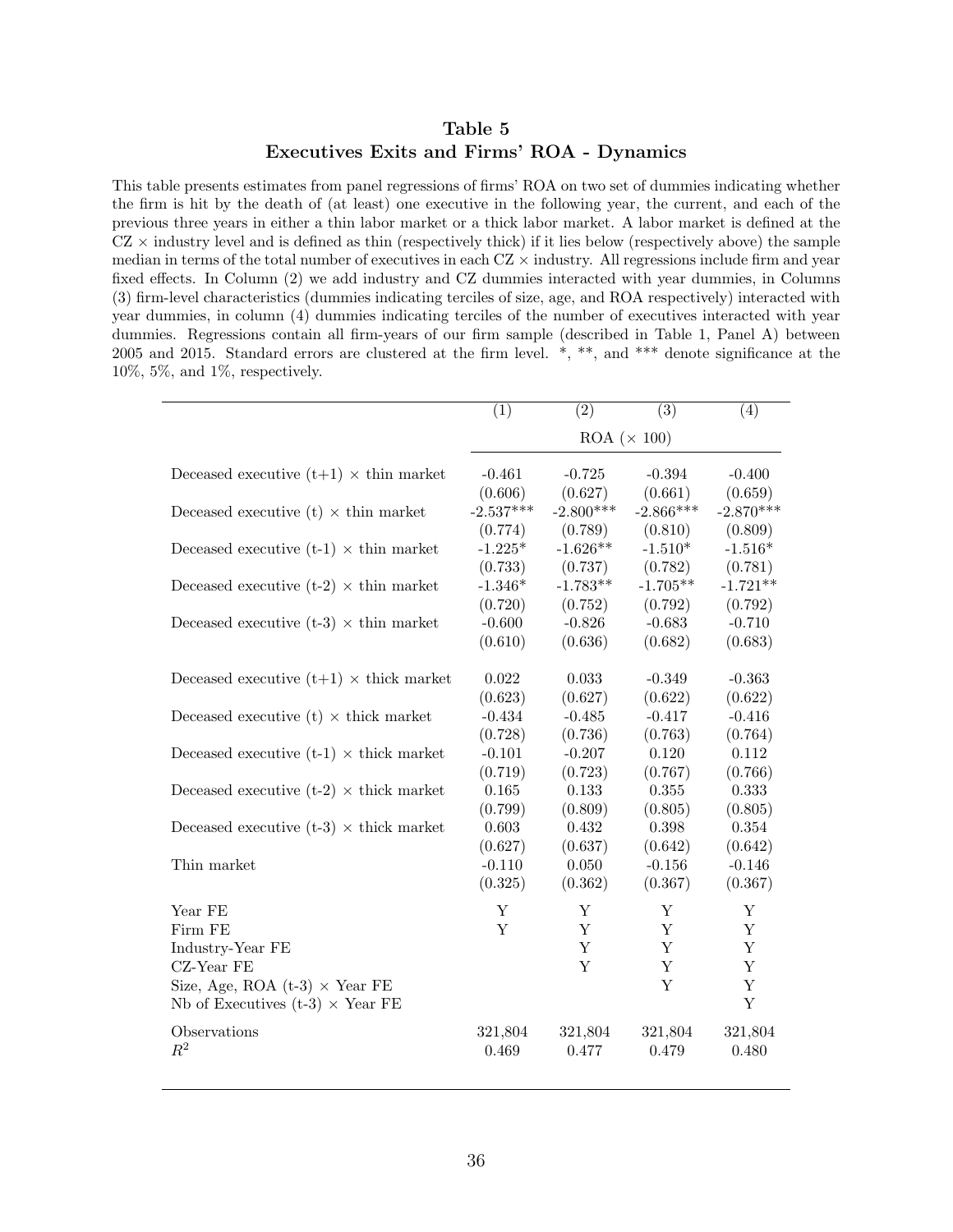#### Table 5 Executives Exits and Firms' ROA - Dynamics

This table presents estimates from panel regressions of firms' ROA on two set of dummies indicating whether the firm is hit by the death of (at least) one executive in the following year, the current, and each of the previous three years in either a thin labor market or a thick labor market. A labor market is defined at the  $CZ \times$  industry level and is defined as thin (respectively thick) if it lies below (respectively above) the sample median in terms of the total number of executives in each  $CZ \times$  industry. All regressions include firm and year fixed effects. In Column (2) we add industry and CZ dummies interacted with year dummies, in Columns (3) firm-level characteristics (dummies indicating terciles of size, age, and ROA respectively) interacted with year dummies, in column (4) dummies indicating terciles of the number of executives interacted with year dummies. Regressions contain all firm-years of our firm sample (described in Table 1, Panel A) between 2005 and 2015. Standard errors are clustered at the firm level. \*, \*\*, and \*\*\* denote significance at the 10%, 5%, and 1%, respectively.

|                                                      | $\overline{(1)}$   | $\overline{(2)}$ | $\overline{(3)}$ | (4)         |  |  |
|------------------------------------------------------|--------------------|------------------|------------------|-------------|--|--|
|                                                      | $ROA (\times 100)$ |                  |                  |             |  |  |
| Deceased executive $(t+1) \times th$ in market       | $-0.461$           | $-0.725$         | $-0.394$         | $-0.400$    |  |  |
|                                                      | (0.606)            | (0.627)          | (0.661)          | (0.659)     |  |  |
| Deceased executive (t) $\times$ thin market          | $-2.537***$        | $-2.800***$      | $-2.866***$      | $-2.870***$ |  |  |
|                                                      | (0.774)            | (0.789)          | (0.810)          | (0.809)     |  |  |
| Deceased executive $(t-1) \times th$ in market       | $-1.225*$          | $-1.626**$       | $-1.510*$        | $-1.516*$   |  |  |
|                                                      | (0.733)            | (0.737)          | (0.782)          | (0.781)     |  |  |
| Deceased executive (t-2) $\times$ thin market        | $-1.346*$          | $-1.783**$       | $-1.705**$       | $-1.721**$  |  |  |
|                                                      | (0.720)            | (0.752)          | (0.792)          | (0.792)     |  |  |
| Deceased executive $(t-3) \times \text{thin market}$ | $-0.600$           | $-0.826$         | $-0.683$         | $-0.710$    |  |  |
|                                                      | (0.610)            | (0.636)          | (0.682)          | (0.683)     |  |  |
| Deceased executive $(t+1) \times$ thick market       | 0.022              | 0.033            | $-0.349$         | $-0.363$    |  |  |
|                                                      | (0.623)            | (0.627)          | (0.622)          | (0.622)     |  |  |
| Deceased executive (t) $\times$ thick market         | $-0.434$           | $-0.485$         | $-0.417$         | $-0.416$    |  |  |
|                                                      | (0.728)            | (0.736)          | (0.763)          | (0.764)     |  |  |
| Deceased executive $(t-1) \times$ thick market       | $-0.101$           | $-0.207$         | 0.120            | 0.112       |  |  |
|                                                      | (0.719)            | (0.723)          | (0.767)          | (0.766)     |  |  |
| Deceased executive (t-2) $\times$ thick market       | 0.165              | 0.133            | 0.355            | 0.333       |  |  |
|                                                      | (0.799)            | (0.809)          | (0.805)          | (0.805)     |  |  |
| Deceased executive $(t-3) \times$ thick market       | 0.603              | 0.432            | 0.398            | 0.354       |  |  |
|                                                      | (0.627)            | (0.637)          | (0.642)          | (0.642)     |  |  |
| Thin market                                          | $-0.110$           | 0.050            | $-0.156$         | $-0.146$    |  |  |
|                                                      | (0.325)            | (0.362)          | (0.367)          | (0.367)     |  |  |
| Year FE                                              | Y                  | $\mathbf Y$      | Y                | $\mathbf Y$ |  |  |
| Firm FE                                              | Y                  | Y                | Y                | Y           |  |  |
| Industry-Year FE                                     |                    | $\mathbf Y$      | Y                | $\mathbf Y$ |  |  |
| CZ-Year FE                                           |                    | $\mathbf Y$      | $\mathbf Y$      | $\mathbf Y$ |  |  |
| Size, Age, ROA $(t-3) \times$ Year FE                |                    |                  | $\mathbf Y$      | $\mathbf Y$ |  |  |
| Nb of Executives (t-3) $\times$ Year FE              |                    |                  |                  | $\mathbf Y$ |  |  |
| Observations                                         | 321,804            | 321,804          | 321,804          | 321,804     |  |  |
| $R^2$                                                | 0.469              | 0.477            | 0.479            | 0.480       |  |  |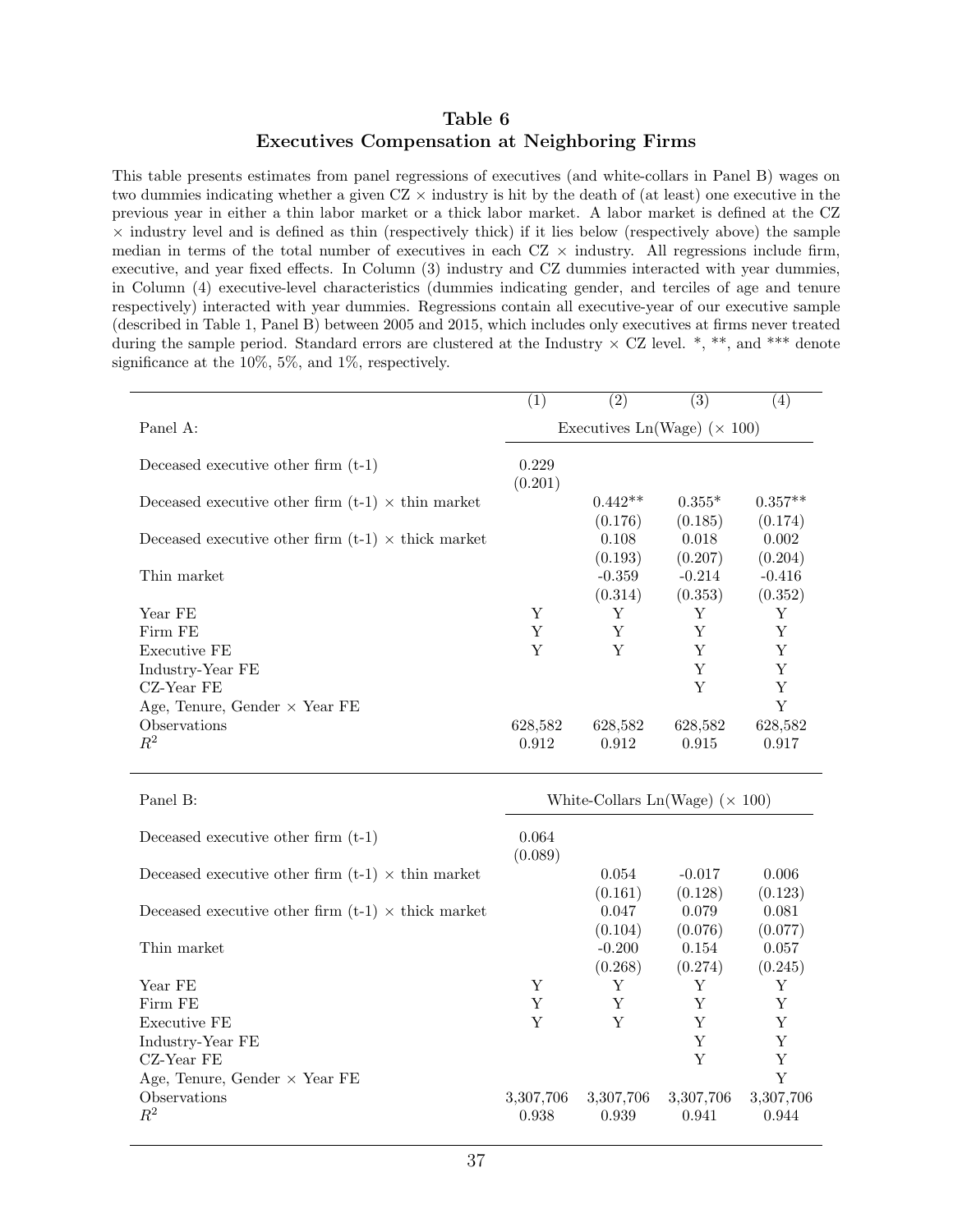#### Table 6 Executives Compensation at Neighboring Firms

This table presents estimates from panel regressions of executives (and white-collars in Panel B) wages on two dummies indicating whether a given  $CZ \times$  industry is hit by the death of (at least) one executive in the previous year in either a thin labor market or a thick labor market. A labor market is defined at the CZ  $\times$  industry level and is defined as thin (respectively thick) if it lies below (respectively above) the sample median in terms of the total number of executives in each  $CZ \times$  industry. All regressions include firm, executive, and year fixed effects. In Column (3) industry and CZ dummies interacted with year dummies, in Column (4) executive-level characteristics (dummies indicating gender, and terciles of age and tenure respectively) interacted with year dummies. Regressions contain all executive-year of our executive sample (described in Table 1, Panel B) between 2005 and 2015, which includes only executives at firms never treated during the sample period. Standard errors are clustered at the Industry  $\times$  CZ level. \*, \*\*, and \*\*\* denote significance at the 10%, 5%, and 1%, respectively.

|                                                           | $\left( 1\right)$                   | $\left( 2\right)$ | (3)      | (4)       |  |
|-----------------------------------------------------------|-------------------------------------|-------------------|----------|-----------|--|
| Panel A:                                                  | Executives Ln(Wage) ( $\times$ 100) |                   |          |           |  |
| Deceased executive other firm $(t-1)$                     | 0.229<br>(0.201)                    |                   |          |           |  |
| Deceased executive other firm $(t-1) \times th$ in market |                                     | $0.442**$         | $0.355*$ | $0.357**$ |  |
|                                                           |                                     | (0.176)           | (0.185)  | (0.174)   |  |
| Deceased executive other firm $(t-1) \times$ thick market |                                     | 0.108             | 0.018    | 0.002     |  |
|                                                           |                                     | (0.193)           | (0.207)  | (0.204)   |  |
| Thin market                                               |                                     | $-0.359$          | $-0.214$ | $-0.416$  |  |
|                                                           |                                     | (0.314)           | (0.353)  | (0.352)   |  |
| Year FE                                                   | Y                                   | Y                 | Y        | Y         |  |
| Firm FE                                                   | Y                                   | Y                 | Y        | Y         |  |
| Executive FE                                              | Y                                   | Y                 | Y        | Y         |  |
| Industry-Year FE                                          |                                     |                   | Y        | Y         |  |
| CZ-Year FE                                                |                                     |                   | Y        | Y         |  |
|                                                           |                                     |                   |          | Y         |  |
| Observations                                              | 628,582                             | 628,582           | 628,582  | 628,582   |  |
| $R^2$                                                     | 0.912                               | 0.912             | 0.915    | 0.917     |  |
| Age, Tenure, Gender $\times$ Year FE                      |                                     |                   |          |           |  |

| Panel B:                                                  | White-Collars $Ln(Wage)$ ( $\times$ 100) |                                |                             |                             |
|-----------------------------------------------------------|------------------------------------------|--------------------------------|-----------------------------|-----------------------------|
| Deceased executive other firm $(t-1)$                     | 0.064<br>(0.089)                         |                                |                             |                             |
| Deceased executive other firm $(t-1) \times th$ in market |                                          | 0.054<br>(0.161)               | $-0.017$<br>(0.128)         | 0.006<br>(0.123)            |
| Deceased executive other firm $(t-1) \times$ thick market |                                          | 0.047                          | 0.079                       | 0.081                       |
| Thin market                                               |                                          | (0.104)<br>$-0.200$<br>(0.268) | (0.076)<br>0.154<br>(0.274) | (0.077)<br>0.057<br>(0.245) |
| Year FE                                                   | Y                                        | Y                              | Y                           | Y                           |
| Firm FE                                                   | Y                                        | Y                              | Y                           | Y                           |
| Executive FE                                              | Y                                        | Y                              | Y                           | Y                           |
| Industry-Year FE                                          |                                          |                                | Y                           | Y                           |
| CZ-Year FE                                                |                                          |                                | Y                           | Y                           |
| Age, Tenure, Gender $\times$ Year FE                      |                                          |                                |                             | Y                           |
| Observations<br>$R^2$                                     | 3,307,706<br>0.938                       | 3,307,706<br>0.939             | 3,307,706<br>0.941          | 3,307,706<br>0.944          |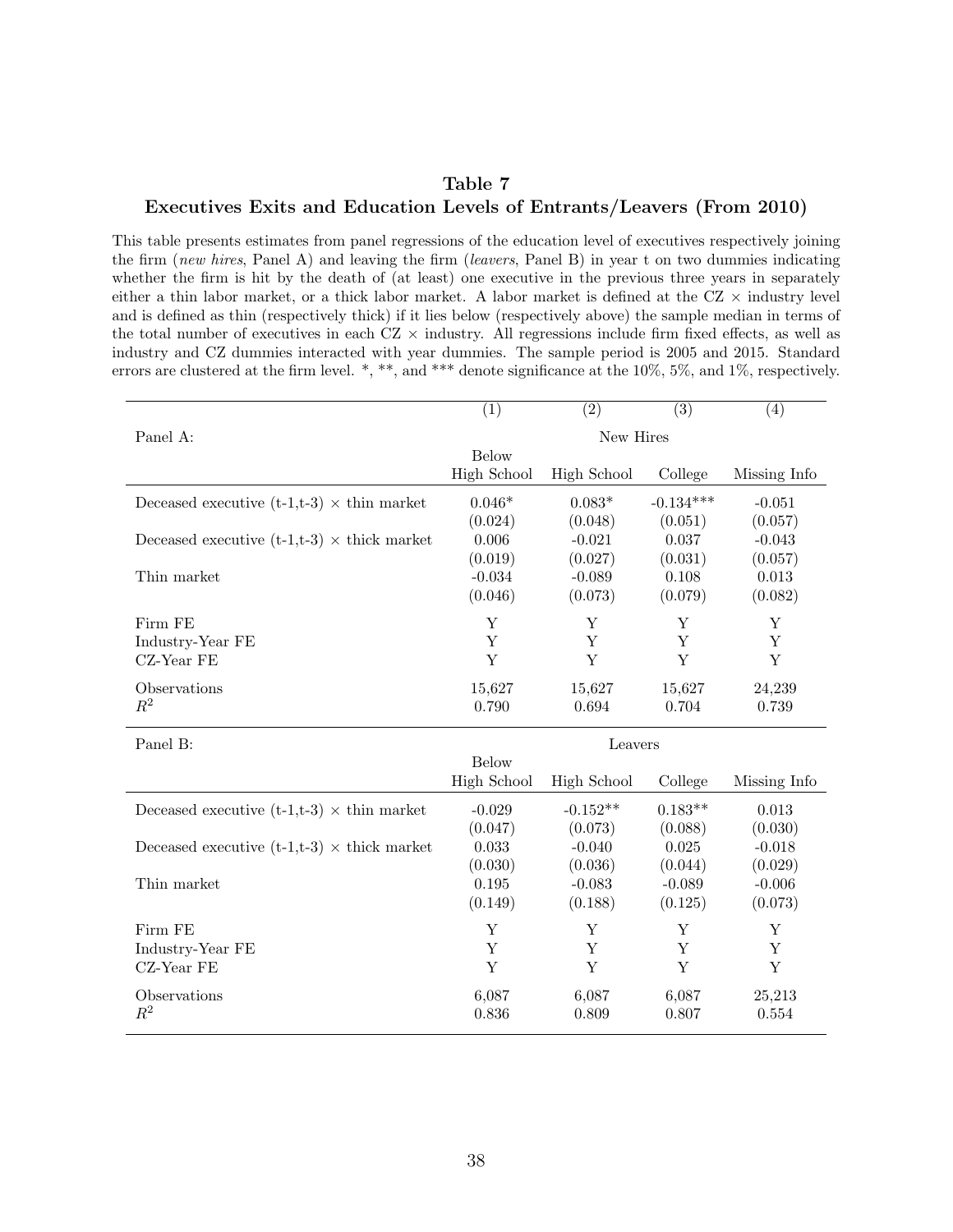#### Table 7

#### Executives Exits and Education Levels of Entrants/Leavers (From 2010)

This table presents estimates from panel regressions of the education level of executives respectively joining the firm (new hires, Panel A) and leaving the firm (leavers, Panel B) in year t on two dummies indicating whether the firm is hit by the death of (at least) one executive in the previous three years in separately either a thin labor market, or a thick labor market. A labor market is defined at the  $CZ \times$  industry level and is defined as thin (respectively thick) if it lies below (respectively above) the sample median in terms of the total number of executives in each  $CZ \times$  industry. All regressions include firm fixed effects, as well as industry and CZ dummies interacted with year dummies. The sample period is 2005 and 2015. Standard errors are clustered at the firm level. \*, \*\*, and \*\*\* denote significance at the 10%, 5%, and 1%, respectively.

|                                                           | (1)                | $\overline{(2)}$   | $\overline{(3)}$ | (4)          |
|-----------------------------------------------------------|--------------------|--------------------|------------------|--------------|
| Panel A:                                                  |                    | New Hires          |                  |              |
|                                                           | <b>Below</b>       |                    |                  |              |
|                                                           | High School        | <b>High School</b> | College          | Missing Info |
| Deceased executive $(t-1,t-3) \times \text{thin market}$  | $0.046*$           | $0.083*$           | $-0.134***$      | $-0.051$     |
|                                                           | (0.024)            | (0.048)            | (0.051)          | (0.057)      |
| Deceased executive $(t-1,t-3) \times$ thick market        | 0.006              | $-0.021$           | 0.037            | $-0.043$     |
|                                                           | (0.019)            | (0.027)            | (0.031)          | (0.057)      |
| Thin market                                               | $-0.034$           | $-0.089$           | 0.108            | 0.013        |
|                                                           | (0.046)            | (0.073)            | (0.079)          | (0.082)      |
| Firm FE                                                   | Υ                  | Y                  | Y                | Υ            |
| Industry-Year FE                                          | Υ                  | Y                  | Y                | Y            |
| CZ-Year FE                                                | Y                  | Y                  | Y                | $\mathbf Y$  |
| Observations                                              | 15,627             | 15,627             | 15,627           | 24,239       |
| $R^2$                                                     | 0.790              | 0.694              | 0.704            | 0.739        |
| Panel B:                                                  |                    | Leavers            |                  |              |
|                                                           | <b>Below</b>       |                    |                  |              |
|                                                           | <b>High School</b> | <b>High School</b> | College          | Missing Info |
| Deceased executive $(t-1,t-3) \times th$ in market        | $-0.029$           | $-0.152**$         | $0.183**$        | 0.013        |
|                                                           | (0.047)            | (0.073)            | (0.088)          | (0.030)      |
| Deceased executive $(t-1,t-3) \times \text{thick market}$ | 0.033              | $-0.040$           | 0.025            | $-0.018$     |
|                                                           | (0.030)            | (0.036)            | (0.044)          | (0.029)      |
| Thin market                                               | 0.195              | $-0.083$           | $-0.089$         | $-0.006$     |
|                                                           | (0.149)            | (0.188)            | (0.125)          | (0.073)      |
| Firm FE                                                   | Υ                  | Y                  | Y                | Y            |
| Industry-Year FE                                          | Υ                  | Y                  | Y                | Y            |
| CZ-Year FE                                                | Y                  | Y                  | Y                | Y            |
| Observations                                              | 6,087              | 6,087              | 6,087            | 25,213       |
| $R^2$                                                     | 0.836              | 0.809              | 0.807            | 0.554        |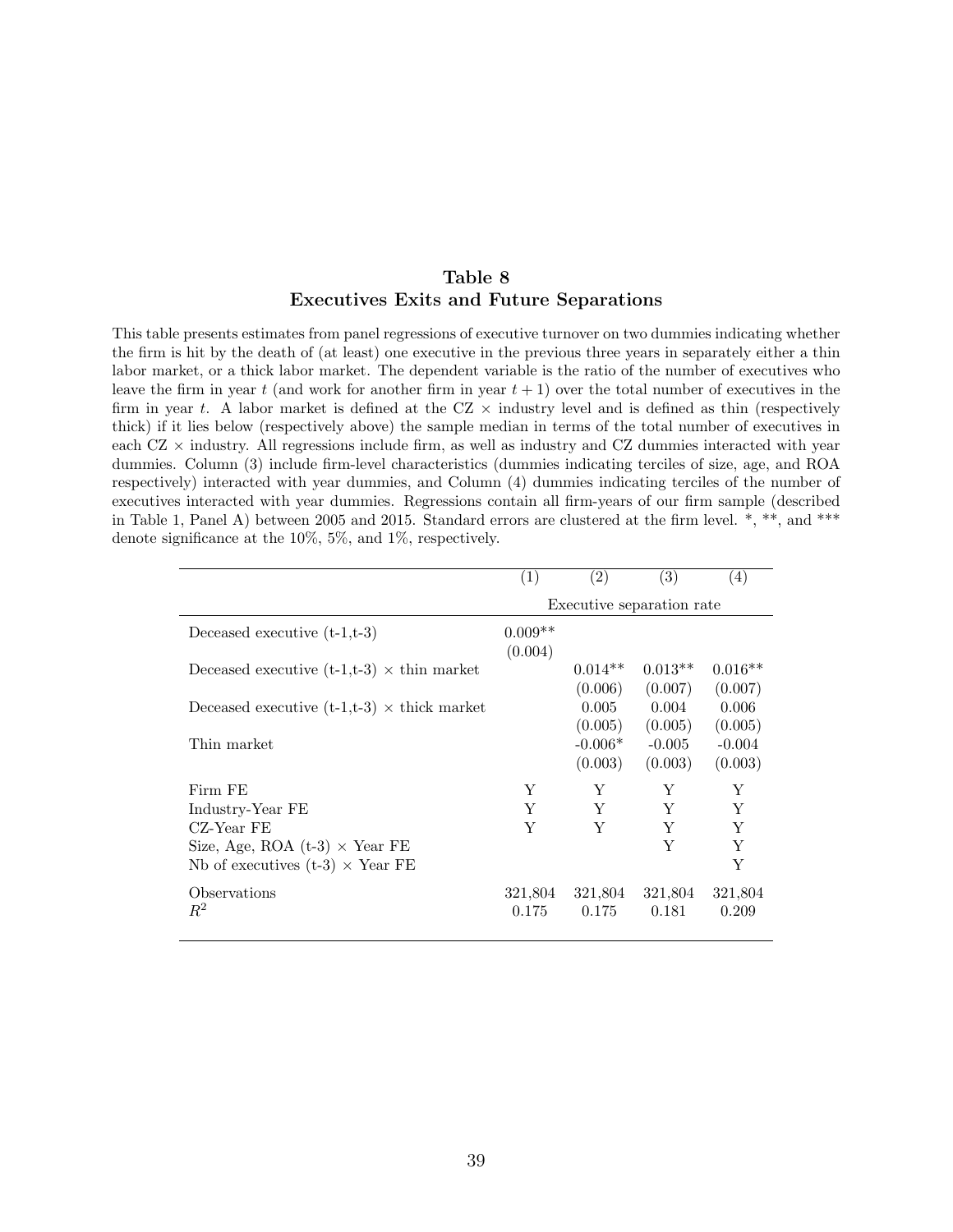#### Table 8 Executives Exits and Future Separations

This table presents estimates from panel regressions of executive turnover on two dummies indicating whether the firm is hit by the death of (at least) one executive in the previous three years in separately either a thin labor market, or a thick labor market. The dependent variable is the ratio of the number of executives who leave the firm in year t (and work for another firm in year  $t + 1$ ) over the total number of executives in the firm in year t. A labor market is defined at the  $CZ \times$  industry level and is defined as thin (respectively thick) if it lies below (respectively above) the sample median in terms of the total number of executives in each  $CZ \times$  industry. All regressions include firm, as well as industry and  $CZ$  dummies interacted with year dummies. Column (3) include firm-level characteristics (dummies indicating terciles of size, age, and ROA respectively) interacted with year dummies, and Column (4) dummies indicating terciles of the number of executives interacted with year dummies. Regressions contain all firm-years of our firm sample (described in Table 1, Panel A) between 2005 and 2015. Standard errors are clustered at the firm level. \*, \*\*, and \*\*\* denote significance at the 10%, 5%, and 1%, respectively.

|                                                           | (1)                  | (2)                  | $\left( 3\right)$         | (4)                  |
|-----------------------------------------------------------|----------------------|----------------------|---------------------------|----------------------|
|                                                           |                      |                      | Executive separation rate |                      |
| Deceased executive $(t-1,t-3)$                            | $0.009**$<br>(0.004) |                      |                           |                      |
| Deceased executive $(t-1,t-3) \times \text{thin market}$  |                      | $0.014**$<br>(0.006) | $0.013**$<br>(0.007)      | $0.016**$<br>(0.007) |
| Deceased executive $(t-1,t-3) \times \text{thick market}$ |                      | 0.005<br>(0.005)     | 0.004<br>(0.005)          | 0.006<br>(0.005)     |
| Thin market                                               |                      | $-0.006*$<br>(0.003) | $-0.005$<br>(0.003)       | $-0.004$<br>(0.003)  |
| Firm FE                                                   | Y                    | Y                    | Y                         | Y                    |
| Industry-Year FE                                          | Y                    | Y                    | Y                         | Y                    |
| CZ-Year FE                                                | Y                    | Y                    | Y                         | Y                    |
| Size, Age, ROA $(t-3) \times$ Year FE                     |                      |                      | Y                         | Y                    |
| Nb of executives $(t-3) \times$ Year FE                   |                      |                      |                           | Y                    |
| Observations<br>$R^2$                                     | 321,804<br>0.175     | 321,804<br>0.175     | 321,804<br>0.181          | 321,804<br>0.209     |
|                                                           |                      |                      |                           |                      |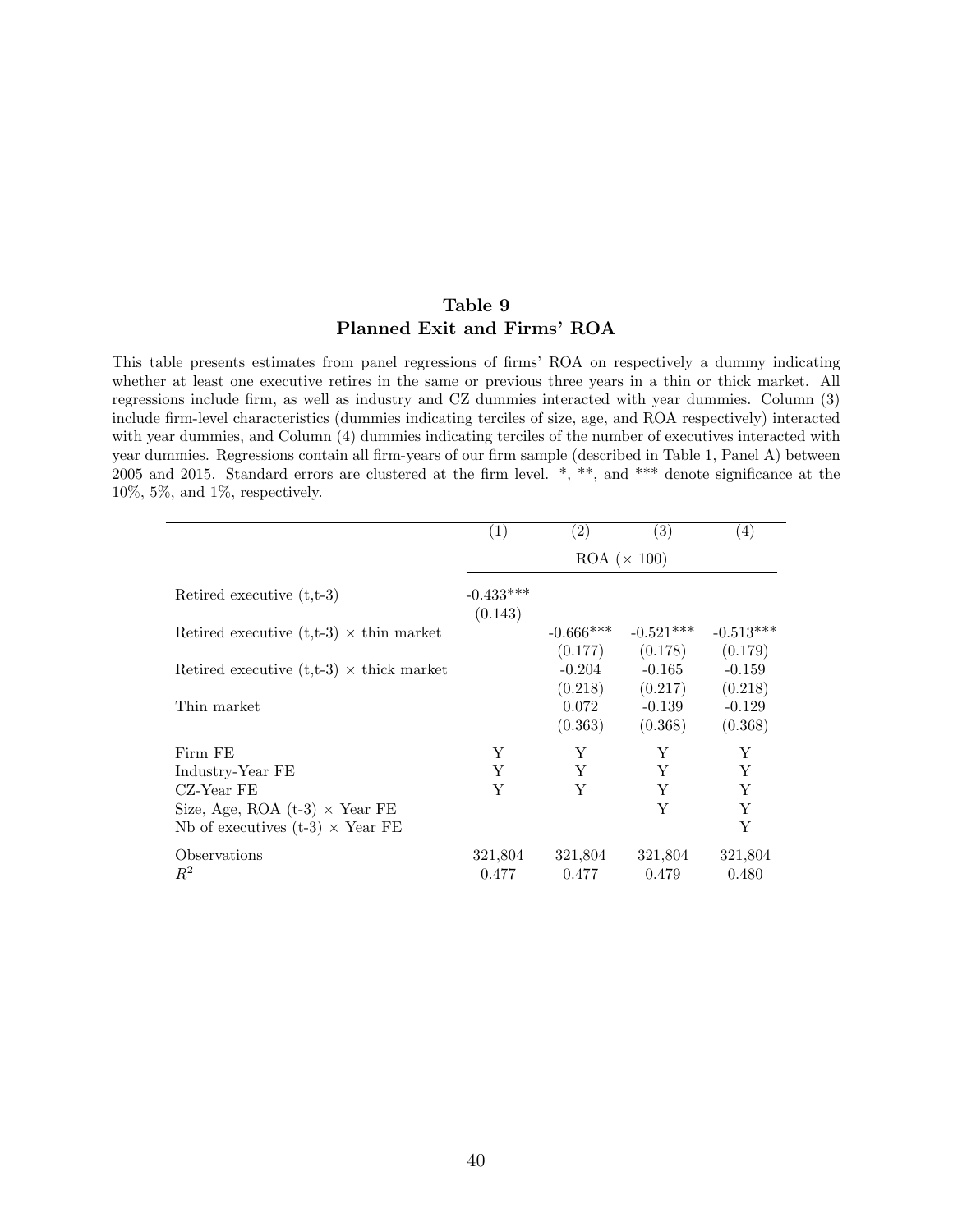#### Table 9 Planned Exit and Firms' ROA

This table presents estimates from panel regressions of firms' ROA on respectively a dummy indicating whether at least one executive retires in the same or previous three years in a thin or thick market. All regressions include firm, as well as industry and CZ dummies interacted with year dummies. Column (3) include firm-level characteristics (dummies indicating terciles of size, age, and ROA respectively) interacted with year dummies, and Column (4) dummies indicating terciles of the number of executives interacted with year dummies. Regressions contain all firm-years of our firm sample (described in Table 1, Panel A) between 2005 and 2015. Standard errors are clustered at the firm level. \*, \*\*, and \*\*\* denote significance at the 10%, 5%, and 1%, respectively.

|                                                 | (1)                    | (2)                   | (3)         | (4)         |  |
|-------------------------------------------------|------------------------|-----------------------|-------------|-------------|--|
|                                                 |                        | $ROA \ (\times\ 100)$ |             |             |  |
| Retired executive $(t,t-3)$                     | $-0.433***$<br>(0.143) |                       |             |             |  |
| Retired executive $(t,t-3) \times th$ in market |                        | $-0.666***$           | $-0.521***$ | $-0.513***$ |  |
|                                                 |                        | (0.177)               | (0.178)     | (0.179)     |  |
| Retired executive $(t,t-3) \times$ thick market |                        | $-0.204$              | $-0.165$    | $-0.159$    |  |
|                                                 |                        | (0.218)               | (0.217)     | (0.218)     |  |
| Thin market                                     |                        | 0.072                 | $-0.139$    | $-0.129$    |  |
|                                                 |                        | (0.363)               | (0.368)     | (0.368)     |  |
| Firm FE                                         | Y                      | Y                     | Y           | Y           |  |
| Industry-Year FE                                | Y                      | Y                     | Y           | Y           |  |
| CZ-Year FE                                      | Y                      | Y                     | Y           | Y           |  |
| Size, Age, ROA $(t-3) \times$ Year FE           |                        |                       | Y           | Y           |  |
| Nb of executives (t-3) $\times$ Year FE         |                        |                       |             | Y           |  |
| Observations                                    | 321,804                | 321,804               | 321,804     | 321,804     |  |
| $R^2$                                           | 0.477                  | 0.477                 | 0.479       | 0.480       |  |
|                                                 |                        |                       |             |             |  |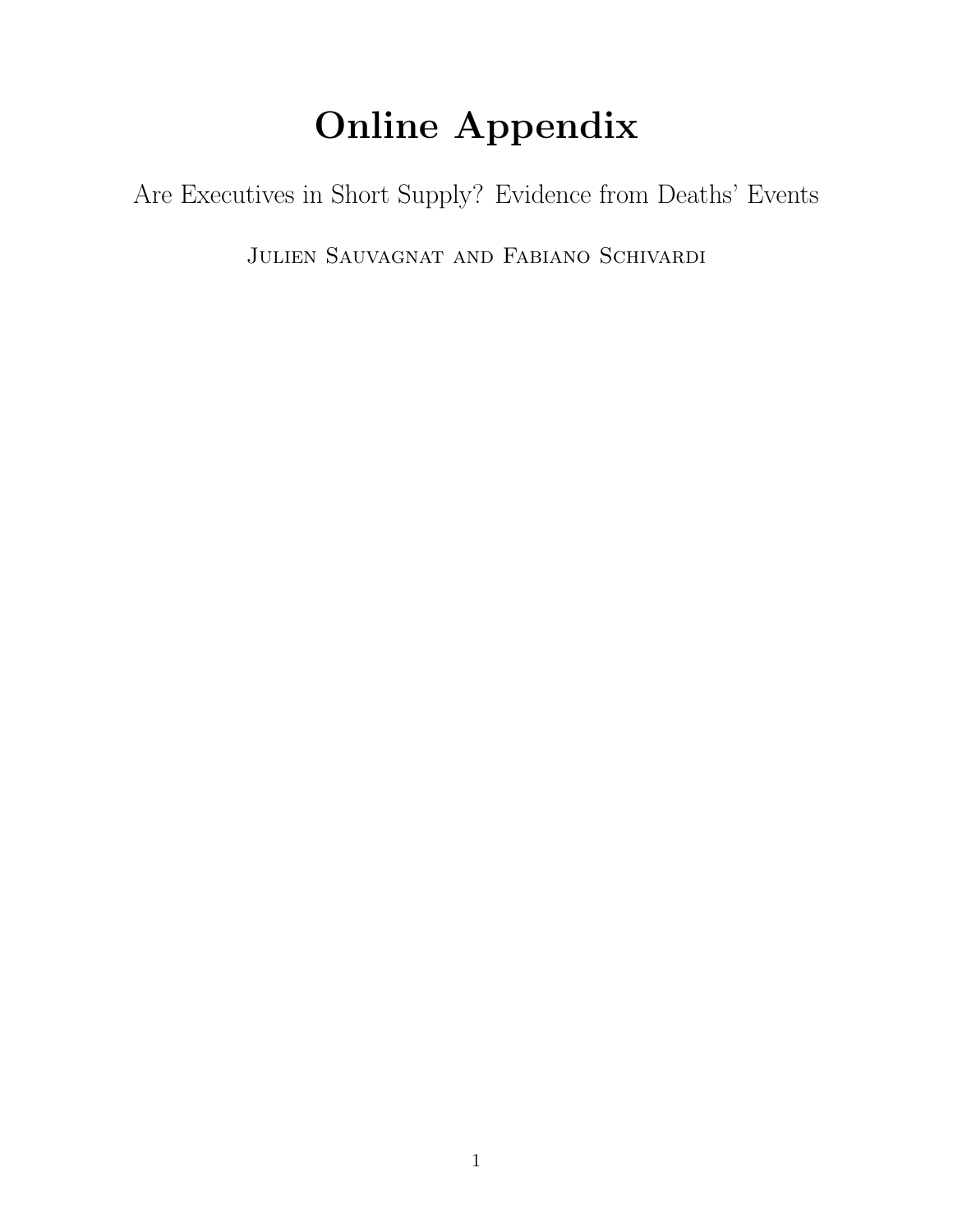# Online Appendix

Are Executives in Short Supply? Evidence from Deaths' Events

Julien Sauvagnat and Fabiano Schivardi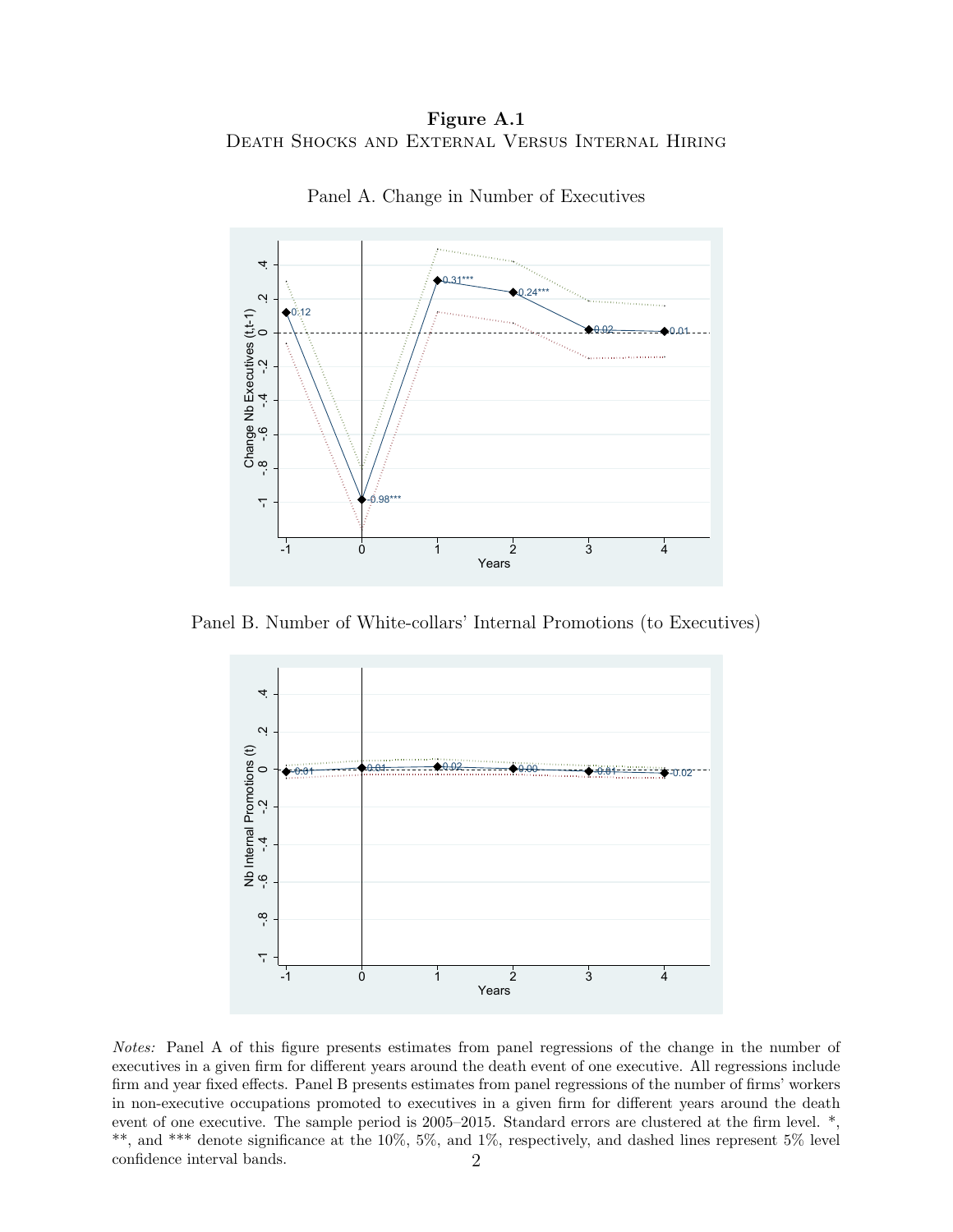Figure A.1 Death Shocks and External Versus Internal Hiring



Panel A. Change in Number of Executives

Panel B. Number of White-collars' Internal Promotions (to Executives)



Notes: Panel A of this figure presents estimates from panel regressions of the change in the number of executives in a given firm for different years around the death event of one executive. All regressions include firm and year fixed effects. Panel B presents estimates from panel regressions of the number of firms' workers in non-executive occupations promoted to executives in a given firm for different years around the death event of one executive. The sample period is 2005–2015. Standard errors are clustered at the firm level. \*, \*\*, and \*\*\* denote significance at the 10%, 5%, and 1%, respectively, and dashed lines represent 5% level confidence interval bands. 2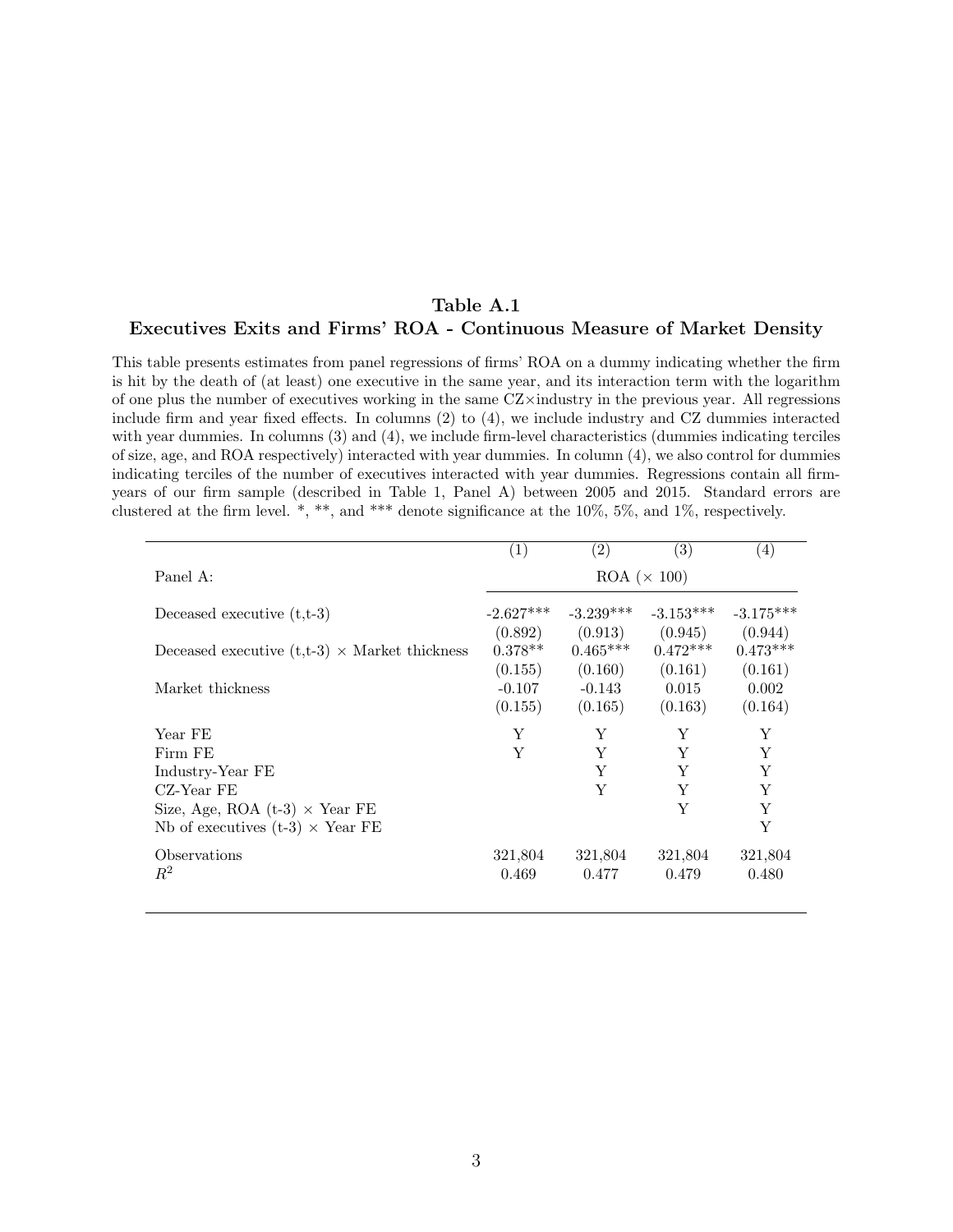#### Table A.1 Executives Exits and Firms' ROA - Continuous Measure of Market Density

This table presents estimates from panel regressions of firms' ROA on a dummy indicating whether the firm is hit by the death of (at least) one executive in the same year, and its interaction term with the logarithm of one plus the number of executives working in the same  $CZ\times$ industry in the previous year. All regressions include firm and year fixed effects. In columns (2) to (4), we include industry and CZ dummies interacted with year dummies. In columns (3) and (4), we include firm-level characteristics (dummies indicating terciles of size, age, and ROA respectively) interacted with year dummies. In column (4), we also control for dummies indicating terciles of the number of executives interacted with year dummies. Regressions contain all firmyears of our firm sample (described in Table 1, Panel A) between 2005 and 2015. Standard errors are clustered at the firm level. \*, \*\*, and \*\*\* denote significance at the 10%, 5%, and 1%, respectively.

|                                                      | $\left( 1\right)$    | $\left( 2\right)$     | $\left( 3\right)$     | $\left( 4\right)$     |  |
|------------------------------------------------------|----------------------|-----------------------|-----------------------|-----------------------|--|
| Panel A:                                             | $ROA (\times 100)$   |                       |                       |                       |  |
| Deceased executive $(t,t-3)$                         | $-2.627***$          | $-3.239***$           | $-3.153***$           | $-3.175***$           |  |
| Deceased executive $(t,t-3) \times$ Market thickness | (0.892)<br>$0.378**$ | (0.913)<br>$0.465***$ | (0.945)<br>$0.472***$ | (0.944)<br>$0.473***$ |  |
|                                                      | (0.155)              | (0.160)               | (0.161)               | (0.161)               |  |
| Market thickness                                     | $-0.107$<br>(0.155)  | $-0.143$<br>(0.165)   | 0.015<br>(0.163)      | 0.002<br>(0.164)      |  |
| Year FE                                              | Y                    | Y                     | Y                     | Y                     |  |
| Firm FE                                              | Y                    | Y                     | Y                     | Y                     |  |
| Industry-Year FE                                     |                      | Y                     | Y                     | Y                     |  |
| CZ-Year FE                                           |                      | Y                     | Y                     | Y                     |  |
| Size, Age, ROA $(t-3) \times$ Year FE                |                      |                       | Y                     | Y                     |  |
| Nb of executives $(t-3) \times$ Year FE              |                      |                       |                       | Y                     |  |
| Observations                                         | 321,804              | 321,804               | 321,804               | 321,804               |  |
| $\,R^2$                                              | 0.469                | 0.477                 | 0.479                 | 0.480                 |  |
|                                                      |                      |                       |                       |                       |  |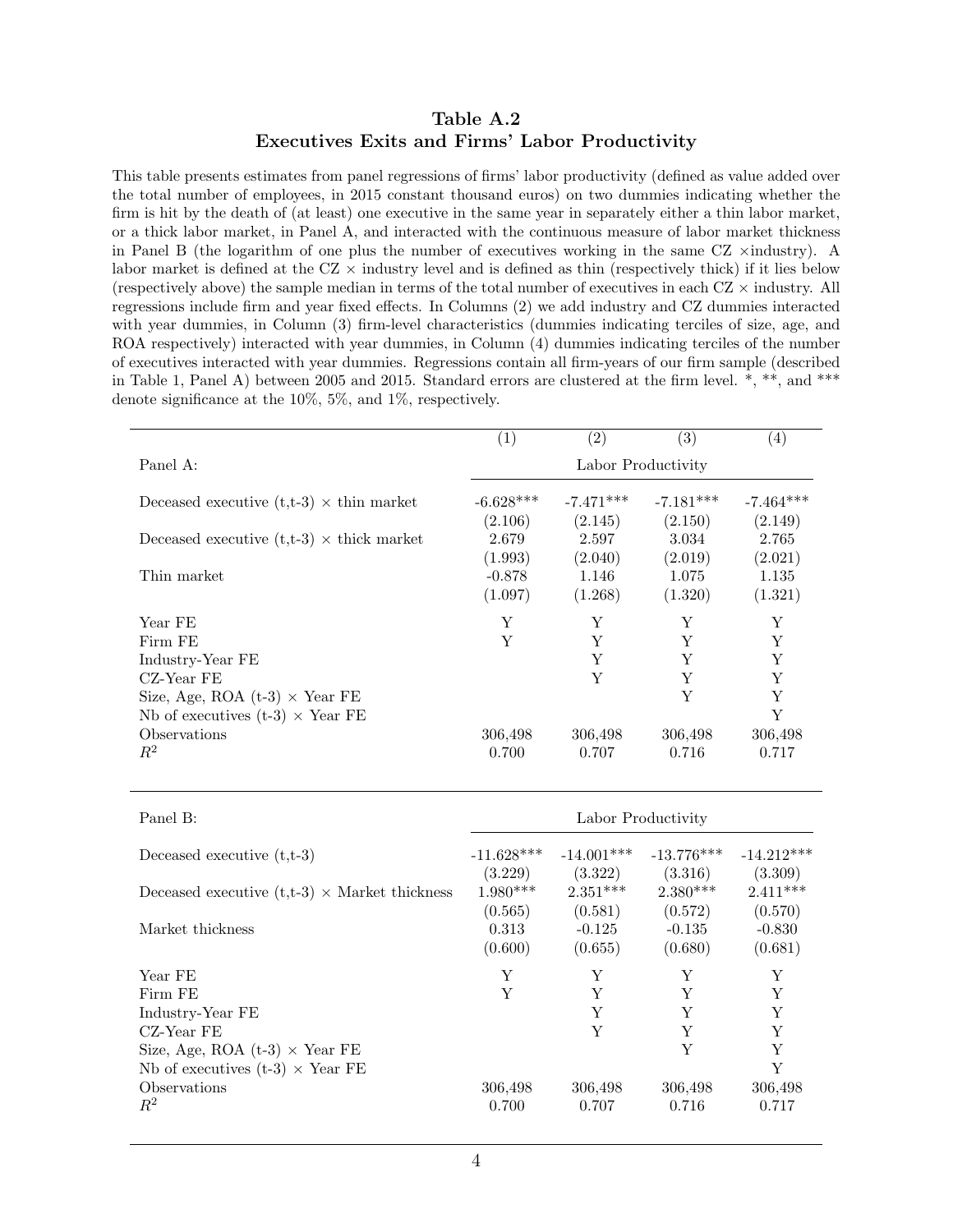#### Table A.2 Executives Exits and Firms' Labor Productivity

This table presents estimates from panel regressions of firms' labor productivity (defined as value added over the total number of employees, in 2015 constant thousand euros) on two dummies indicating whether the firm is hit by the death of (at least) one executive in the same year in separately either a thin labor market, or a thick labor market, in Panel A, and interacted with the continuous measure of labor market thickness in Panel B (the logarithm of one plus the number of executives working in the same  $CZ \times \text{industry}$ ). A labor market is defined at the  $CZ \times$  industry level and is defined as thin (respectively thick) if it lies below (respectively above) the sample median in terms of the total number of executives in each  $CZ \times$  industry. All regressions include firm and year fixed effects. In Columns (2) we add industry and CZ dummies interacted with year dummies, in Column (3) firm-level characteristics (dummies indicating terciles of size, age, and ROA respectively) interacted with year dummies, in Column (4) dummies indicating terciles of the number of executives interacted with year dummies. Regressions contain all firm-years of our firm sample (described in Table 1, Panel A) between 2005 and 2015. Standard errors are clustered at the firm level. \*, \*\*, and \*\*\* denote significance at the 10%, 5%, and 1%, respectively.

|                                                  | (1)                | $\left( 2\right)$ | $\left( 3\right)$ | $\left( 4\right)$ |  |  |
|--------------------------------------------------|--------------------|-------------------|-------------------|-------------------|--|--|
| Panel A:                                         | Labor Productivity |                   |                   |                   |  |  |
| Deceased executive $(t,t-3) \times th$ market    | $-6.628***$        | $-7.471***$       | $-7.181***$       | $-7.464***$       |  |  |
|                                                  | (2.106)            | (2.145)           | (2.150)           | (2.149)           |  |  |
| Deceased executive $(t,t-3) \times$ thick market | 2.679              | 2.597             | 3.034             | 2.765             |  |  |
|                                                  | (1.993)            | (2.040)           | (2.019)           | (2.021)           |  |  |
| Thin market                                      | $-0.878$           | 1.146             | 1.075             | 1.135             |  |  |
|                                                  | (1.097)            | (1.268)           | (1.320)           | (1.321)           |  |  |
| Year FE                                          | Y                  | Y                 | Y                 | Y                 |  |  |
| Firm FE                                          | Y                  | Y                 | Y                 | Y                 |  |  |
| Industry-Year FE                                 |                    | Y                 | Y                 | Y                 |  |  |
| CZ-Year FE                                       |                    | Y                 | Y                 | Y                 |  |  |
| Size, Age, ROA $(t-3) \times$ Year FE            |                    |                   | Y                 | Y                 |  |  |
| Nb of executives $(t-3) \times$ Year FE          |                    |                   |                   | Y                 |  |  |
| Observations                                     | 306,498            | 306,498           | 306,498           | 306,498           |  |  |
| $\,R^2$                                          | 0.700              | 0.707             | 0.716             | 0.717             |  |  |

| Panel B:                                             | Labor Productivity |              |              |              |  |  |
|------------------------------------------------------|--------------------|--------------|--------------|--------------|--|--|
| Deceased executive $(t,t-3)$                         | $-11.628***$       | $-14.001***$ | $-13.776***$ | $-14.212***$ |  |  |
|                                                      | (3.229)            | (3.322)      | (3.316)      | (3.309)      |  |  |
| Deceased executive $(t,t-3) \times$ Market thickness | $1.980***$         | $2.351***$   | $2.380***$   | $2.411***$   |  |  |
|                                                      | (0.565)            | (0.581)      | (0.572)      | (0.570)      |  |  |
| Market thickness                                     | 0.313              | $-0.125$     | $-0.135$     | $-0.830$     |  |  |
|                                                      | (0.600)            | (0.655)      | (0.680)      | (0.681)      |  |  |
| Year FE                                              | Y                  | Y            | Y            | Y            |  |  |
| Firm FE                                              | Y                  | Y            | Y            | Y            |  |  |
| Industry-Year FE                                     |                    | Y            | Y            | Y            |  |  |
| CZ-Year FE                                           |                    | Y            | Y            | Y            |  |  |
| Size, Age, ROA $(t-3) \times$ Year FE                |                    |              | Y            | Y            |  |  |
| Nb of executives (t-3) $\times$ Year FE              |                    |              |              | Y            |  |  |
| Observations                                         | 306,498            | 306,498      | 306,498      | 306,498      |  |  |
| $R^2$                                                | 0.700              | 0.707        | 0.716        | 0.717        |  |  |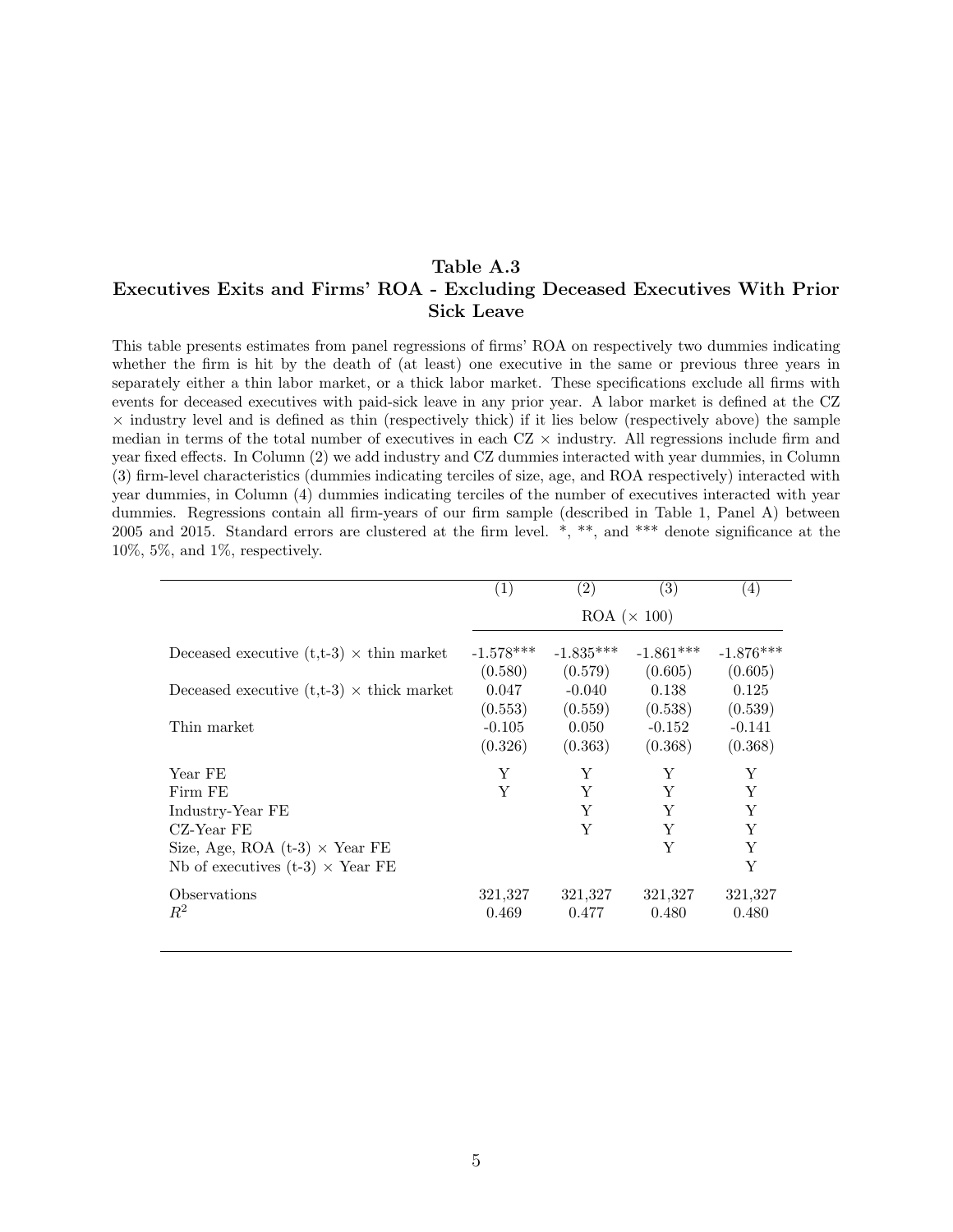#### Table A.3 Executives Exits and Firms' ROA - Excluding Deceased Executives With Prior Sick Leave

This table presents estimates from panel regressions of firms' ROA on respectively two dummies indicating whether the firm is hit by the death of (at least) one executive in the same or previous three years in separately either a thin labor market, or a thick labor market. These specifications exclude all firms with events for deceased executives with paid-sick leave in any prior year. A labor market is defined at the CZ  $\times$  industry level and is defined as thin (respectively thick) if it lies below (respectively above) the sample median in terms of the total number of executives in each  $CZ \times$  industry. All regressions include firm and year fixed effects. In Column (2) we add industry and CZ dummies interacted with year dummies, in Column (3) firm-level characteristics (dummies indicating terciles of size, age, and ROA respectively) interacted with year dummies, in Column (4) dummies indicating terciles of the number of executives interacted with year dummies. Regressions contain all firm-years of our firm sample (described in Table 1, Panel A) between 2005 and 2015. Standard errors are clustered at the firm level. \*, \*\*, and \*\*\* denote significance at the 10%, 5%, and 1%, respectively.

| $\left( 1\right)$     | $\left( 2\right)$ | (3)         | $\left( 4\right)$ |  |
|-----------------------|-------------------|-------------|-------------------|--|
| $ROA \ (\times\ 100)$ |                   |             |                   |  |
| $-1.578***$           | $-1.835***$       | $-1.861***$ | $-1.876***$       |  |
| (0.580)               | (0.579)           | (0.605)     | (0.605)           |  |
| 0.047                 | $-0.040$          | 0.138       | 0.125             |  |
| (0.553)               | (0.559)           | (0.538)     | (0.539)           |  |
| $-0.105$              | 0.050             | $-0.152$    | $-0.141$          |  |
| (0.326)               | (0.363)           | (0.368)     | (0.368)           |  |
| Y                     | Y                 | Y           | Y                 |  |
| Y                     | Y                 | Y           | Y                 |  |
|                       | Y                 | Y           | Y                 |  |
|                       | Y                 | Y           | Y                 |  |
|                       |                   | Y           | Y                 |  |
|                       |                   |             | Y                 |  |
| 321,327               | 321,327           | 321,327     | 321,327           |  |
| 0.469                 | 0.477             | 0.480       | 0.480             |  |
|                       |                   |             |                   |  |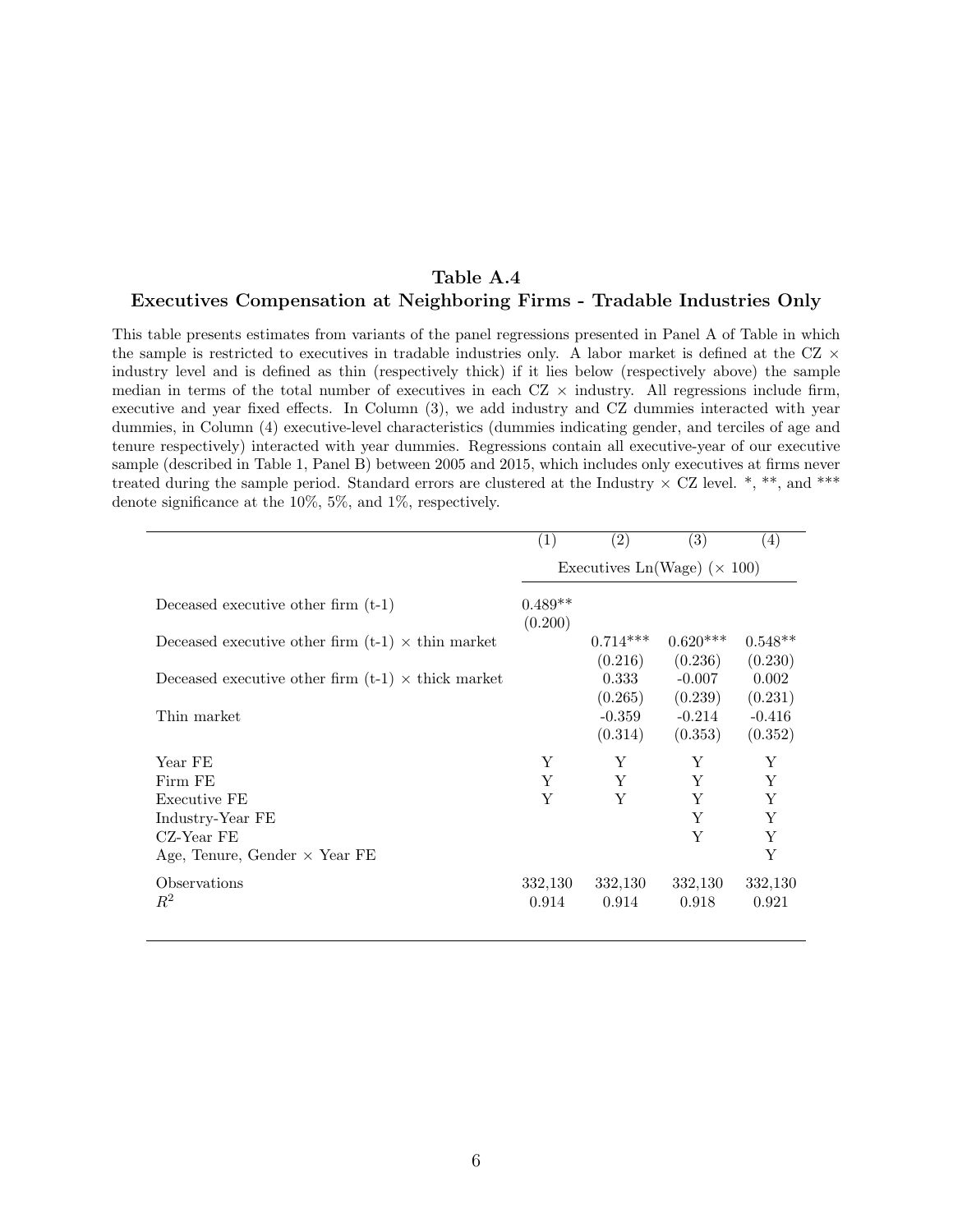## Table A.4

#### Executives Compensation at Neighboring Firms - Tradable Industries Only

This table presents estimates from variants of the panel regressions presented in Panel A of Table in which the sample is restricted to executives in tradable industries only. A labor market is defined at the CZ  $\times$ industry level and is defined as thin (respectively thick) if it lies below (respectively above) the sample median in terms of the total number of executives in each  $CZ \times$  industry. All regressions include firm, executive and year fixed effects. In Column (3), we add industry and CZ dummies interacted with year dummies, in Column (4) executive-level characteristics (dummies indicating gender, and terciles of age and tenure respectively) interacted with year dummies. Regressions contain all executive-year of our executive sample (described in Table 1, Panel B) between 2005 and 2015, which includes only executives at firms never treated during the sample period. Standard errors are clustered at the Industry  $\times$  CZ level. \*, \*\*, and \*\*\* denote significance at the 10%, 5%, and 1%, respectively.

|                                                           | $\left( 1\right)$                   | $\left( 2\right)$ | (3)        | $\left( 4\right)$ |
|-----------------------------------------------------------|-------------------------------------|-------------------|------------|-------------------|
|                                                           | Executives Ln(Wage) ( $\times$ 100) |                   |            |                   |
| Deceased executive other firm $(t-1)$                     | $0.489**$<br>(0.200)                |                   |            |                   |
| Deceased executive other firm $(t-1) \times th$ in market |                                     | $0.714***$        | $0.620***$ | $0.548**$         |
|                                                           |                                     | (0.216)           | (0.236)    | (0.230)           |
| Deceased executive other firm $(t-1) \times$ thick market |                                     | 0.333             | $-0.007$   | 0.002             |
|                                                           |                                     | (0.265)           | (0.239)    | (0.231)           |
| Thin market                                               |                                     | $-0.359$          | $-0.214$   | $-0.416$          |
|                                                           |                                     | (0.314)           | (0.353)    | (0.352)           |
| Year FE                                                   | Y                                   | Y                 | Y          | Y                 |
| Firm FE                                                   | Y                                   | Y                 | Y          | Y                 |
| Executive FE                                              | Y                                   | Y                 | Y          | Y                 |
| Industry-Year FE                                          |                                     |                   | Y          | Y                 |
| $CZ$ -Year FE                                             |                                     |                   | Y          | Y                 |
| Age, Tenure, Gender $\times$ Year FE                      |                                     |                   |            | Y                 |
| Observations                                              | 332,130                             | 332,130           | 332,130    | 332,130           |
| $R^2$                                                     | 0.914                               | 0.914             | 0.918      | 0.921             |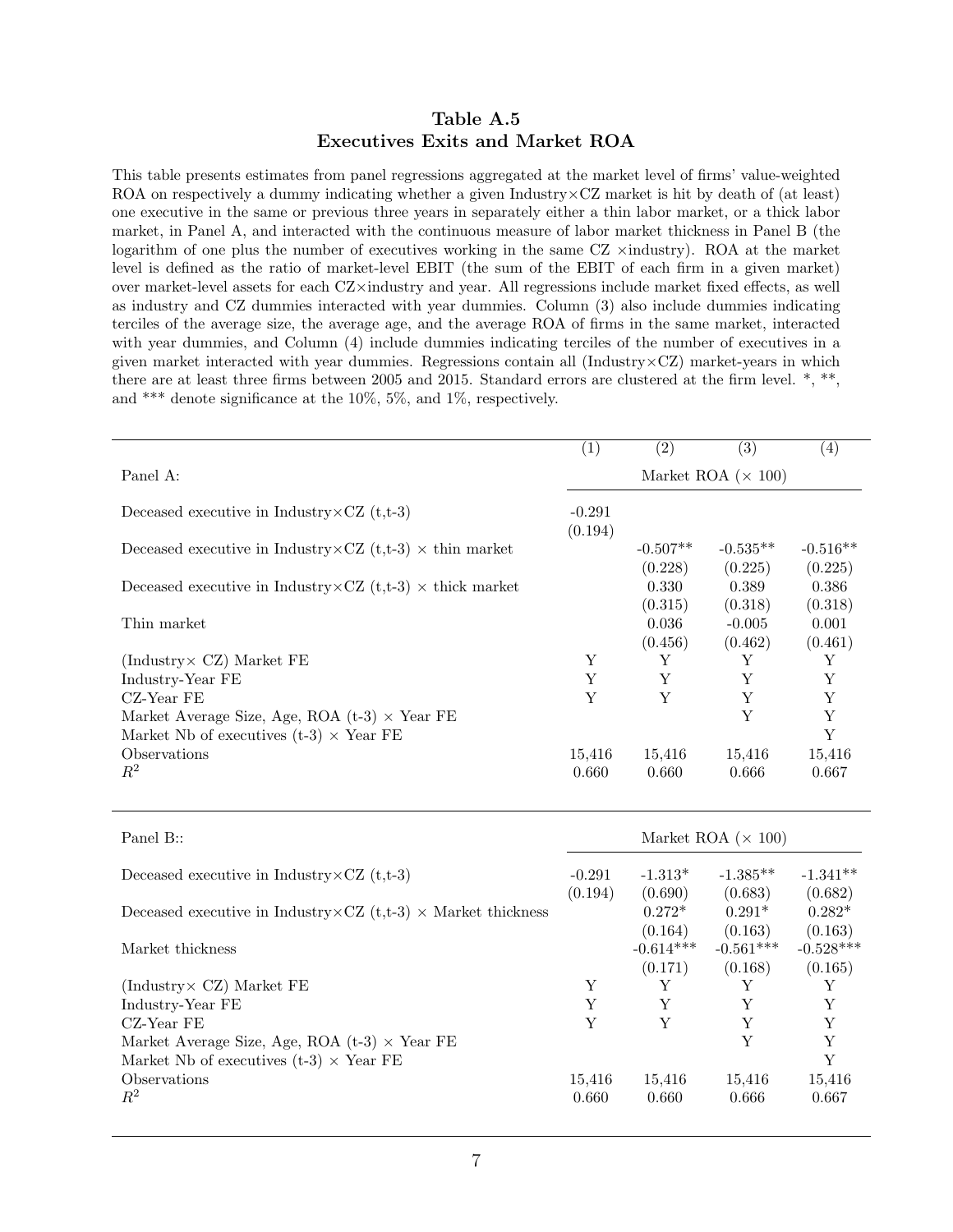#### Table A.5 Executives Exits and Market ROA

This table presents estimates from panel regressions aggregated at the market level of firms' value-weighted ROA on respectively a dummy indicating whether a given Industry×CZ market is hit by death of (at least) one executive in the same or previous three years in separately either a thin labor market, or a thick labor market, in Panel A, and interacted with the continuous measure of labor market thickness in Panel B (the logarithm of one plus the number of executives working in the same  $CZ$   $\times$ industry). ROA at the market level is defined as the ratio of market-level EBIT (the sum of the EBIT of each firm in a given market) over market-level assets for each CZ×industry and year. All regressions include market fixed effects, as well as industry and CZ dummies interacted with year dummies. Column (3) also include dummies indicating terciles of the average size, the average age, and the average ROA of firms in the same market, interacted with year dummies, and Column (4) include dummies indicating terciles of the number of executives in a given market interacted with year dummies. Regressions contain all (Industry $\times$ CZ) market-years in which there are at least three firms between 2005 and 2015. Standard errors are clustered at the firm level. \*, \*\*, and \*\*\* denote significance at the 10%, 5%, and 1%, respectively.

|                                                                          | $\left( 1\right)$         | (2)                   | $\left( 3\right)$     | $\left( 4\right)$     |
|--------------------------------------------------------------------------|---------------------------|-----------------------|-----------------------|-----------------------|
| Panel A:                                                                 | Market ROA $(\times 100)$ |                       |                       |                       |
| Deceased executive in Industry $\angle$ CZ (t,t-3)                       | $-0.291$<br>(0.194)       |                       |                       |                       |
| Deceased executive in Industry $\times$ CZ (t,t-3) $\times$ thin market  |                           | $-0.507**$<br>(0.228) | $-0.535**$<br>(0.225) | $-0.516**$<br>(0.225) |
| Deceased executive in Industry $\times$ CZ (t,t-3) $\times$ thick market |                           | 0.330<br>(0.315)      | 0.389<br>(0.318)      | 0.386<br>(0.318)      |
| Thin market                                                              |                           | 0.036<br>(0.456)      | $-0.005$<br>(0.462)   | 0.001<br>(0.461)      |
| (Industry $\angle$ CZ) Market FE                                         | Y                         | Y                     | Y                     | Υ                     |
| Industry-Year FE                                                         | Y                         | Y                     | Y                     | Y                     |
| CZ-Year FE                                                               | Y                         | Y                     | Y                     | Y                     |
| Market Average Size, Age, ROA $(t-3) \times$ Year FE                     |                           |                       | Y                     | Y                     |
| Market Nb of executives (t-3) $\times$ Year FE                           |                           |                       |                       | Y                     |
| Observations                                                             | 15,416                    | 15,416                | 15,416                | 15,416                |
| $R^2$                                                                    | 0.660                     | 0.660                 | 0.666                 | 0.667                 |

| Panel B::                                                                    | Market ROA $(\times 100)$ |             |             |             |
|------------------------------------------------------------------------------|---------------------------|-------------|-------------|-------------|
| Deceased executive in Industry $\times$ CZ (t,t-3)                           | $-0.291$                  | $-1.313*$   | $-1.385**$  | $-1.341**$  |
|                                                                              | (0.194)                   | (0.690)     | (0.683)     | (0.682)     |
| Deceased executive in Industry $\times$ CZ (t,t-3) $\times$ Market thickness |                           | $0.272*$    | $0.291*$    | $0.282*$    |
|                                                                              |                           | (0.164)     | (0.163)     | (0.163)     |
| Market thickness                                                             |                           | $-0.614***$ | $-0.561***$ | $-0.528***$ |
|                                                                              |                           | (0.171)     | (0.168)     | (0.165)     |
| (Industry $CZ$ ) Market FE                                                   | Y                         | Y           | Y           |             |
| Industry-Year FE                                                             | Y                         | Y           | Y           | Y           |
| $CZ$ -Year FE                                                                | Y                         | Y           | Y           | Y           |
| Market Average Size, Age, ROA $(t-3) \times$ Year FE                         |                           |             | Y           | Y           |
| Market Nb of executives $(t-3) \times$ Year FE                               |                           |             |             | Y           |
| Observations                                                                 | 15,416                    | 15,416      | 15,416      | 15,416      |
| $R^2$                                                                        | 0.660                     | 0.660       | 0.666       | 0.667       |